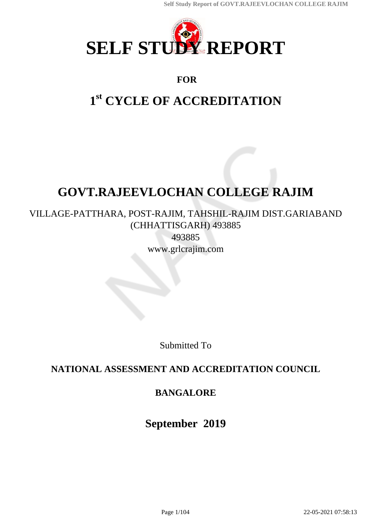

# **FOR**

# **1 st CYCLE OF ACCREDITATION**

# **GOVT.RAJEEVLOCHAN COLLEGE RAJIM**

# VILLAGE-PATTHARA, POST-RAJIM, TAHSHIL-RAJIM DIST.GARIABAND (CHHATTISGARH) 493885 493885

www.grlcrajim.com

Submitted To

# **NATIONAL ASSESSMENT AND ACCREDITATION COUNCIL**

# **BANGALORE**

**September 2019**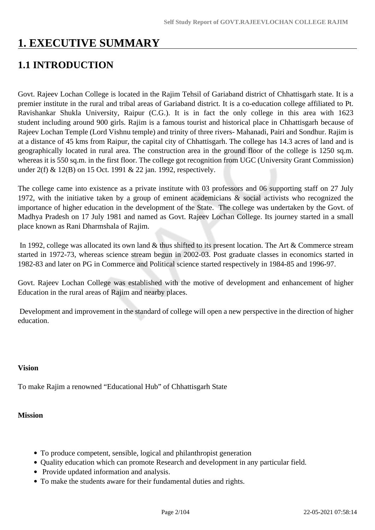# **1. EXECUTIVE SUMMARY**

# **1.1 INTRODUCTION**

Govt. Rajeev Lochan College is located in the Rajim Tehsil of Gariaband district of Chhattisgarh state. It is a premier institute in the rural and tribal areas of Gariaband district. It is a co-education college affiliated to Pt. Ravishankar Shukla University, Raipur (C.G.). It is in fact the only college in this area with 1623 student including around 900 girls. Rajim is a famous tourist and historical place in Chhattisgarh because of Rajeev Lochan Temple (Lord Vishnu temple) and trinity of three rivers- Mahanadi, Pairi and Sondhur. Rajim is at a distance of 45 kms from Raipur, the capital city of Chhattisgarh. The college has 14.3 acres of land and is geographically located in rural area. The construction area in the ground floor of the college is 1250 sq.m. whereas it is 550 sq.m. in the first floor. The college got recognition from UGC (University Grant Commission) under 2(f) & 12(B) on 15 Oct. 1991 & 22 jan. 1992, respectively.

The college came into existence as a private institute with 03 professors and 06 supporting staff on 27 July 1972, with the initiative taken by a group of eminent academicians & social activists who recognized the importance of higher education in the development of the State. The college was undertaken by the Govt. of Madhya Pradesh on 17 July 1981 and named as Govt. Rajeev Lochan College. Its journey started in a small place known as Rani Dharmshala of Rajim.

In 1992, college was allocated its own land & thus shifted to its present location. The Art & Commerce stream started in 1972-73, whereas science stream begun in 2002-03. Post graduate classes in economics started in 1982-83 and later on PG in Commerce and Political science started respectively in 1984-85 and 1996-97.

Govt. Rajeev Lochan College was established with the motive of development and enhancement of higher Education in the rural areas of Rajim and nearby places.

 Development and improvement in the standard of college will open a new perspective in the direction of higher education.

#### **Vision**

To make Rajim a renowned "Educational Hub" of Chhattisgarh State

#### **Mission**

- To produce competent, sensible, logical and philanthropist generation
- Quality education which can promote Research and development in any particular field.
- Provide updated information and analysis.
- To make the students aware for their fundamental duties and rights.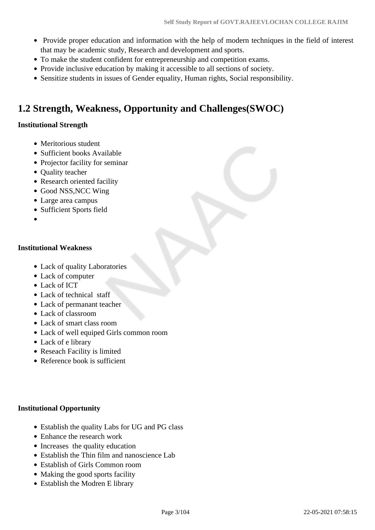- Provide proper education and information with the help of modern techniques in the field of interest that may be academic study, Research and development and sports.
- To make the student confident for entrepreneurship and competition exams.
- Provide inclusive education by making it accessible to all sections of society.
- Sensitize students in issues of Gender equality, Human rights, Social responsibility.

# **1.2 Strength, Weakness, Opportunity and Challenges(SWOC)**

#### **Institutional Strength**

- Meritorious student
- Sufficient books Available
- Projector facility for seminar
- Quality teacher
- Research oriented facility
- Good NSS,NCC Wing
- Large area campus
- Sufficient Sports field
- 

## **Institutional Weakness**

- Lack of quality Laboratories
- Lack of computer
- Lack of ICT
- Lack of technical staff
- Lack of permanant teacher
- Lack of classroom
- Lack of smart class room
- Lack of well equiped Girls common room
- Lack of e library
- Reseach Facility is limited
- Reference book is sufficient

#### **Institutional Opportunity**

- Establish the quality Labs for UG and PG class
- Enhance the research work
- Increases the quality education
- Establish the Thin film and nanoscience Lab
- Establish of Girls Common room
- Making the good sports facility
- Establish the Modren E library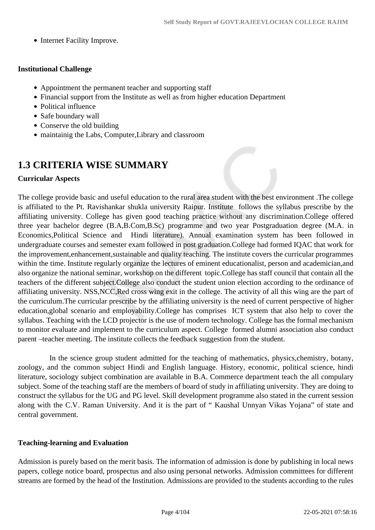• Internet Facility Improve.

#### **Institutional Challenge**

- Appointment the permanent teacher and supporting staff
- Financial support from the Institute as well as from higher education Department
- Political influence
- Safe boundary wall
- Conserve the old building
- maintainig the Labs, Computer,Library and classroom

# **1.3 CRITERIA WISE SUMMARY**

## **Curricular Aspects**

The college provide basic and useful education to the rural area student with the best environment .The college is affiliated to the Pt. Ravishankar shukla university Raipur. Institute follows the syllabus prescribe by the affiliating university. College has given good teaching practice without any discrimination.College offered three year bachelor degree (B.A,B.Com,B.Sc) programme and two year Postgraduation degree (M.A. in Economics,Political Science and Hindi literature). Annual examination system has been followed in undergraduate courses and semester exam followed in post graduation.College had formed IQAC that work for the improvement,enhancement,sustainable and quality teaching. The institute covers the curricular programmes within the time. Institute regularly organize the lectures of eminent educationalist, person and academician,and also organize the national seminar, workshop on the different topic.College has staff council that contain all the teachers of the different subject.College also conduct the student union election according to the ordinance of affiliating university. NSS,NCC,Red cross wing exit in the college. The activity of all this wing are the part of the curriculum.The curricular prescribe by the affiliating university is the need of current perspective of higher education,global scenario and employability.College has comprises ICT system that also help to cover the syllabus. Teaching with the LCD projector is the use of modern technology. College has the formal mechanism to monitor evaluate and implement to the curriculum aspect. College formed alumni association also conduct parent –teacher meeting. The institute collects the feedback suggestion from the student.

 In the science group student admitted for the teaching of mathematics, physics,chemistry, botany, zoology, and the common subject Hindi and English language. History, economic, political science, hindi literature, sociology subject combination are available in B.A. Commerce department teach the all compulary subject. Some of the teaching staff are the members of board of study in affiliating university. They are doing to construct the syllabus for the UG and PG level. Skill development programme also stated in the current session along with the C.V. Raman University. And it is the part of " Kaushal Unnyan Vikas Yojana" of state and central government.

#### **Teaching-learning and Evaluation**

Admission is purely based on the merit basis. The information of admission is done by publishing in local news papers, college notice board, prospectus and also using personal networks. Admission committees for different streams are formed by the head of the Institution. Admissions are provided to the students according to the rules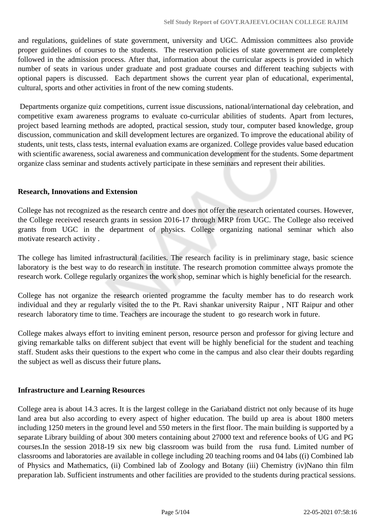and regulations, guidelines of state government, university and UGC. Admission committees also provide proper guidelines of courses to the students. The reservation policies of state government are completely followed in the admission process. After that, information about the curricular aspects is provided in which number of seats in various under graduate and post graduate courses and different teaching subjects with optional papers is discussed. Each department shows the current year plan of educational, experimental, cultural, sports and other activities in front of the new coming students.

 Departments organize quiz competitions, current issue discussions, national/international day celebration, and competitive exam awareness programs to evaluate co-curricular abilities of students. Apart from lectures, project based learning methods are adopted, practical session, study tour, computer based knowledge, group discussion, communication and skill development lectures are organized. To improve the educational ability of students, unit tests, class tests, internal evaluation exams are organized. College provides value based education with scientific awareness, social awareness and communication development for the students. Some department organize class seminar and students actively participate in these seminars and represent their abilities.

#### **Research, Innovations and Extension**

College has not recognized as the research centre and does not offer the research orientated courses. However, the College received research grants in session 2016-17 through MRP from UGC. The College also received grants from UGC in the department of physics. College organizing national seminar which also motivate research activity .

The college has limited infrastructural facilities. The research facility is in preliminary stage, basic science laboratory is the best way to do research in institute. The research promotion committee always promote the research work. College regularly organizes the work shop, seminar which is highly beneficial for the research.

College has not organize the research oriented programme the faculty member has to do research work individual and they ar regularly visited the to the Pt. Ravi shankar university Raipur , NIT Raipur and other research laboratory time to time. Teachers are incourage the student to go research work in future.

College makes always effort to inviting eminent person, resource person and professor for giving lecture and giving remarkable talks on different subject that event will be highly beneficial for the student and teaching staff. Student asks their questions to the expert who come in the campus and also clear their doubts regarding the subject as well as discuss their future plans**.**

#### **Infrastructure and Learning Resources**

College area is about 14.3 acres. It is the largest college in the Gariaband district not only because of its huge land area but also according to every aspect of higher education. The build up area is about 1800 meters including 1250 meters in the ground level and 550 meters in the first floor. The main building is supported by a separate Library building of about 300 meters containing about 27000 text and reference books of UG and PG courses.In the session 2018-19 six new big classroom was build from the rusa fund. Limited number of classrooms and laboratories are available in college including 20 teaching rooms and 04 labs ((i) Combined lab of Physics and Mathematics, (ii) Combined lab of Zoology and Botany (iii) Chemistry (iv)Nano thin film preparation lab. Sufficient instruments and other facilities are provided to the students during practical sessions.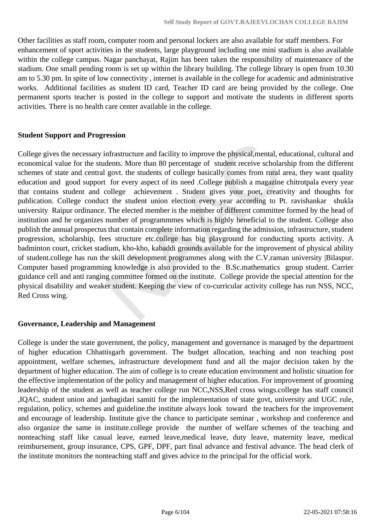Other facilities as staff room, computer room and personal lockers are also available for staff members. For enhancement of sport activities in the students, large playground including one mini stadium is also available within the college campus. Nagar panchayat, Rajim has been taken the responsibility of maintenance of the stadium. One small pending room is set up within the library building. The college library is open from 10.30 am to 5.30 pm. In spite of low connectivity , internet is available in the college for academic and administrative works. Additional facilities as student ID card, Teacher ID card are being provided by the college. One permanent sports teacher is posted in the college to support and motivate the students in different sports activities. There is no health care center available in the college.

#### **Student Support and Progression**

College gives the necessary infrastructure and facility to improve the physical,mental, educational, cultural and economical value for the students. More than 80 percentage of student receive scholarship from the different schemes of state and central govt. the students of college basically comes from rural area, they want quality education and good support for every aspect of its need .College publish a magazine chitrotpala every year that contains student and college achievement . Student gives your poet, creativity and thoughts for publication. College conduct the student union election every year according to Pt. ravishankar shukla university Raipur ordinance. The elected member is the member of different committee formed by the head of institution and he organizes number of programmmes which is highly beneficial to the student. College also publish the annual prospectus that contain complete information regarding the admission, infrastructure, student progression, scholarship, fees structure etc.college has big playground for conducting sports activity. A badminton court, cricket stadium, kho-kho, kabaddi grounds available for the improvement of physical ability of student.college has run the skill development programmes along with the C.V.raman university |Bilaspur. Computer based programming knowledge is also provided to the B.Sc.mathematics group student. Carrier guidance cell and anti ranging committee formed on the institute. College provide the special attention for the physical disability and weaker student. Keeping the view of co-curricular activity college has run NSS, NCC, Red Cross wing.

#### **Governance, Leadership and Management**

College is under the state government, the policy, management and governance is managed by the department of higher education Chhattisgarh government. The budget allocation, teaching and non teaching post appointment, welfare schemes, infrastructure development fund and all the major decision taken by the department of higher education. The aim of college is to create education environment and holistic situation for the effective implementation of the policy and management of higher education. For improvement of grooming leadership of the student as well as teacher college run NCC,NSS,Red cross wings.college has staff council ,IQAC, student union and janbagidari samiti for the implementation of state govt, university and UGC rule, regulation, policy, schemes and guideline.the institute always look toward the teachers for the improvement and encourage of leadership. Institute give the chance to participate seminar , workshop and conference and also organize the same in institute.college provide the number of welfare schemes of the teaching and nonteaching staff like casual leave, earned leave, medical leave, duty leave, maternity leave, medical reimbursement, group insurance, CPS, GPF, DPF, part final advance and festival advance. The head clerk of the institute monitors the nonteaching staff and gives advice to the principal for the official work.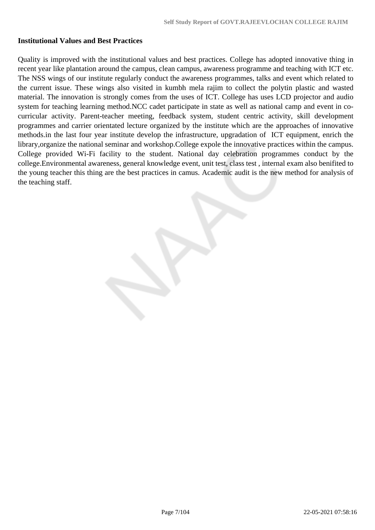#### **Institutional Values and Best Practices**

Quality is improved with the institutional values and best practices. College has adopted innovative thing in recent year like plantation around the campus, clean campus, awareness programme and teaching with ICT etc. The NSS wings of our institute regularly conduct the awareness programmes, talks and event which related to the current issue. These wings also visited in kumbh mela rajim to collect the polytin plastic and wasted material. The innovation is strongly comes from the uses of ICT. College has uses LCD projector and audio system for teaching learning method.NCC cadet participate in state as well as national camp and event in cocurricular activity. Parent-teacher meeting, feedback system, student centric activity, skill development programmes and carrier orientated lecture organized by the institute which are the approaches of innovative methods.in the last four year institute develop the infrastructure, upgradation of ICT equipment, enrich the library,organize the national seminar and workshop.College expole the innovative practices within the campus. College provided Wi-Fi facility to the student. National day celebration programmes conduct by the college.Environmental awareness, general knowledge event, unit test, class test , internal exam also benifited to the young teacher this thing are the best practices in camus. Academic audit is the new method for analysis of the teaching staff.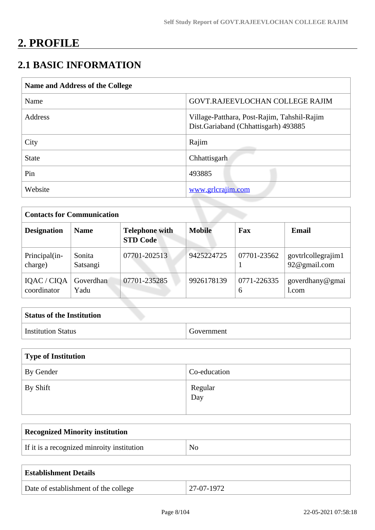# **2. PROFILE**

# **2.1 BASIC INFORMATION**

| Name and Address of the College |                                                                                     |
|---------------------------------|-------------------------------------------------------------------------------------|
| Name                            | <b>GOVT.RAJEEVLOCHAN COLLEGE RAJIM</b>                                              |
| Address                         | Village-Patthara, Post-Rajim, Tahshil-Rajim<br>Dist.Gariaband (Chhattisgarh) 493885 |
| City                            | Rajim                                                                               |
| <b>State</b>                    | Chhattisgarh                                                                        |
| Pin                             | 493885                                                                              |
| Website                         | www.grlcrajim.com                                                                   |

| <b>Contacts for Communication</b> |                    |                                          |               |                  |                                    |
|-----------------------------------|--------------------|------------------------------------------|---------------|------------------|------------------------------------|
| <b>Designation</b>                | <b>Name</b>        | <b>Telephone with</b><br><b>STD Code</b> | <b>Mobile</b> | Fax              | Email                              |
| Principal(in-<br>charge)          | Sonita<br>Satsangi | 07701-202513                             | 9425224725    | 07701-23562      | govtrlcollegrajim1<br>92@gmail.com |
| IQAC / CIQA<br>coordinator        | Goverdhan<br>Yadu  | 07701-235285                             | 9926178139    | 0771-226335<br>6 | goverdhany@gmai<br>1.com           |

| <b>Status of the Institution</b> |            |
|----------------------------------|------------|
| <b>Institution Status</b>        | Government |

| Type of Institution |                |
|---------------------|----------------|
| By Gender           | Co-education   |
| By Shift            | Regular<br>Day |

| <b>Recognized Minority institution</b>     |    |
|--------------------------------------------|----|
| If it is a recognized minroity institution | No |
|                                            |    |

| <b>Establishment Details</b>         |            |
|--------------------------------------|------------|
| Date of establishment of the college | 27-07-1972 |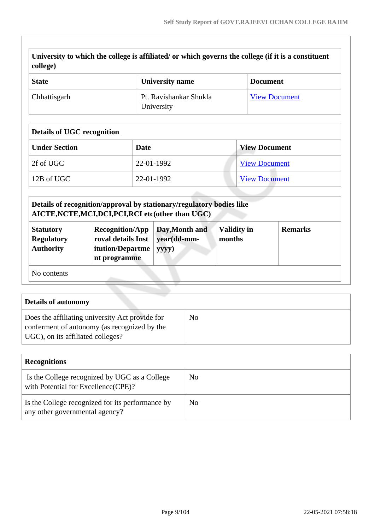| University to which the college is affiliated/ or which governs the college (if it is a constituent |
|-----------------------------------------------------------------------------------------------------|
| $\vert$ college)                                                                                    |

| <b>State</b> | <b>University name</b>               | <b>Document</b>      |
|--------------|--------------------------------------|----------------------|
| Chhattisgarh | Pt. Ravishankar Shukla<br>University | <b>View Document</b> |

# **Details of UGC recognition**

| <b>Under Section</b> | Date       | <b>View Document</b> |
|----------------------|------------|----------------------|
| 2f of UGC            | 22-01-1992 | <b>View Document</b> |
| 12B of UGC           | 22-01-1992 | <b>View Document</b> |

|                                                           | Details of recognition/approval by stationary/regulatory bodies like<br>AICTE, NCTE, MCI, DCI, PCI, RCI etc(other than UGC) |                                        |                              |                |
|-----------------------------------------------------------|-----------------------------------------------------------------------------------------------------------------------------|----------------------------------------|------------------------------|----------------|
| <b>Statutory</b><br><b>Regulatory</b><br><b>Authority</b> | <b>Recognition/App</b><br>roval details Inst<br>itution/Departme<br>nt programme                                            | Day, Month and<br>year(dd-mm-<br>yyyy) | <b>Validity in</b><br>months | <b>Remarks</b> |
| No contents                                               |                                                                                                                             |                                        |                              |                |

| Details of autonomy                                                                                                                  |    |
|--------------------------------------------------------------------------------------------------------------------------------------|----|
| Does the affiliating university Act provide for<br>conferment of autonomy (as recognized by the<br>UGC), on its affiliated colleges? | No |

| <b>Recognitions</b>                                                                   |     |
|---------------------------------------------------------------------------------------|-----|
| Is the College recognized by UGC as a College<br>with Potential for Excellence (CPE)? | No  |
| Is the College recognized for its performance by<br>any other governmental agency?    | No. |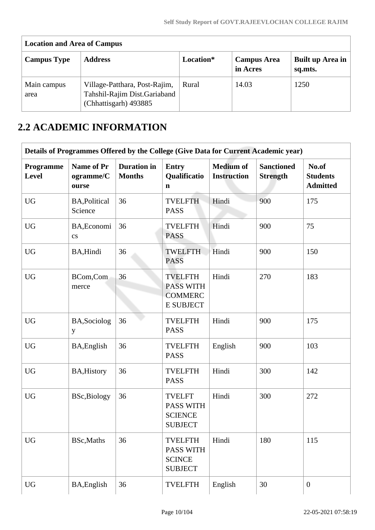| <b>Location and Area of Campus</b> |                                                                                        |           |                                |                             |  |  |  |  |  |  |
|------------------------------------|----------------------------------------------------------------------------------------|-----------|--------------------------------|-----------------------------|--|--|--|--|--|--|
| <b>Campus Type</b>                 | <b>Address</b>                                                                         | Location* | <b>Campus Area</b><br>in Acres | Built up Area in<br>sq.mts. |  |  |  |  |  |  |
| Main campus<br>area                | Village-Patthara, Post-Rajim,<br>Tahshil-Rajim Dist.Gariaband<br>(Chhattisgarh) 493885 | Rural     | 14.03                          | 1250                        |  |  |  |  |  |  |

# **2.2 ACADEMIC INFORMATION**

|                    | Details of Programmes Offered by the College (Give Data for Current Academic year) |                                     |                                                                       |                                        |                                      |                                             |  |  |  |  |  |
|--------------------|------------------------------------------------------------------------------------|-------------------------------------|-----------------------------------------------------------------------|----------------------------------------|--------------------------------------|---------------------------------------------|--|--|--|--|--|
| Programme<br>Level | Name of Pr<br>ogramme/C<br>ourse                                                   | <b>Duration</b> in<br><b>Months</b> | <b>Entry</b><br>Qualificatio<br>$\mathbf n$                           | <b>Medium of</b><br><b>Instruction</b> | <b>Sanctioned</b><br><b>Strength</b> | No.of<br><b>Students</b><br><b>Admitted</b> |  |  |  |  |  |
| <b>UG</b>          | <b>BA, Political</b><br>Science                                                    | 36                                  | <b>TVELFTH</b><br><b>PASS</b>                                         | Hindi                                  | 900                                  | 175                                         |  |  |  |  |  |
| <b>UG</b>          | BA, Economi<br>$\mathbf{c}\mathbf{s}$                                              | 36                                  | <b>TVELFTH</b><br><b>PASS</b>                                         | Hindi                                  | 900                                  | 75                                          |  |  |  |  |  |
| <b>UG</b>          | BA, Hindi                                                                          | 36                                  | <b>TWELFTH</b><br><b>PASS</b>                                         | Hindi                                  | 900                                  | 150                                         |  |  |  |  |  |
| <b>UG</b>          | BCom,Com<br>merce                                                                  | 36                                  | <b>TVELFTH</b><br>PASS WITH<br><b>COMMERC</b><br><b>E SUBJECT</b>     | Hindi                                  | 270                                  | 183                                         |  |  |  |  |  |
| <b>UG</b>          | BA, Sociolog<br>$\mathbf y$                                                        | 36                                  | <b>TVELFTH</b><br><b>PASS</b>                                         | Hindi                                  | 900                                  | 175                                         |  |  |  |  |  |
| <b>UG</b>          | BA, English                                                                        | 36                                  | <b>TVELFTH</b><br><b>PASS</b>                                         | English                                | 900                                  | 103                                         |  |  |  |  |  |
| <b>UG</b>          | <b>BA, History</b>                                                                 | 36                                  | <b>TVELFTH</b><br><b>PASS</b>                                         | Hindi                                  | 300                                  | 142                                         |  |  |  |  |  |
| <b>UG</b>          | <b>BSc,Biology</b>                                                                 | 36                                  | <b>TVELFT</b><br>PASS WITH<br><b>SCIENCE</b><br><b>SUBJECT</b>        | Hindi                                  | 300                                  | 272                                         |  |  |  |  |  |
| <b>UG</b>          | <b>BSc, Maths</b>                                                                  | 36                                  | <b>TVELFTH</b><br><b>PASS WITH</b><br><b>SCINCE</b><br><b>SUBJECT</b> | Hindi                                  | 180                                  | 115                                         |  |  |  |  |  |
| <b>UG</b>          | <b>BA, English</b>                                                                 | 36                                  | <b>TVELFTH</b>                                                        | English                                | 30                                   | $\boldsymbol{0}$                            |  |  |  |  |  |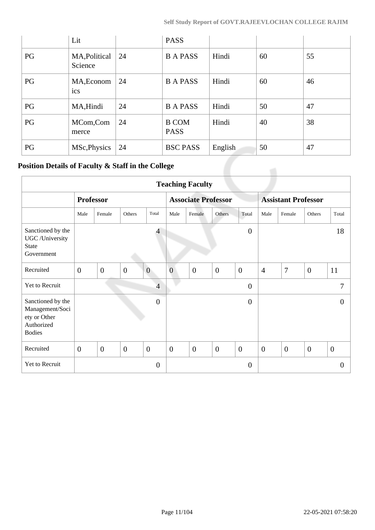|    | Lit                      |    | <b>PASS</b>                 |         |    |    |
|----|--------------------------|----|-----------------------------|---------|----|----|
| PG | MA, Political<br>Science | 24 | <b>BAPASS</b>               | Hindi   | 60 | 55 |
| PG | MA, Econom<br>ics        | 24 | <b>BAPASS</b>               | Hindi   | 60 | 46 |
| PG | MA, Hindi                | 24 | <b>BAPASS</b>               | Hindi   | 50 | 47 |
| PG | MCom, Com<br>merce       | 24 | <b>B COM</b><br><b>PASS</b> | Hindi   | 40 | 38 |
| PG | MSc, Physics             | 24 | <b>BSC PASS</b>             | English | 50 | 47 |

# **Position Details of Faculty & Staff in the College**

|                                                                                     | <b>Teaching Faculty</b> |                  |                |                  |                |                            |                |                  |                            |                |                |                |
|-------------------------------------------------------------------------------------|-------------------------|------------------|----------------|------------------|----------------|----------------------------|----------------|------------------|----------------------------|----------------|----------------|----------------|
|                                                                                     |                         | <b>Professor</b> |                |                  |                | <b>Associate Professor</b> |                |                  | <b>Assistant Professor</b> |                |                |                |
|                                                                                     | Male                    | Female           | Others         | Total            | Male           | Female                     | Others         | Total            | Male                       | Female         | Others         | Total          |
| Sanctioned by the<br>UGC /University<br><b>State</b><br>Government                  |                         |                  |                | $\overline{4}$   |                |                            |                | $\boldsymbol{0}$ |                            |                |                | 18             |
| Recruited                                                                           | $\overline{0}$          | $\overline{0}$   | $\overline{0}$ | $\boldsymbol{0}$ | $\overline{0}$ | $\boldsymbol{0}$           | $\overline{0}$ | $\mathbf{0}$     | $\overline{4}$             | 7              | $\overline{0}$ | 11             |
| Yet to Recruit                                                                      |                         |                  |                | $\overline{4}$   |                |                            |                | $\overline{0}$   |                            |                |                | $\overline{7}$ |
| Sanctioned by the<br>Management/Soci<br>ety or Other<br>Authorized<br><b>Bodies</b> |                         |                  |                | $\boldsymbol{0}$ |                |                            |                | $\overline{0}$   |                            |                |                | $\overline{0}$ |
| Recruited                                                                           | $\overline{0}$          | $\overline{0}$   | $\overline{0}$ | $\overline{0}$   | $\overline{0}$ | $\overline{0}$             | $\overline{0}$ | $\overline{0}$   | $\overline{0}$             | $\overline{0}$ | $\overline{0}$ | $\overline{0}$ |
| Yet to Recruit                                                                      |                         |                  |                | $\overline{0}$   |                |                            |                | $\overline{0}$   |                            |                |                | $\theta$       |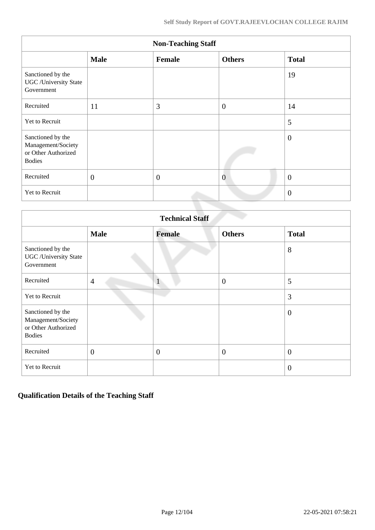|                                                                                 | <b>Non-Teaching Staff</b> |                |                |                |  |  |  |  |  |  |  |
|---------------------------------------------------------------------------------|---------------------------|----------------|----------------|----------------|--|--|--|--|--|--|--|
|                                                                                 | <b>Male</b>               | Female         | <b>Others</b>  | <b>Total</b>   |  |  |  |  |  |  |  |
| Sanctioned by the<br><b>UGC</b> / University State<br>Government                |                           |                |                | 19             |  |  |  |  |  |  |  |
| Recruited                                                                       | 11                        | 3              | $\overline{0}$ | 14             |  |  |  |  |  |  |  |
| Yet to Recruit                                                                  |                           |                |                | 5              |  |  |  |  |  |  |  |
| Sanctioned by the<br>Management/Society<br>or Other Authorized<br><b>Bodies</b> |                           |                |                | $\overline{0}$ |  |  |  |  |  |  |  |
| Recruited                                                                       | $\theta$                  | $\overline{0}$ | $\overline{0}$ | $\overline{0}$ |  |  |  |  |  |  |  |
| Yet to Recruit                                                                  |                           |                |                | $\overline{0}$ |  |  |  |  |  |  |  |

|                                                                                 | <b>Technical Staff</b> |                |                  |                |  |  |  |  |  |  |  |
|---------------------------------------------------------------------------------|------------------------|----------------|------------------|----------------|--|--|--|--|--|--|--|
|                                                                                 | <b>Male</b>            | Female         | <b>Others</b>    | <b>Total</b>   |  |  |  |  |  |  |  |
| Sanctioned by the<br><b>UGC</b> / University State<br>Government                |                        |                |                  | 8              |  |  |  |  |  |  |  |
| Recruited                                                                       | $\overline{4}$         |                | $\overline{0}$   | 5              |  |  |  |  |  |  |  |
| Yet to Recruit                                                                  |                        |                |                  | 3              |  |  |  |  |  |  |  |
| Sanctioned by the<br>Management/Society<br>or Other Authorized<br><b>Bodies</b> |                        |                |                  | $\overline{0}$ |  |  |  |  |  |  |  |
| Recruited                                                                       | $\overline{0}$         | $\overline{0}$ | $\boldsymbol{0}$ | $\overline{0}$ |  |  |  |  |  |  |  |
| Yet to Recruit                                                                  |                        |                |                  | $\overline{0}$ |  |  |  |  |  |  |  |

# **Qualification Details of the Teaching Staff**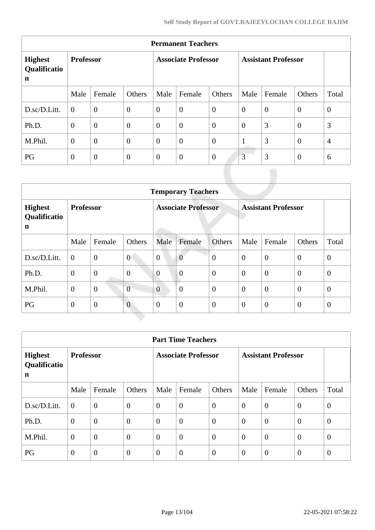| <b>Permanent Teachers</b>                     |                  |                |                |                            |                  |                |                            |                |                |                |  |
|-----------------------------------------------|------------------|----------------|----------------|----------------------------|------------------|----------------|----------------------------|----------------|----------------|----------------|--|
| <b>Highest</b><br>Qualificatio<br>$\mathbf n$ | <b>Professor</b> |                |                | <b>Associate Professor</b> |                  |                | <b>Assistant Professor</b> |                |                |                |  |
|                                               | Male             | Female         | Others         | Male                       | Female           | Others         | Male                       | Female         | Others         | Total          |  |
| D.sc/D.Litt.                                  | $\theta$         | $\overline{0}$ | $\overline{0}$ | $\overline{0}$             | $\overline{0}$   | $\overline{0}$ | $\overline{0}$             | $\overline{0}$ | $\mathbf{0}$   | $\overline{0}$ |  |
| Ph.D.                                         | $\overline{0}$   | $\overline{0}$ | $\overline{0}$ | $\theta$                   | $\overline{0}$   | $\overline{0}$ | $\overline{0}$             | 3              | $\overline{0}$ | 3              |  |
| M.Phil.                                       | $\overline{0}$   | $\overline{0}$ | $\overline{0}$ | $\theta$                   | $\overline{0}$   | $\overline{0}$ | 1                          | 3              | $\theta$       | $\overline{4}$ |  |
| PG                                            | $\theta$         | $\overline{0}$ | $\theta$       | $\overline{0}$             | $\boldsymbol{0}$ | $\overline{0}$ | 3                          | 3              | $\theta$       | 6              |  |

| <b>Temporary Teachers</b>           |                  |                |                |                |                            |                |                |                            |                |          |  |
|-------------------------------------|------------------|----------------|----------------|----------------|----------------------------|----------------|----------------|----------------------------|----------------|----------|--|
| <b>Highest</b><br>Qualificatio<br>n | <b>Professor</b> |                |                |                | <b>Associate Professor</b> |                |                | <b>Assistant Professor</b> |                |          |  |
|                                     | Male             | Female         | Others         | Male           | Female                     | Others         | Male           | Female                     | Others         | Total    |  |
| D.sc/D.Litt.                        | $\overline{0}$   | $\overline{0}$ | $\overline{0}$ | $\overline{0}$ | $\overline{0}$             | $\overline{0}$ | $\overline{0}$ | $\overline{0}$             | $\overline{0}$ | $\theta$ |  |
| Ph.D.                               | $\overline{0}$   | $\overline{0}$ | $\overline{0}$ | $\overline{0}$ | $\overline{0}$             | $\overline{0}$ | $\overline{0}$ | $\overline{0}$             | $\overline{0}$ | $\theta$ |  |
| M.Phil.                             | $\mathbf{0}$     | $\overline{0}$ | $\overline{0}$ | $\overline{0}$ | $\boldsymbol{0}$           | $\mathbf{0}$   | $\overline{0}$ | $\overline{0}$             | $\overline{0}$ | $\theta$ |  |
| PG                                  | $\theta$         | $\mathbf{0}$   | $\overline{0}$ | $\overline{0}$ | $\overline{0}$             | $\overline{0}$ | $\overline{0}$ | $\overline{0}$             | $\overline{0}$ | $\theta$ |  |

| <b>Part Time Teachers</b>           |                  |                |                            |                |                  |                            |                |                |                |                |  |
|-------------------------------------|------------------|----------------|----------------------------|----------------|------------------|----------------------------|----------------|----------------|----------------|----------------|--|
| <b>Highest</b><br>Qualificatio<br>n | <b>Professor</b> |                | <b>Associate Professor</b> |                |                  | <b>Assistant Professor</b> |                |                |                |                |  |
|                                     | Male             | Female         | Others                     | Male           | Female           | Others                     | Male           | Female         | Others         | Total          |  |
| D.sc/D.Litt.                        | $\overline{0}$   | $\overline{0}$ | $\overline{0}$             | $\theta$       | $\overline{0}$   | $\overline{0}$             | $\overline{0}$ | $\overline{0}$ | $\overline{0}$ | $\theta$       |  |
| Ph.D.                               | $\overline{0}$   | $\overline{0}$ | $\overline{0}$             | $\overline{0}$ | $\overline{0}$   | $\overline{0}$             | $\overline{0}$ | $\overline{0}$ | $\overline{0}$ | $\overline{0}$ |  |
| M.Phil.                             | $\theta$         | $\overline{0}$ | $\overline{0}$             | $\overline{0}$ | $\overline{0}$   | $\overline{0}$             | $\overline{0}$ | $\overline{0}$ | $\overline{0}$ | $\theta$       |  |
| PG                                  | $\theta$         | $\mathbf{0}$   | $\theta$                   | $\overline{0}$ | $\boldsymbol{0}$ | $\overline{0}$             | $\overline{0}$ | $\overline{0}$ | $\mathbf{0}$   | $\theta$       |  |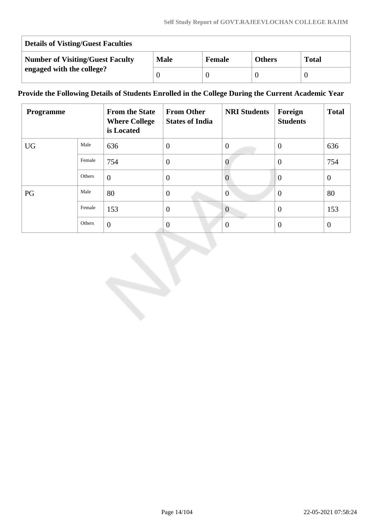| <b>Details of Visting/Guest Faculties</b> |             |        |               |              |  |  |  |  |
|-------------------------------------------|-------------|--------|---------------|--------------|--|--|--|--|
| <b>Number of Visiting/Guest Faculty</b>   | <b>Male</b> | Female | <b>Others</b> | <b>Total</b> |  |  |  |  |
| engaged with the college?                 |             |        |               |              |  |  |  |  |

# **Provide the Following Details of Students Enrolled in the College During the Current Academic Year**

| <b>Programme</b> |        | <b>From the State</b><br><b>Where College</b><br>is Located | <b>From Other</b><br><b>States of India</b> | <b>NRI Students</b> | Foreign<br><b>Students</b> | <b>Total</b>     |
|------------------|--------|-------------------------------------------------------------|---------------------------------------------|---------------------|----------------------------|------------------|
| <b>UG</b>        | Male   | 636                                                         | $\overline{0}$                              | $\Omega$            | $\theta$                   | 636              |
|                  | Female | 754                                                         | $\overline{0}$                              | $\theta$            | $\overline{0}$             | 754              |
|                  | Others | $\theta$                                                    | $\overline{0}$                              | $\theta$            | $\overline{0}$             | $\overline{0}$   |
| PG               | Male   | 80                                                          | $\overline{0}$                              | $\theta$            | $\overline{0}$             | 80               |
|                  | Female | 153                                                         | $\overline{0}$                              | $\overline{0}$      | $\theta$                   | 153              |
|                  | Others | $\theta$                                                    | $\overline{0}$                              | $\Omega$            | $\theta$                   | $\boldsymbol{0}$ |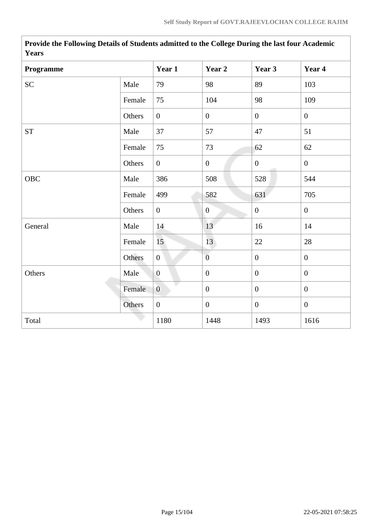| <b>r</b> ears              |        |                  |                  |                  |                |
|----------------------------|--------|------------------|------------------|------------------|----------------|
| Programme                  |        | Year 1           | Year 2           | Year 3           | Year 4         |
| $\ensuremath{\mathbf{SC}}$ | Male   | 79               | 98               | 89               | 103            |
|                            | Female | 75               | 104              | 98               | 109            |
|                            | Others | $\overline{0}$   | $\boldsymbol{0}$ | $\overline{0}$   | $\overline{0}$ |
| <b>ST</b>                  | Male   | 37               | 57               | 47               | 51             |
|                            | Female | 75               | 73               | 62               | 62             |
|                            | Others | $\overline{0}$   | $\boldsymbol{0}$ | $\mathbf{0}$     | $\overline{0}$ |
| OBC                        | Male   | 386              | 508              | 528              | 544            |
|                            | Female | 499              | 582              | 631              | 705            |
|                            | Others | $\overline{0}$   | $\mathbf{0}$     | $\boldsymbol{0}$ | $\overline{0}$ |
| General                    | Male   | 14               | 13               | 16               | 14             |
|                            | Female | 15               | 13               | 22               | 28             |
|                            | Others | $\overline{0}$   | $\overline{0}$   | $\mathbf{0}$     | $\mathbf{0}$   |
| Others                     | Male   | $\boldsymbol{0}$ | $\boldsymbol{0}$ | $\overline{0}$   | $\overline{0}$ |
|                            | Female | $\overline{0}$   | $\theta$         | $\overline{0}$   | $\overline{0}$ |
|                            | Others | $\boldsymbol{0}$ | $\boldsymbol{0}$ | $\overline{0}$   | $\overline{0}$ |
| Total                      |        | 1180             | 1448             | 1493             | 1616           |

**Provide the Following Details of Students admitted to the College During the last four Academic Years**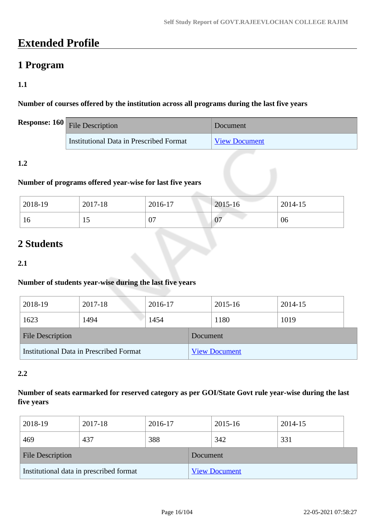# **Extended Profile**

# **1 Program**

# **1.1**

**Number of courses offered by the institution across all programs during the last five years**

| <b>Response: 160</b> File Description   | Document             |
|-----------------------------------------|----------------------|
| Institutional Data in Prescribed Format | <b>View Document</b> |

# **1.2**

#### **Number of programs offered year-wise for last five years**

| 2018-19 | 2017-18 | 2016-17        | 2015-16 | 2014-15 |
|---------|---------|----------------|---------|---------|
| 16      | ⊥ັ      | $\Omega$<br>U. | 07      | 06      |

# **2 Students**

## **2.1**

# **Number of students year-wise during the last five years**

| 2018-19                                 | 2017-18 | 2016-17 |                      | 2015-16 | 2014-15 |  |
|-----------------------------------------|---------|---------|----------------------|---------|---------|--|
| 1623                                    | 1494    | 1454    |                      | 1180    | 1019    |  |
| <b>File Description</b>                 |         |         | Document             |         |         |  |
| Institutional Data in Prescribed Format |         |         | <b>View Document</b> |         |         |  |

#### **2.2**

# **Number of seats earmarked for reserved category as per GOI/State Govt rule year-wise during the last five years**

| 2018-19                                 | 2017-18 | 2016-17 |                      | 2015-16 | 2014-15 |  |
|-----------------------------------------|---------|---------|----------------------|---------|---------|--|
| 469                                     | 437     | 388     |                      | 342     | 331     |  |
| <b>File Description</b>                 |         |         | Document             |         |         |  |
| Institutional data in prescribed format |         |         | <b>View Document</b> |         |         |  |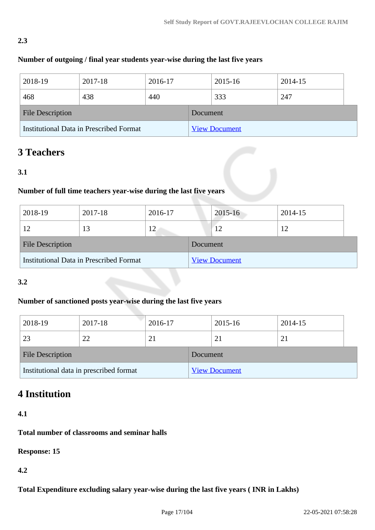# **2.3**

# **Number of outgoing / final year students year-wise during the last five years**

| 2018-19                                 | 2017-18 | 2016-17  |                      | 2015-16 | 2014-15 |  |
|-----------------------------------------|---------|----------|----------------------|---------|---------|--|
| 468                                     | 438     | 440      |                      | 333     | 247     |  |
| <b>File Description</b>                 |         | Document |                      |         |         |  |
| Institutional Data in Prescribed Format |         |          | <b>View Document</b> |         |         |  |

# **3 Teachers**

## **3.1**

# **Number of full time teachers year-wise during the last five years**

| 2018-19                                 | 2017-18 | 2016-17  |                      | $2015 - 16$ | 2014-15 |
|-----------------------------------------|---------|----------|----------------------|-------------|---------|
| 12                                      | 13      | 12       |                      |             | 12      |
| <b>File Description</b>                 |         | Document |                      |             |         |
| Institutional Data in Prescribed Format |         |          | <b>View Document</b> |             |         |

# **3.2**

# **Number of sanctioned posts year-wise during the last five years**

| 2018-19                 | 2017-18                                 | 2016-17 |          | 2015-16              | 2014-15 |  |
|-------------------------|-----------------------------------------|---------|----------|----------------------|---------|--|
| 23                      | 22                                      | 21      |          | 21                   | 21      |  |
| <b>File Description</b> |                                         |         | Document |                      |         |  |
|                         | Institutional data in prescribed format |         |          | <b>View Document</b> |         |  |

# **4 Institution**

**4.1**

# **Total number of classrooms and seminar halls**

**Response: 15**

**4.2**

**Total Expenditure excluding salary year-wise during the last five years ( INR in Lakhs)**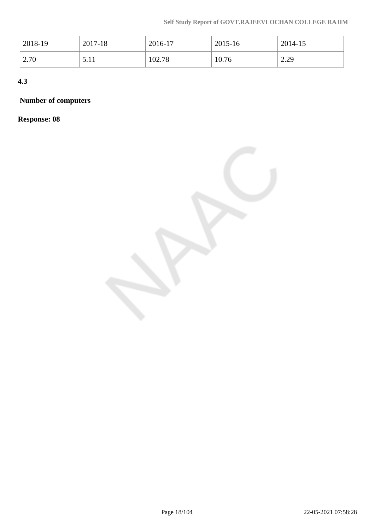| 2018-19 | 2017-18 | 2016-17 | 2015-16 | 2014-15 |
|---------|---------|---------|---------|---------|
| 2.70    | 5.11    | 102.78  | 10.76   | 2.29    |

**4.3**

# **Number of computers**

**Response: 08**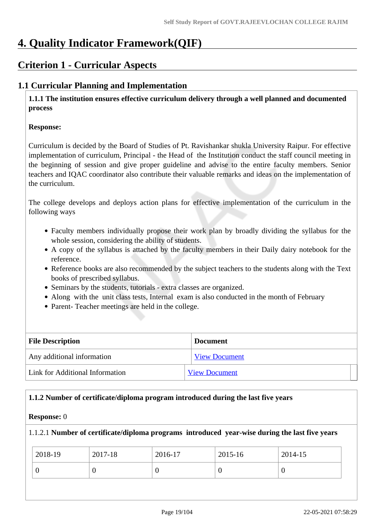# **4. Quality Indicator Framework(QIF)**

# **Criterion 1 - Curricular Aspects**

# **1.1 Curricular Planning and Implementation**

 **1.1.1 The institution ensures effective curriculum delivery through a well planned and documented process** 

#### **Response:**

Curriculum is decided by the Board of Studies of Pt. Ravishankar shukla University Raipur. For effective implementation of curriculum, Principal - the Head of the Institution conduct the staff council meeting in the beginning of session and give proper guideline and advise to the entire faculty members. Senior teachers and IQAC coordinator also contribute their valuable remarks and ideas on the implementation of the curriculum.

The college develops and deploys action plans for effective implementation of the curriculum in the following ways

- Faculty members individually propose their work plan by broadly dividing the syllabus for the whole session, considering the ability of students.
- A copy of the syllabus is attached by the faculty members in their Daily dairy notebook for the reference.
- Reference books are also recommended by the subject teachers to the students along with the Text books of prescribed syllabus.
- Seminars by the students, tutorials extra classes are organized.
- Along with the unit class tests, Internal exam is also conducted in the month of February
- Parent- Teacher meetings are held in the college.

| <b>File Description</b>         | <b>Document</b>      |
|---------------------------------|----------------------|
| Any additional information      | <b>View Document</b> |
| Link for Additional Information | <b>View Document</b> |

# **1.1.2 Number of certificate/diploma program introduced during the last five years**

#### **Response:** 0

#### 1.1.2.1 **Number of certificate/diploma programs introduced year-wise during the last five years**

| $\frac{1}{2018-19}$ | 2017-18 | 2016-17 | 2015-16 | 2014-15 |
|---------------------|---------|---------|---------|---------|
|                     |         |         |         |         |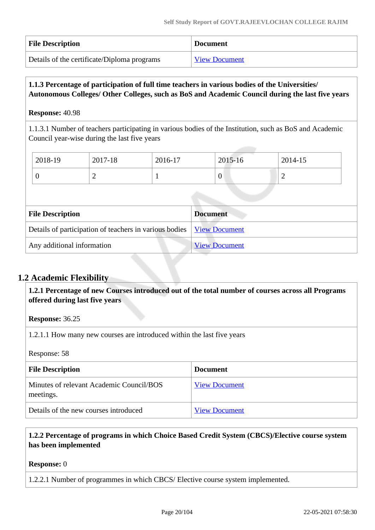| <b>File Description</b>                     | <b>Document</b>      |
|---------------------------------------------|----------------------|
| Details of the certificate/Diploma programs | <b>View Document</b> |

#### **1.1.3 Percentage of participation of full time teachers in various bodies of the Universities/ Autonomous Colleges/ Other Colleges, such as BoS and Academic Council during the last five years**

## **Response:** 40.98

1.1.3.1 Number of teachers participating in various bodies of the Institution, such as BoS and Academic Council year-wise during the last five years

| 2018-19 | 2017-18 | 2016-17 | 2015-16 | 2014-15 |
|---------|---------|---------|---------|---------|
|         | ∼       |         | ν       | -       |

| <b>File Description</b>                                                | <b>Document</b>      |
|------------------------------------------------------------------------|----------------------|
| Details of participation of teachers in various bodies   View Document |                      |
| Any additional information                                             | <b>View Document</b> |

# **1.2 Academic Flexibility**

 **1.2.1 Percentage of new Courses introduced out of the total number of courses across all Programs offered during last five years**

**Response:** 36.25

1.2.1.1 How many new courses are introduced within the last five years

Response: 58

| <b>File Description</b>                               | <b>Document</b>      |
|-------------------------------------------------------|----------------------|
| Minutes of relevant Academic Council/BOS<br>meetings. | <b>View Document</b> |
| Details of the new courses introduced                 | <b>View Document</b> |

# **1.2.2 Percentage of programs in which Choice Based Credit System (CBCS)/Elective course system has been implemented**

#### **Response:** 0

1.2.2.1 Number of programmes in which CBCS/ Elective course system implemented.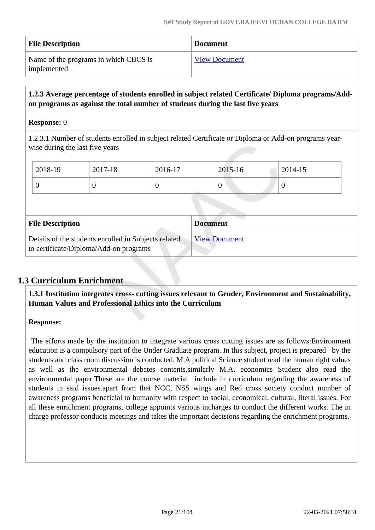| <b>File Description</b>                              | <b>Document</b>      |
|------------------------------------------------------|----------------------|
| Name of the programs in which CBCS is<br>implemented | <b>View Document</b> |

## **1.2.3 Average percentage of students enrolled in subject related Certificate/ Diploma programs/Addon programs as against the total number of students during the last five years**

#### **Response:** 0

1.2.3.1 Number of students enrolled in subject related Certificate or Diploma or Add-on programs yearwise during the last five years

|  | 2018-19                 | 2017-18 | 2016-17 |                 | 2015-16 | 2014-15  |
|--|-------------------------|---------|---------|-----------------|---------|----------|
|  |                         |         | O       |                 | 0       | $\theta$ |
|  |                         |         |         |                 |         |          |
|  | <b>File Description</b> |         |         | <b>Document</b> |         |          |

| Details of the students enrolled in Subjects related | <b>View Document</b> |
|------------------------------------------------------|----------------------|
| to certificate/Diploma/Add-on programs               |                      |

# **1.3 Curriculum Enrichment**

 **1.3.1 Institution integrates cross- cutting issues relevant to Gender, Environment and Sustainability, Human Values and Professional Ethics into the Curriculum**

# **Response:**

 The efforts made by the institution to integrate various cross cutting issues are as follows:Environment education is a compulsory part of the Under Graduate program. In this subject, project is prepared by the students and class room discussion is conducted. M.A political Science student read the human right values as well as the environmental debates contents,similarly M.A. economics Student also read the environmental paper.These are the course material include in curriculum regarding the awareness of students in said issues.apart from that NCC, NSS wings and Red cross society conduct number of awareness programs beneficial to humanity with respect to social, economical, cultural, literal issues. For all these enrichment programs, college appoints various incharges to conduct the different works. The in charge professor conducts meetings and takes the important decisions regarding the enrichment programs.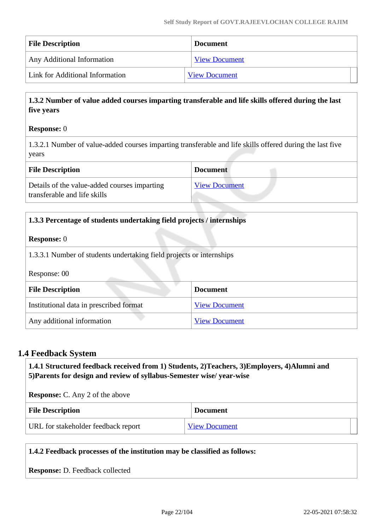| <b>File Description</b>         | <b>Document</b>      |
|---------------------------------|----------------------|
| Any Additional Information      | <b>View Document</b> |
| Link for Additional Information | <b>View Document</b> |

# **1.3.2 Number of value added courses imparting transferable and life skills offered during the last five years**

#### **Response:** 0

1.3.2.1 Number of value-added courses imparting transferable and life skills offered during the last five years

| <b>File Description</b>                                                      | <b>Document</b>      |
|------------------------------------------------------------------------------|----------------------|
| Details of the value-added courses imparting<br>transferable and life skills | <b>View Document</b> |

| 1.3.3 Percentage of students undertaking field projects / internships                |                      |  |
|--------------------------------------------------------------------------------------|----------------------|--|
| <b>Response:</b> 0                                                                   |                      |  |
| 1.3.3.1 Number of students undertaking field projects or internships<br>Response: 00 |                      |  |
| <b>File Description</b>                                                              | <b>Document</b>      |  |
| Institutional data in prescribed format                                              | <b>View Document</b> |  |
| Any additional information                                                           | <b>View Document</b> |  |

# **1.4 Feedback System**

 **1.4.1 Structured feedback received from 1) Students, 2)Teachers, 3)Employers, 4)Alumni and 5)Parents for design and review of syllabus-Semester wise/ year-wise Response:** C. Any 2 of the above **File Description Document** URL for stakeholder feedback report [View Document](https://drive.google.com/file/d/14Riz1_I_2sIW6NtC08V5PjcAYlPFyERa/view)

#### **1.4.2 Feedback processes of the institution may be classified as follows:**

**Response:** D. Feedback collected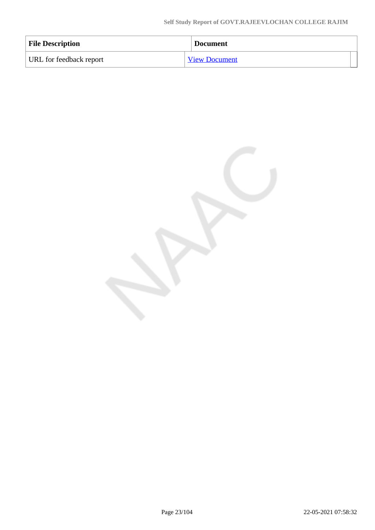| <b>File Description</b> | <b>Document</b>      |
|-------------------------|----------------------|
| URL for feedback report | <b>View Document</b> |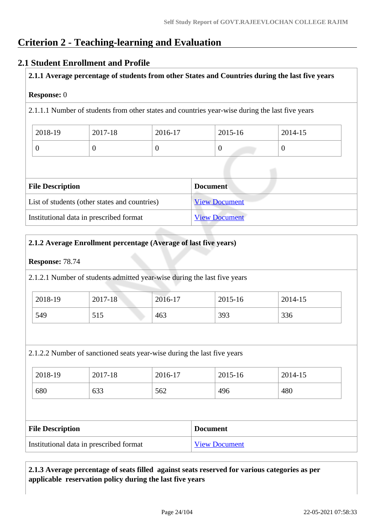# **Criterion 2 - Teaching-learning and Evaluation**

# **2.1 Student Enrollment and Profile**

**2.1.1 Average percentage of students from other States and Countries during the last five years**

#### **Response:** 0

2.1.1.1 Number of students from other states and countries year-wise during the last five years

| 2018-19 | 2017-18 | 2016-17 | 2015-16 | 2014-15 |
|---------|---------|---------|---------|---------|
|         |         |         | ν       |         |

| <b>File Description</b>                       | <b>Document</b>      |
|-----------------------------------------------|----------------------|
| List of students (other states and countries) | <b>View Document</b> |
| Institutional data in prescribed format       | <b>View Document</b> |

#### **2.1.2 Average Enrollment percentage (Average of last five years)**

#### **Response:** 78.74

2.1.2.1 Number of students admitted year-wise during the last five years

| 2018-19 | 2017-18 | 2016-17 | 2015-16 | 2014-15 |
|---------|---------|---------|---------|---------|
| 549     | 515     | 463     | 393     | 336     |

2.1.2.2 Number of sanctioned seats year-wise during the last five years

| 2018-19 | 2017-18 | 2016-17 | 2015-16 | 2014-15 |
|---------|---------|---------|---------|---------|
| 680     | 633     | 562     | 496     | 480     |

| <b>File Description</b>                 | <b>Document</b>      |
|-----------------------------------------|----------------------|
| Institutional data in prescribed format | <b>View Document</b> |

## **2.1.3 Average percentage of seats filled against seats reserved for various categories as per applicable reservation policy during the last five years**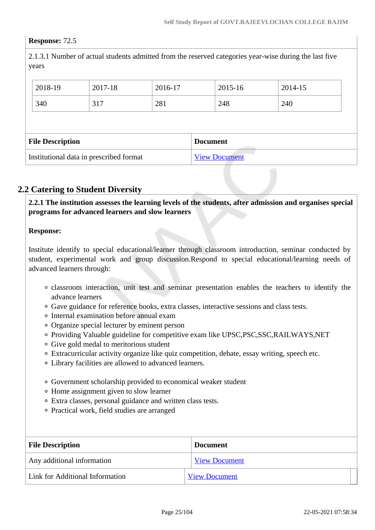#### **Response:** 72.5

2.1.3.1 Number of actual students admitted from the reserved categories year-wise during the last five years

| 2018-19                 | 2017-18 | 2016-17 | 2015-16         | 2014-15 |  |
|-------------------------|---------|---------|-----------------|---------|--|
| 340                     | 317     | 281     | 248             | 240     |  |
|                         |         |         |                 |         |  |
| <b>File Description</b> |         |         | <b>Document</b> |         |  |
|                         |         |         |                 |         |  |

# **2.2 Catering to Student Diversity**

 **2.2.1 The institution assesses the learning levels of the students, after admission and organises special programs for advanced learners and slow learners**

#### **Response:**

Institute identify to special educational/learner through classroom introduction, seminar conducted by student, experimental work and group discussion.Respond to special educational/learning needs of advanced learners through:

- classroom interaction, unit test and seminar presentation enables the teachers to identify the advance learners
- Gave guidance for reference books, extra classes, interactive sessions and class tests.
- Internal examination before annual exam
- Organize special lecturer by eminent person
- Providing Valuable guideline for competitive exam like UPSC,PSC,SSC,RAILWAYS,NET
- Give gold medal to meritorious student
- Extracurricular activity organize like quiz competition, debate, essay writing, speech etc.
- Library facilities are allowed to advanced learners.
- Government scholarship provided to economical weaker student
- Home assignment given to slow learner
- Extra classes, personal guidance and written class tests.
- Practical work, field studies are arranged

| <b>File Description</b>         | <b>Document</b>      |  |
|---------------------------------|----------------------|--|
| Any additional information      | <b>View Document</b> |  |
| Link for Additional Information | <b>View Document</b> |  |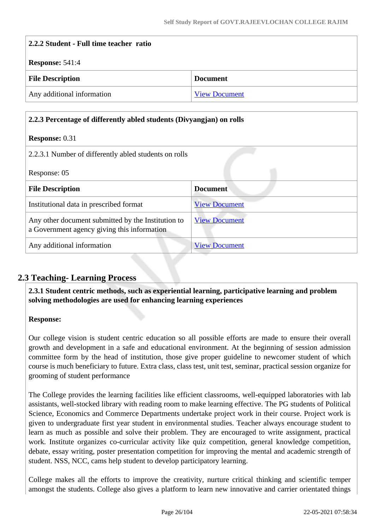| 2.2.2 Student - Full time teacher ratio                                                       |                      |  |  |
|-----------------------------------------------------------------------------------------------|----------------------|--|--|
| <b>Response:</b> $541:4$                                                                      |                      |  |  |
| <b>File Description</b>                                                                       | <b>Document</b>      |  |  |
| Any additional information                                                                    | <b>View Document</b> |  |  |
|                                                                                               |                      |  |  |
| 2.2.3 Percentage of differently abled students (Divyangjan) on rolls<br><b>Response: 0.31</b> |                      |  |  |

| 2.2.3.1 Number of differently abled students on rolls                                             |                      |  |  |
|---------------------------------------------------------------------------------------------------|----------------------|--|--|
| Response: 05                                                                                      |                      |  |  |
| <b>File Description</b>                                                                           | <b>Document</b>      |  |  |
| Institutional data in prescribed format                                                           | <b>View Document</b> |  |  |
| Any other document submitted by the Institution to<br>a Government agency giving this information | <b>View Document</b> |  |  |
| Any additional information                                                                        | <b>View Document</b> |  |  |

# **2.3 Teaching- Learning Process**

 **2.3.1 Student centric methods, such as experiential learning, participative learning and problem solving methodologies are used for enhancing learning experiences**

# **Response:**

Our college vision is student centric education so all possible efforts are made to ensure their overall growth and development in a safe and educational environment. At the beginning of session admission committee form by the head of institution, those give proper guideline to newcomer student of which course is much beneficiary to future. Extra class, class test, unit test, seminar, practical session organize for grooming of student performance

The College provides the learning facilities like efficient classrooms, well-equipped laboratories with lab assistants, well-stocked library with reading room to make learning effective. The PG students of Political Science, Economics and Commerce Departments undertake project work in their course. Project work is given to undergraduate first year student in environmental studies. Teacher always encourage student to learn as much as possible and solve their problem. They are encouraged to write assignment, practical work. Institute organizes co-curricular activity like quiz competition, general knowledge competition, debate, essay writing, poster presentation competition for improving the mental and academic strength of student. NSS, NCC, cams help student to develop participatory learning.

College makes all the efforts to improve the creativity, nurture critical thinking and scientific temper amongst the students. College also gives a platform to learn new innovative and carrier orientated things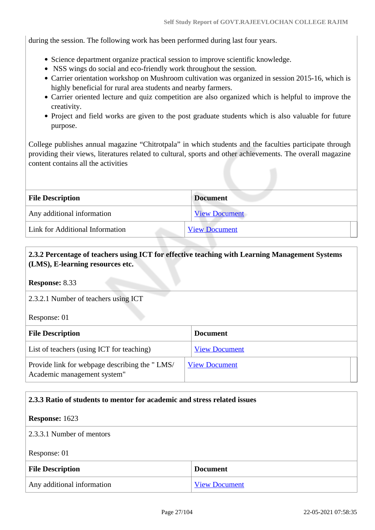during the session. The following work has been performed during last four years.

- Science department organize practical session to improve scientific knowledge.
- NSS wings do social and eco-friendly work throughout the session.
- Carrier orientation workshop on Mushroom cultivation was organized in session 2015-16, which is highly beneficial for rural area students and nearby farmers.
- Carrier oriented lecture and quiz competition are also organized which is helpful to improve the creativity.
- Project and field works are given to the post graduate students which is also valuable for future purpose.

College publishes annual magazine "Chitrotpala" in which students and the faculties participate through providing their views, literatures related to cultural, sports and other achievements. The overall magazine content contains all the activities

| <b>File Description</b>         | <b>Document</b>      |
|---------------------------------|----------------------|
| Any additional information      | <b>View Document</b> |
| Link for Additional Information | <b>View Document</b> |

## **2.3.2 Percentage of teachers using ICT for effective teaching with Learning Management Systems (LMS), E-learning resources etc.**

**Response:** 8.33

2.3.2.1 Number of teachers using ICT

Response: 01

| <b>File Description</b>                                                      | <b>Document</b>      |  |
|------------------------------------------------------------------------------|----------------------|--|
| List of teachers (using ICT for teaching)                                    | <b>View Document</b> |  |
| Provide link for webpage describing the "LMS/<br>Academic management system" | <b>View Document</b> |  |

#### **2.3.3 Ratio of students to mentor for academic and stress related issues**

#### **Response:** 1623

#### 2.3.3.1 Number of mentors

Response: 01

| <b>File Description</b>    | <b>Document</b>      |  |
|----------------------------|----------------------|--|
| Any additional information | <b>View Document</b> |  |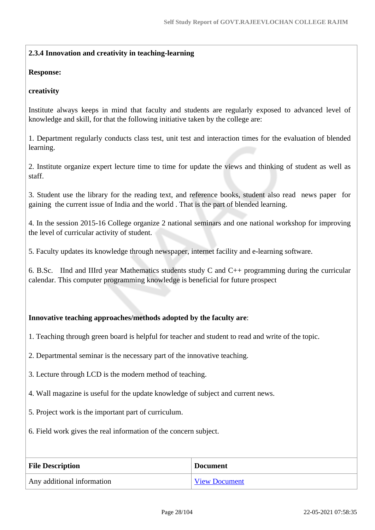## **2.3.4 Innovation and creativity in teaching-learning**

#### **Response:**

#### **creativity**

Institute always keeps in mind that faculty and students are regularly exposed to advanced level of knowledge and skill, for that the following initiative taken by the college are:

1. Department regularly conducts class test, unit test and interaction times for the evaluation of blended learning.

2. Institute organize expert lecture time to time for update the views and thinking of student as well as staff.

3. Student use the library for the reading text, and reference books, student also read news paper for gaining the current issue of India and the world . That is the part of blended learning.

4. In the session 2015-16 College organize 2 national seminars and one national workshop for improving the level of curricular activity of student.

5. Faculty updates its knowledge through newspaper, internet facility and e-learning software.

6. B.Sc. IInd and IIIrd year Mathematics students study C and C++ programming during the curricular calendar. This computer programming knowledge is beneficial for future prospect

#### **Innovative teaching approaches/methods adopted by the faculty are**:

1. Teaching through green board is helpful for teacher and student to read and write of the topic.

2. Departmental seminar is the necessary part of the innovative teaching.

3. Lecture through LCD is the modern method of teaching.

- 4. Wall magazine is useful for the update knowledge of subject and current news.
- 5. Project work is the important part of curriculum.

6. Field work gives the real information of the concern subject.

| <b>File Description</b>    | <b>Document</b>      |  |
|----------------------------|----------------------|--|
| Any additional information | <b>View Document</b> |  |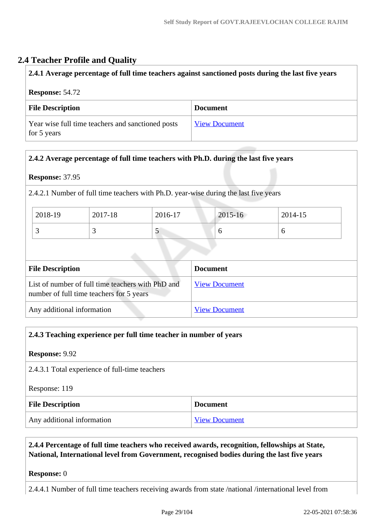# **2.4 Teacher Profile and Quality**

# **2.4.1 Average percentage of full time teachers against sanctioned posts during the last five years**

#### **Response:** 54.72

| <b>File Description</b>                                          | <b>Document</b>      |
|------------------------------------------------------------------|----------------------|
| Year wise full time teachers and sanctioned posts<br>for 5 years | <b>View Document</b> |

#### **2.4.2 Average percentage of full time teachers with Ph.D. during the last five years**

#### **Response:** 37.95

2.4.2.1 Number of full time teachers with Ph.D. year-wise during the last five years

| 2018-19 | 2017-18 | 2016-17 | $2015 - 16$ | 2014-15 |
|---------|---------|---------|-------------|---------|
| . .     |         |         | v           |         |

| <b>File Description</b>                                                                       | <b>Document</b>      |
|-----------------------------------------------------------------------------------------------|----------------------|
| List of number of full time teachers with PhD and<br>number of full time teachers for 5 years | <b>View Document</b> |
| Any additional information                                                                    | <b>View Document</b> |

# **2.4.3 Teaching experience per full time teacher in number of years**

#### **Response:** 9.92

2.4.3.1 Total experience of full-time teachers

Response: 119

| <b>File Description</b>    | <b>Document</b>      |
|----------------------------|----------------------|
| Any additional information | <b>View Document</b> |

## **2.4.4 Percentage of full time teachers who received awards, recognition, fellowships at State, National, International level from Government, recognised bodies during the last five years**

#### **Response:** 0

2.4.4.1 Number of full time teachers receiving awards from state /national /international level from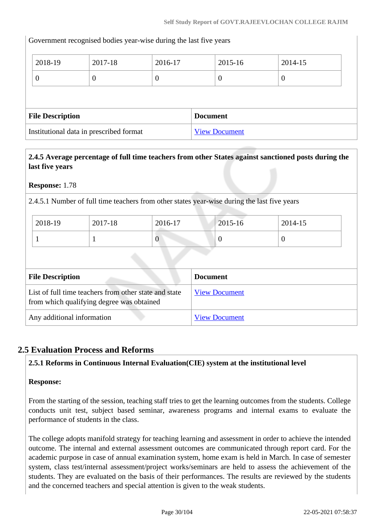Government recognised bodies year-wise during the last five years

| 2018-19                 | 2017-18        | 2016-17 | 2015-16         | 2014-15        |  |
|-------------------------|----------------|---------|-----------------|----------------|--|
| $\boldsymbol{0}$        | $\overline{0}$ |         | $\theta$        | $\overline{0}$ |  |
|                         |                |         |                 |                |  |
|                         |                |         |                 |                |  |
| <b>File Description</b> |                |         | <b>Document</b> |                |  |

## **2.4.5 Average percentage of full time teachers from other States against sanctioned posts during the last five years**

**Response:** 1.78

2.4.5.1 Number of full time teachers from other states year-wise during the last five years

| 2018-19 | 2017-18 | 2016-17 | $-2015-16$ | 2014-15 |
|---------|---------|---------|------------|---------|
|         |         | U       | v          |         |

| <b>File Description</b>                                                                            | <b>Document</b>      |  |  |
|----------------------------------------------------------------------------------------------------|----------------------|--|--|
| List of full time teachers from other state and state<br>from which qualifying degree was obtained | <b>View Document</b> |  |  |
| Any additional information                                                                         | <b>View Document</b> |  |  |

# **2.5 Evaluation Process and Reforms**

#### **2.5.1 Reforms in Continuous Internal Evaluation(CIE) system at the institutional level**

#### **Response:**

From the starting of the session, teaching staff tries to get the learning outcomes from the students. College conducts unit test, subject based seminar, awareness programs and internal exams to evaluate the performance of students in the class.

The college adopts manifold strategy for teaching learning and assessment in order to achieve the intended outcome. The internal and external assessment outcomes are communicated through report card. For the academic purpose in case of annual examination system, home exam is held in March. In case of semester system, class test/internal assessment/project works/seminars are held to assess the achievement of the students. They are evaluated on the basis of their performances. The results are reviewed by the students and the concerned teachers and special attention is given to the weak students.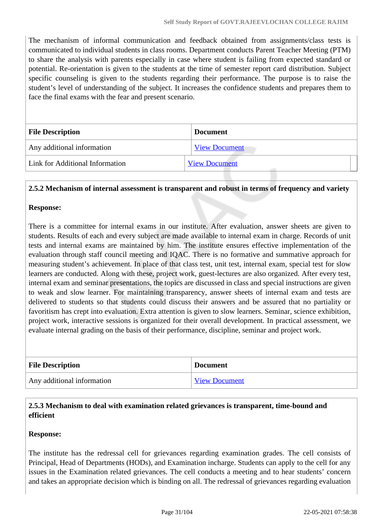The mechanism of informal communication and feedback obtained from assignments/class tests is communicated to individual students in class rooms. Department conducts Parent Teacher Meeting (PTM) to share the analysis with parents especially in case where student is failing from expected standard or potential. Re-orientation is given to the students at the time of semester report card distribution. Subject specific counseling is given to the students regarding their performance. The purpose is to raise the student's level of understanding of the subject. It increases the confidence students and prepares them to face the final exams with the fear and present scenario.

| <b>File Description</b>         | <b>Document</b>      |
|---------------------------------|----------------------|
| Any additional information      | <b>View Document</b> |
| Link for Additional Information | <b>View Document</b> |

#### **2.5.2 Mechanism of internal assessment is transparent and robust in terms of frequency and variety**

#### **Response:**

There is a committee for internal exams in our institute. After evaluation, answer sheets are given to students. Results of each and every subject are made available to internal exam in charge. Records of unit tests and internal exams are maintained by him. The institute ensures effective implementation of the evaluation through staff council meeting and IQAC. There is no formative and summative approach for measuring student's achievement. In place of that class test, unit test, internal exam, special test for slow learners are conducted. Along with these, project work, guest-lectures are also organized. After every test, internal exam and seminar presentations, the topics are discussed in class and special instructions are given to weak and slow learner. For maintaining transparency, answer sheets of internal exam and tests are delivered to students so that students could discuss their answers and be assured that no partiality or favoritism has crept into evaluation. Extra attention is given to slow learners. Seminar, science exhibition, project work, interactive sessions is organized for their overall development. In practical assessment, we evaluate internal grading on the basis of their performance, discipline, seminar and project work.

| <b>File Description</b>    | <b>Document</b>      |
|----------------------------|----------------------|
| Any additional information | <b>View Document</b> |

#### **2.5.3 Mechanism to deal with examination related grievances is transparent, time-bound and efficient**

#### **Response:**

The institute has the redressal cell for grievances regarding examination grades. The cell consists of Principal, Head of Departments (HODs), and Examination incharge. Students can apply to the cell for any issues in the Examination related grievances. The cell conducts a meeting and to hear students' concern and takes an appropriate decision which is binding on all. The redressal of grievances regarding evaluation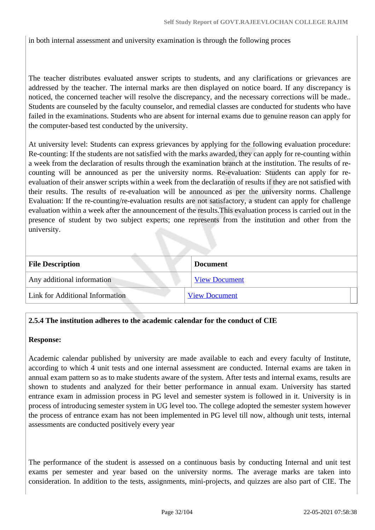in both internal assessment and university examination is through the following proces

The teacher distributes evaluated answer scripts to students, and any clarifications or grievances are addressed by the teacher. The internal marks are then displayed on notice board. If any discrepancy is noticed, the concerned teacher will resolve the discrepancy, and the necessary corrections will be made.. Students are counseled by the faculty counselor, and remedial classes are conducted for students who have failed in the examinations. Students who are absent for internal exams due to genuine reason can apply for the computer-based test conducted by the university.

At university level: Students can express grievances by applying for the following evaluation procedure: Re-counting: If the students are not satisfied with the marks awarded, they can apply for re-counting within a week from the declaration of results through the examination branch at the institution. The results of recounting will be announced as per the university norms. Re-evaluation: Students can apply for reevaluation of their answer scripts within a week from the declaration of results if they are not satisfied with their results. The results of re-evaluation will be announced as per the university norms. Challenge Evaluation: If the re-counting/re-evaluation results are not satisfactory, a student can apply for challenge evaluation within a week after the announcement of the results.This evaluation process is carried out in the presence of student by two subject experts; one represents from the institution and other from the university.

| <b>File Description</b>         | ' Document           |
|---------------------------------|----------------------|
| Any additional information      | <b>View Document</b> |
| Link for Additional Information | <b>View Document</b> |

#### **2.5.4 The institution adheres to the academic calendar for the conduct of CIE**

#### **Response:**

Academic calendar published by university are made available to each and every faculty of Institute, according to which 4 unit tests and one internal assessment are conducted. Internal exams are taken in annual exam pattern so as to make students aware of the system. After tests and internal exams, results are shown to students and analyzed for their better performance in annual exam. University has started entrance exam in admission process in PG level and semester system is followed in it. University is in process of introducing semester system in UG level too. The college adopted the semester system however the process of entrance exam has not been implemented in PG level till now, although unit tests, internal assessments are conducted positively every year

The performance of the student is assessed on a continuous basis by conducting Internal and unit test exams per semester and year based on the university norms. The average marks are taken into consideration. In addition to the tests, assignments, mini-projects, and quizzes are also part of CIE. The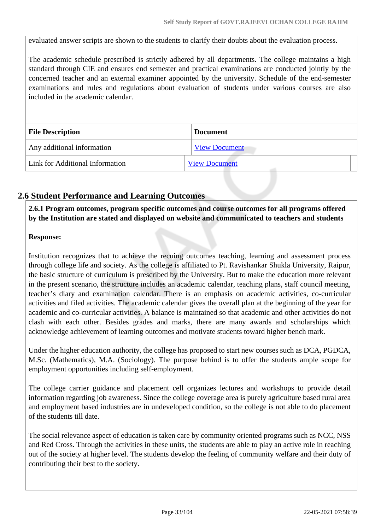evaluated answer scripts are shown to the students to clarify their doubts about the evaluation process.

The academic schedule prescribed is strictly adhered by all departments. The college maintains a high standard through CIE and ensures end semester and practical examinations are conducted jointly by the concerned teacher and an external examiner appointed by the university. Schedule of the end-semester examinations and rules and regulations about evaluation of students under various courses are also included in the academic calendar.

| <b>File Description</b>         | <b>Document</b>      |  |
|---------------------------------|----------------------|--|
| Any additional information      | <b>View Document</b> |  |
| Link for Additional Information | <b>View Document</b> |  |

# **2.6 Student Performance and Learning Outcomes**

 **2.6.1 Program outcomes, program specific outcomes and course outcomes for all programs offered by the Institution are stated and displayed on website and communicated to teachers and students**

## **Response:**

Institution recognizes that to achieve the recuing outcomes teaching, learning and assessment process through college life and society. As the college is affiliated to Pt. Ravishankar Shukla University, Raipur, the basic structure of curriculum is prescribed by the University. But to make the education more relevant in the present scenario, the structure includes an academic calendar, teaching plans, staff council meeting, teacher's diary and examination calendar. There is an emphasis on academic activities, co-curricular activities and filed activities. The academic calendar gives the overall plan at the beginning of the year for academic and co-curricular activities. A balance is maintained so that academic and other activities do not clash with each other. Besides grades and marks, there are many awards and scholarships which acknowledge achievement of learning outcomes and motivate students toward higher bench mark.

Under the higher education authority, the college has proposed to start new courses such as DCA, PGDCA, M.Sc. (Mathematics), M.A. (Sociology). The purpose behind is to offer the students ample scope for employment opportunities including self-employment.

The college carrier guidance and placement cell organizes lectures and workshops to provide detail information regarding job awareness. Since the college coverage area is purely agriculture based rural area and employment based industries are in undeveloped condition, so the college is not able to do placement of the students till date.

The social relevance aspect of education is taken care by community oriented programs such as NCC, NSS and Red Cross. Through the activities in these units, the students are able to play an active role in reaching out of the society at higher level. The students develop the feeling of community welfare and their duty of contributing their best to the society.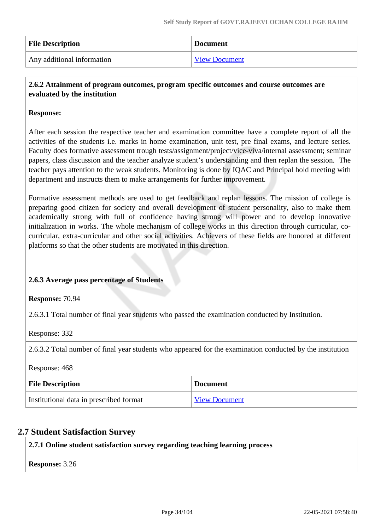| <b>File Description</b>    | <b>Document</b>      |
|----------------------------|----------------------|
| Any additional information | <b>View Document</b> |

## **2.6.2 Attainment of program outcomes, program specific outcomes and course outcomes are evaluated by the institution**

## **Response:**

After each session the respective teacher and examination committee have a complete report of all the activities of the students i.e. marks in home examination, unit test, pre final exams, and lecture series. Faculty does formative assessment trough tests/assignment/project/vice-viva/internal assessment; seminar papers, class discussion and the teacher analyze student's understanding and then replan the session. The teacher pays attention to the weak students. Monitoring is done by IQAC and Principal hold meeting with department and instructs them to make arrangements for further improvement.

Formative assessment methods are used to get feedback and replan lessons. The mission of college is preparing good citizen for society and overall development of student personality, also to make them academically strong with full of confidence having strong will power and to develop innovative initialization in works. The whole mechanism of college works in this direction through curricular, cocurricular, extra-curricular and other social activities. Achievers of these fields are honored at different platforms so that the other students are motivated in this direction.

#### **2.6.3 Average pass percentage of Students**

#### **Response:** 70.94

2.6.3.1 Total number of final year students who passed the examination conducted by Institution.

Response: 332

2.6.3.2 Total number of final year students who appeared for the examination conducted by the institution

Response: 468

| <b>File Description</b>                 | <b>Document</b>      |
|-----------------------------------------|----------------------|
| Institutional data in prescribed format | <b>View Document</b> |

# **2.7 Student Satisfaction Survey**

#### **2.7.1 Online student satisfaction survey regarding teaching learning process**

**Response:** 3.26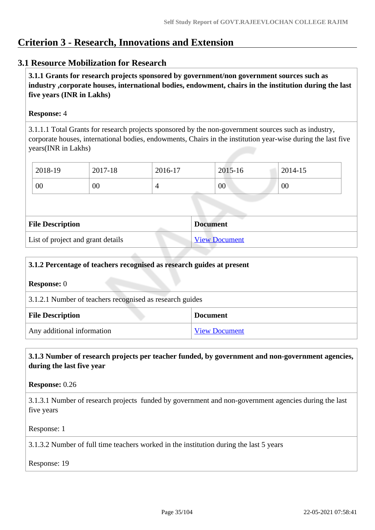# **Criterion 3 - Research, Innovations and Extension**

## **3.1 Resource Mobilization for Research**

 **3.1.1 Grants for research projects sponsored by government/non government sources such as industry ,corporate houses, international bodies, endowment, chairs in the institution during the last five years (INR in Lakhs)** 

#### **Response:** 4

3.1.1.1 Total Grants for research projects sponsored by the non-government sources such as industry, corporate houses, international bodies, endowments, Chairs in the institution year-wise during the last five years(INR in Lakhs)

| 2018-19 | 2017-18 | 2016-17 | 2015-16 | 2014-15 |
|---------|---------|---------|---------|---------|
| 00      | 00      |         | 00      | 00      |

| <b>File Description</b>           | <b>Document</b>      |
|-----------------------------------|----------------------|
| List of project and grant details | <b>View Document</b> |

| 3.1.2 Percentage of teachers recognised as research guides at present |                      |  |
|-----------------------------------------------------------------------|----------------------|--|
| <b>Response:</b> 0                                                    |                      |  |
| 3.1.2.1 Number of teachers recognised as research guides              |                      |  |
| <b>File Description</b>                                               | <b>Document</b>      |  |
| Any additional information                                            | <b>View Document</b> |  |

## **3.1.3 Number of research projects per teacher funded, by government and non-government agencies, during the last five year**

**Response:** 0.26

3.1.3.1 Number of research projects funded by government and non-government agencies during the last five years

Response: 1

3.1.3.2 Number of full time teachers worked in the institution during the last 5 years

Response: 19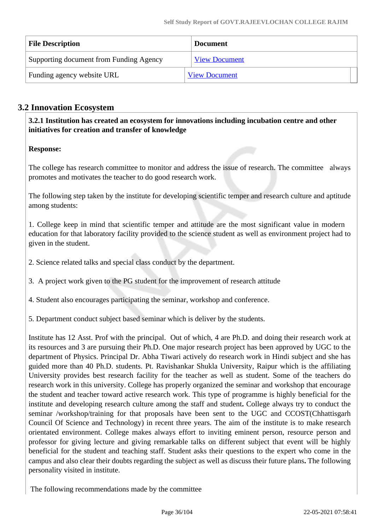| <b>File Description</b>                 | <b>Document</b>      |
|-----------------------------------------|----------------------|
| Supporting document from Funding Agency | <b>View Document</b> |
| Funding agency website URL              | <b>View Document</b> |

# **3.2 Innovation Ecosystem**

 **3.2.1 Institution has created an ecosystem for innovations including incubation centre and other initiatives for creation and transfer of knowledge**

# **Response:**

The college has research committee to monitor and address the issue of research. The committee always promotes and motivates the teacher to do good research work.

The following step taken by the institute for developing scientific temper and research culture and aptitude among students:

1. College keep in mind that scientific temper and attitude are the most significant value in modern education for that laboratory facility provided to the science student as well as environment project had to given in the student.

2. Science related talks and special class conduct by the department.

3. A project work given to the PG student for the improvement of research attitude

4. Student also encourages participating the seminar, workshop and conference.

5. Department conduct subject based seminar which is deliver by the students.

Institute has 12 Asst. Prof with the principal. Out of which, 4 are Ph.D. and doing their research work at its resources and 3 are pursuing their Ph.D. One major research project has been approved by UGC to the department of Physics. Principal Dr. Abha Tiwari actively do research work in Hindi subject and she has guided more than 40 Ph.D. students. Pt. Ravishankar Shukla University, Raipur which is the affiliating University provides best research facility for the teacher as well as student. Some of the teachers do research work in this university. College has properly organized the seminar and workshop that encourage the student and teacher toward active research work. This type of programme is highly beneficial for the institute and developing research culture among the staff and student**.** College always try to conduct the seminar /workshop/training for that proposals have been sent to the UGC and CCOST(Chhattisgarh Council Of Science and Technology) in recent three years. The aim of the institute is to make research orientated environment. College makes always effort to inviting eminent person, resource person and professor for giving lecture and giving remarkable talks on different subject that event will be highly beneficial for the student and teaching staff. Student asks their questions to the expert who come in the campus and also clear their doubts regarding the subject as well as discuss their future plans**.** The following personality visited in institute.

The following recommendations made by the committee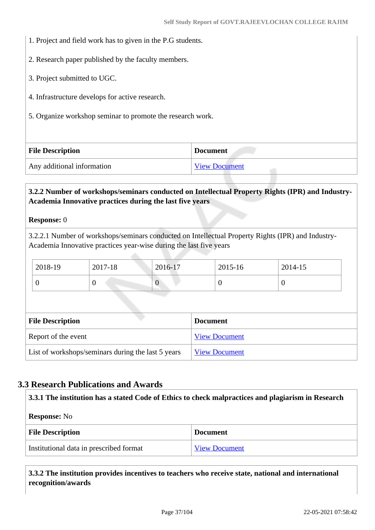1. Project and field work has to given in the P.G students.

2. Research paper published by the faculty members.

3. Project submitted to UGC.

4. Infrastructure develops for active research.

5. Organize workshop seminar to promote the research work.

| <b>File Description</b>    | <b>Document</b> |
|----------------------------|-----------------|
| Any additional information | View Document   |

### **3.2.2 Number of workshops/seminars conducted on Intellectual Property Rights (IPR) and Industry-Academia Innovative practices during the last five years**

#### **Response:** 0

3.2.2.1 Number of workshops/seminars conducted on Intellectual Property Rights (IPR) and Industry-Academia Innovative practices year-wise during the last five years

| 2017-18<br>2016-17<br>2018-19                      | 2015-16<br>2014-15           |
|----------------------------------------------------|------------------------------|
| $\overline{0}$<br>$\theta$<br>$\overline{0}$       | $\boldsymbol{0}$<br>$\theta$ |
|                                                    |                              |
| <b>File Description</b>                            | <b>Document</b>              |
| Report of the event                                | <b>View Document</b>         |
| List of workshops/seminars during the last 5 years | <b>View Document</b>         |

### **3.3 Research Publications and Awards**

#### **3.3.1 The institution has a stated Code of Ethics to check malpractices and plagiarism in Research**

**Response:** No **File Description Document** Institutional data in prescribed format [View Document](https://assessmentonline.naac.gov.in/storage/app/hei/SSR/104584/3.3.1_1566901723_3642.xlsx)

### **3.3.2 The institution provides incentives to teachers who receive state, national and international recognition/awards**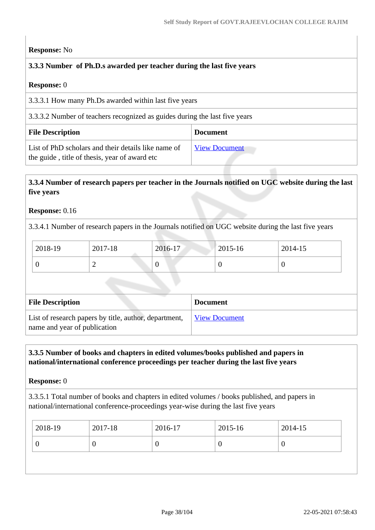### **Response:** No

### **3.3.3 Number of Ph.D.s awarded per teacher during the last five years**

#### **Response:** 0

| 3.3.3.1 How many Ph.Ds awarded within last five years                                                |                      |  |
|------------------------------------------------------------------------------------------------------|----------------------|--|
| 3.3.3.2 Number of teachers recognized as guides during the last five years                           |                      |  |
| <b>File Description</b>                                                                              | <b>Document</b>      |  |
| List of PhD scholars and their details like name of<br>the guide, title of thesis, year of award etc | <b>View Document</b> |  |

# **3.3.4 Number of research papers per teacher in the Journals notified on UGC website during the last five years**

#### **Response:** 0.16

3.3.4.1 Number of research papers in the Journals notified on UGC website during the last five years

| 2018-19 | 2017-18 | 2016-17 | 2015-16 | 2014-15 |
|---------|---------|---------|---------|---------|
|         |         | ິ       |         | ν       |

| <b>File Description</b>                                                               | <b>Document</b>      |
|---------------------------------------------------------------------------------------|----------------------|
| List of research papers by title, author, department,<br>name and year of publication | <b>View Document</b> |

### **3.3.5 Number of books and chapters in edited volumes/books published and papers in national/international conference proceedings per teacher during the last five years**

#### **Response:** 0

3.3.5.1 Total number of books and chapters in edited volumes / books published, and papers in national/international conference-proceedings year-wise during the last five years

| 2018-19<br>2017-18<br>$2015 - 16$<br>$2016-17$<br>2014-15 |  |
|-----------------------------------------------------------|--|
| U<br>ν                                                    |  |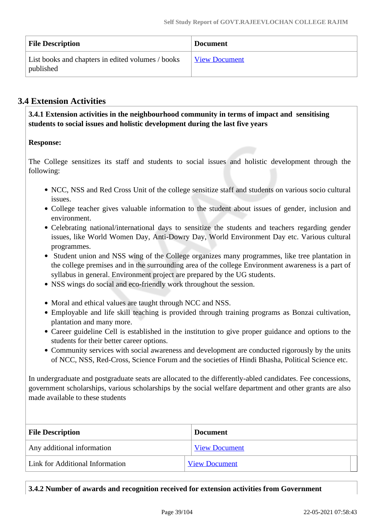| <b>File Description</b>                                        | <b>Document</b>      |
|----------------------------------------------------------------|----------------------|
| List books and chapters in edited volumes / books<br>published | <b>View Document</b> |

# **3.4 Extension Activities**

 **3.4.1 Extension activities in the neighbourhood community in terms of impact and sensitising students to social issues and holistic development during the last five years**

### **Response:**

The College sensitizes its staff and students to social issues and holistic development through the following:

- NCC, NSS and Red Cross Unit of the college sensitize staff and students on various socio cultural issues.
- College teacher gives valuable information to the student about issues of gender, inclusion and environment.
- Celebrating national/international days to sensitize the students and teachers regarding gender issues, like World Women Day, Anti-Dowry Day, World Environment Day etc. Various cultural programmes.
- Student union and NSS wing of the College organizes many programmes, like tree plantation in the college premises and in the surrounding area of the college Environment awareness is a part of syllabus in general. Environment project are prepared by the UG students.
- NSS wings do social and eco-friendly work throughout the session.
- Moral and ethical values are taught through NCC and NSS.
- Employable and life skill teaching is provided through training programs as Bonzai cultivation, plantation and many more.
- Career guideline Cell is established in the institution to give proper guidance and options to the students for their better career options.
- Community services with social awareness and development are conducted rigorously by the units of NCC, NSS, Red-Cross, Science Forum and the societies of Hindi Bhasha, Political Science etc.

In undergraduate and postgraduate seats are allocated to the differently-abled candidates. Fee concessions, government scholarships, various scholarships by the social welfare department and other grants are also made available to these students

| <b>File Description</b>         | <b>Document</b>      |
|---------------------------------|----------------------|
| Any additional information      | <b>View Document</b> |
| Link for Additional Information | <b>View Document</b> |

**3.4.2 Number of awards and recognition received for extension activities from Government**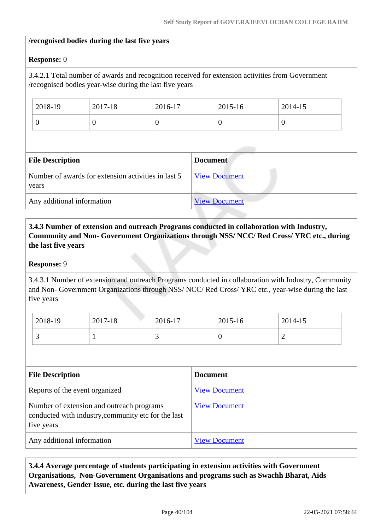#### **/recognised bodies during the last five years**

#### **Response:** 0

3.4.2.1 Total number of awards and recognition received for extension activities from Government /recognised bodies year-wise during the last five years

| 2018-19 | 2017-18 | 2016-17 | 2015-16 | 2014-15 |
|---------|---------|---------|---------|---------|
| ◡       | ◡       | v       | v       |         |

| <b>File Description</b>                                      | <b>Document</b>      |
|--------------------------------------------------------------|----------------------|
| Number of awards for extension activities in last 5<br>years | <b>View Document</b> |
| Any additional information                                   | <b>View Document</b> |

### **3.4.3 Number of extension and outreach Programs conducted in collaboration with Industry, Community and Non- Government Organizations through NSS/ NCC/ Red Cross/ YRC etc., during the last five years**

#### **Response:** 9

3.4.3.1 Number of extension and outreach Programs conducted in collaboration with Industry, Community and Non- Government Organizations through NSS/ NCC/ Red Cross/ YRC etc., year-wise during the last five years

| 2018-19 | 2017-18 | 2016-17 | 2015-16 | 2014-15 |
|---------|---------|---------|---------|---------|
|         |         | ັ       |         | ∼       |

| <b>File Description</b>                                                                                        | <b>Document</b>      |
|----------------------------------------------------------------------------------------------------------------|----------------------|
| Reports of the event organized                                                                                 | <b>View Document</b> |
| Number of extension and outreach programs<br>conducted with industry, community etc for the last<br>five years | <b>View Document</b> |
| Any additional information                                                                                     | <b>View Document</b> |

### **3.4.4 Average percentage of students participating in extension activities with Government Organisations, Non-Government Organisations and programs such as Swachh Bharat, Aids Awareness, Gender Issue, etc. during the last five years**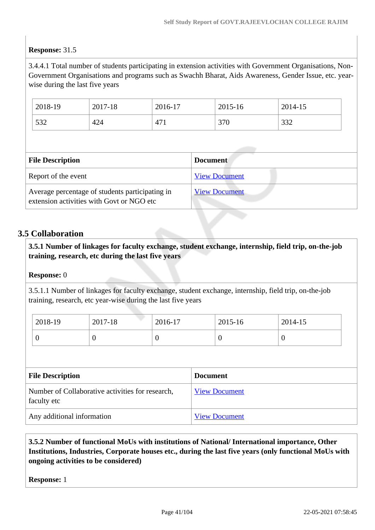# **Response:** 31.5

3.4.4.1 Total number of students participating in extension activities with Government Organisations, Non-Government Organisations and programs such as Swachh Bharat, Aids Awareness, Gender Issue, etc. yearwise during the last five years

| 2018-19 | 2017-18 | 2016-17 | 2015-16 | 2014-15 |
|---------|---------|---------|---------|---------|
| 532     | 424     | 47      | 370     | 332     |

| <b>File Description</b>                                                                      | <b>Document</b>      |
|----------------------------------------------------------------------------------------------|----------------------|
| Report of the event                                                                          | <b>View Document</b> |
| Average percentage of students participating in<br>extension activities with Govt or NGO etc | <b>View Document</b> |

# **3.5 Collaboration**

 **3.5.1 Number of linkages for faculty exchange, student exchange, internship, field trip, on-the-job training, research, etc during the last five years**

### **Response:** 0

3.5.1.1 Number of linkages for faculty exchange, student exchange, internship, field trip, on-the-job training, research, etc year-wise during the last five years

| 2018-19 | 2017-18 | 2016-17 | 2015-16 | 2014-15 |
|---------|---------|---------|---------|---------|
|         |         |         | ν       |         |

| <b>File Description</b>                                         | <b>Document</b>      |
|-----------------------------------------------------------------|----------------------|
| Number of Collaborative activities for research,<br>faculty etc | <b>View Document</b> |
| Any additional information                                      | <b>View Document</b> |

### **3.5.2 Number of functional MoUs with institutions of National/ International importance, Other Institutions, Industries, Corporate houses etc., during the last five years (only functional MoUs with ongoing activities to be considered)**

**Response:** 1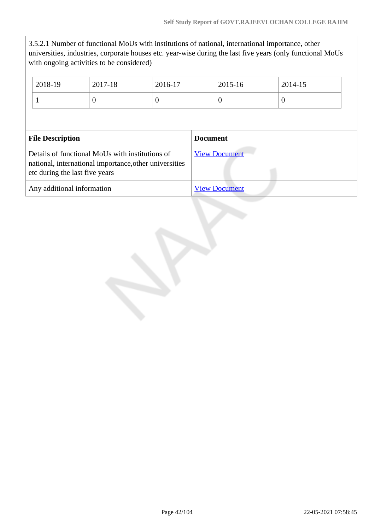3.5.2.1 Number of functional MoUs with institutions of national, international importance, other universities, industries, corporate houses etc. year-wise during the last five years (only functional MoUs with ongoing activities to be considered)

|                                                                                                                                             | 2018-19 | 2017-18 | 2016-17              |                      | $2015 - 16$    | 2014-15  |
|---------------------------------------------------------------------------------------------------------------------------------------------|---------|---------|----------------------|----------------------|----------------|----------|
|                                                                                                                                             | 1       | 0       | $\overline{0}$       |                      | $\overline{0}$ | $\theta$ |
|                                                                                                                                             |         |         |                      |                      |                |          |
| <b>File Description</b>                                                                                                                     |         |         | <b>Document</b>      |                      |                |          |
| Details of functional MoUs with institutions of<br>national, international importance, other universities<br>etc during the last five years |         |         | <b>View Document</b> |                      |                |          |
| Any additional information                                                                                                                  |         |         |                      | <b>View Document</b> |                |          |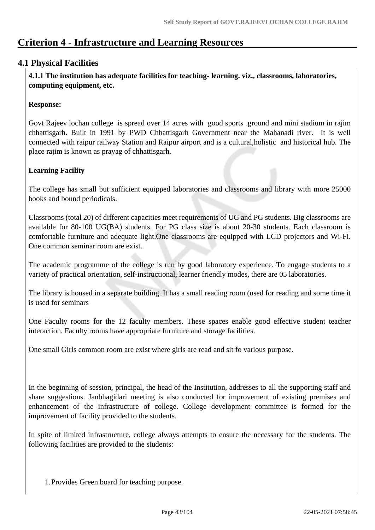# **Criterion 4 - Infrastructure and Learning Resources**

# **4.1 Physical Facilities**

 **4.1.1 The institution has adequate facilities for teaching- learning. viz., classrooms, laboratories, computing equipment, etc.**

### **Response:**

Govt Rajeev lochan college is spread over 14 acres with good sports ground and mini stadium in rajim chhattisgarh. Built in 1991 by PWD Chhattisgarh Government near the Mahanadi river. It is well connected with raipur railway Station and Raipur airport and is a cultural,holistic and historical hub. The place rajim is known as prayag of chhattisgarh.

### **Learning Facility**

The college has small but sufficient equipped laboratories and classrooms and library with more 25000 books and bound periodicals.

Classrooms (total 20) of different capacities meet requirements of UG and PG students. Big classrooms are available for 80-100 UG(BA) students. For PG class size is about 20-30 students. Each classroom is comfortable furniture and adequate light.One classrooms are equipped with LCD projectors and Wi-Fi. One common seminar room are exist.

The academic programme of the college is run by good laboratory experience. To engage students to a variety of practical orientation, self-instructional, learner friendly modes, there are 05 laboratories.

The library is housed in a separate building. It has a small reading room (used for reading and some time it is used for seminars

One Faculty rooms for the 12 faculty members. These spaces enable good effective student teacher interaction. Faculty rooms have appropriate furniture and storage facilities.

One small Girls common room are exist where girls are read and sit fo various purpose.

In the beginning of session, principal, the head of the Institution, addresses to all the supporting staff and share suggestions. Janbhagidari meeting is also conducted for improvement of existing premises and enhancement of the infrastructure of college. College development committee is formed for the improvement of facility provided to the students.

In spite of limited infrastructure, college always attempts to ensure the necessary for the students. The following facilities are provided to the students:

1.Provides Green board for teaching purpose.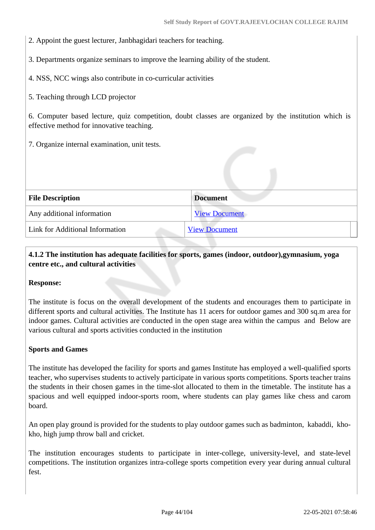2. Appoint the guest lecturer, Janbhagidari teachers for teaching.

3. Departments organize seminars to improve the learning ability of the student.

4. NSS, NCC wings also contribute in co-curricular activities

5. Teaching through LCD projector

6. Computer based lecture, quiz competition, doubt classes are organized by the institution which is effective method for innovative teaching.

7. Organize internal examination, unit tests.

| <b>File Description</b>         | <b>Document</b>      |
|---------------------------------|----------------------|
| Any additional information      | <b>View Document</b> |
| Link for Additional Information | <b>View Document</b> |

### **4.1.2 The institution has adequate facilities for sports, games (indoor, outdoor),gymnasium, yoga centre etc., and cultural activities**

#### **Response:**

The institute is focus on the overall development of the students and encourages them to participate in different sports and cultural activities. The Institute has 11 acers for outdoor games and 300 sq.m area for indoor games. Cultural activities are conducted in the open stage area within the campus and Below are various cultural and sports activities conducted in the institution

#### **Sports and Games**

The institute has developed the facility for sports and games Institute has employed a well-qualified sports teacher, who supervises students to actively participate in various sports competitions. Sports teacher trains the students in their chosen games in the time-slot allocated to them in the timetable. The institute has a spacious and well equipped indoor-sports room, where students can play games like chess and carom board.

An open play ground is provided for the students to play outdoor games such as badminton, kabaddi, khokho, high jump throw ball and cricket.

The institution encourages students to participate in inter-college, university-level, and state-level competitions. The institution organizes intra-college sports competition every year during annual cultural fest.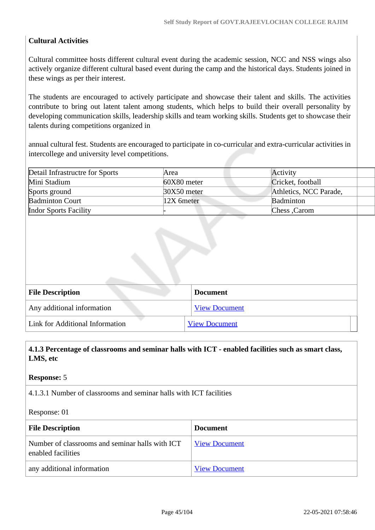### **Cultural Activities**

Cultural committee hosts different cultural event during the academic session, NCC and NSS wings also actively organize different cultural based event during the camp and the historical days. Students joined in these wings as per their interest.

The students are encouraged to actively participate and showcase their talent and skills. The activities contribute to bring out latent talent among students, which helps to build their overall personality by developing communication skills, leadership skills and team working skills. Students get to showcase their talents during competitions organized in

annual cultural fest. Students are encouraged to participate in co-curricular and extra-curricular activities in intercollege and university level competitions.

| Detail Infrastructre for Sports | Area          | Activity               |  |
|---------------------------------|---------------|------------------------|--|
| Mini Stadium                    | $60X80$ meter | Cricket, football      |  |
| Sports ground                   | $30X50$ meter | Athletics, NCC Parade, |  |
| <b>Badminton Court</b>          | $12X$ 6 meter | Badminton              |  |
| <b>Indor Sports Facility</b>    |               | Chess ,Carom           |  |

| <b>File Description</b>         | <b>Document</b>      |
|---------------------------------|----------------------|
| Any additional information      | <b>View Document</b> |
| Link for Additional Information | <b>View Document</b> |

### **4.1.3 Percentage of classrooms and seminar halls with ICT - enabled facilities such as smart class, LMS, etc**

**Response:** 5

4.1.3.1 Number of classrooms and seminar halls with ICT facilities

Response: 01

| <b>File Description</b>                                               | <b>Document</b>      |
|-----------------------------------------------------------------------|----------------------|
| Number of classrooms and seminar halls with ICT<br>enabled facilities | <b>View Document</b> |
| any additional information                                            | <b>View Document</b> |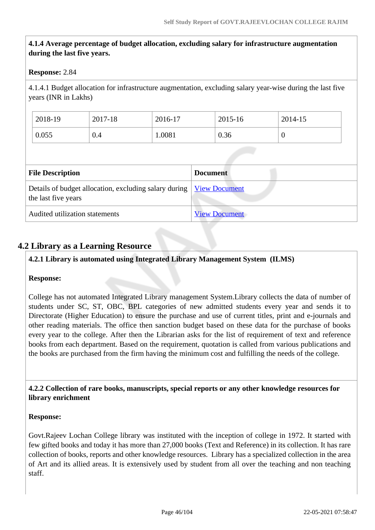| 4.1.4 Average percentage of budget allocation, excluding salary for infrastructure augmentation |
|-------------------------------------------------------------------------------------------------|
| during the last five years.                                                                     |

#### **Response:** 2.84

4.1.4.1 Budget allocation for infrastructure augmentation, excluding salary year-wise during the last five years (INR in Lakhs)

| 2018-19 | 2017-18 | 2016-17 | 2015-16 | 2014-15 |
|---------|---------|---------|---------|---------|
| 0.055   | 0.4     | 1.0081  | 0.36    | v       |

| <b>File Description</b>                                                                           | <b>Document</b>      |
|---------------------------------------------------------------------------------------------------|----------------------|
| Details of budget allocation, excluding salary during <u>View Document</u><br>the last five years |                      |
| Audited utilization statements                                                                    | <b>View Document</b> |

# **4.2 Library as a Learning Resource**

### **4.2.1 Library is automated using Integrated Library Management System (ILMS)**

#### **Response:**

College has not automated Integrated Library management System.Library collects the data of number of students under SC, ST, OBC, BPL categories of new admitted students every year and sends it to Directorate (Higher Education) to ensure the purchase and use of current titles, print and e-journals and other reading materials. The office then sanction budget based on these data for the purchase of books every year to the college. After then the Librarian asks for the list of requirement of text and reference books from each department. Based on the requirement, quotation is called from various publications and the books are purchased from the firm having the minimum cost and fulfilling the needs of the college.

 **4.2.2 Collection of rare books, manuscripts, special reports or any other knowledge resources for library enrichment**

#### **Response:**

Govt.Rajeev Lochan College library was instituted with the inception of college in 1972. It started with few gifted books and today it has more than 27,000 books (Text and Reference) in its collection. It has rare collection of books, reports and other knowledge resources. Library has a specialized collection in the area of Art and its allied areas. It is extensively used by student from all over the teaching and non teaching staff.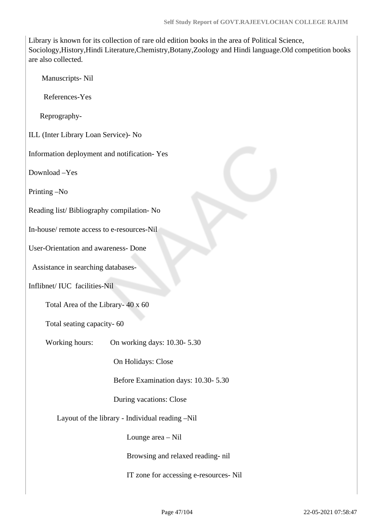Library is known for its collection of rare old edition books in the area of Political Science, Sociology,History,Hindi Literature,Chemistry,Botany,Zoology and Hindi language.Old competition books are also collected.

Manuscripts- Nil

References-Yes

Reprography-

ILL (Inter Library Loan Service)- No

Information deployment and notification- Yes

Download –Yes

Printing –No

Reading list/ Bibliography compilation- No

In-house/ remote access to e-resources-Nil

User-Orientation and awareness- Done

Assistance in searching databases-

Inflibnet/ IUC facilities-Nil

Total Area of the Library- 40 x 60

Total seating capacity- 60

Working hours: On working days: 10.30- 5.30

On Holidays: Close

Before Examination days: 10.30- 5.30

During vacations: Close

Layout of the library - Individual reading –Nil

Lounge area – Nil

Browsing and relaxed reading- nil

IT zone for accessing e-resources- Nil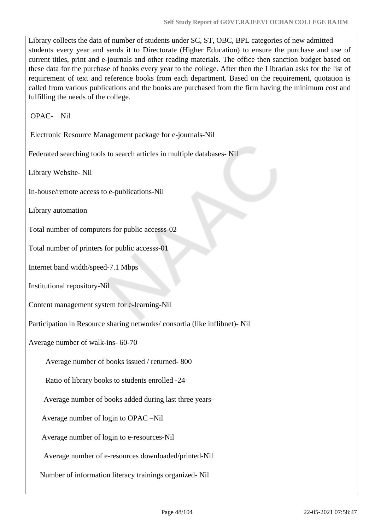Library collects the data of number of students under SC, ST, OBC, BPL categories of new admitted students every year and sends it to Directorate (Higher Education) to ensure the purchase and use of current titles, print and e-journals and other reading materials. The office then sanction budget based on these data for the purchase of books every year to the college. After then the Librarian asks for the list of requirement of text and reference books from each department. Based on the requirement, quotation is called from various publications and the books are purchased from the firm having the minimum cost and fulfilling the needs of the college.

OPAC- Nil

Electronic Resource Management package for e-journals-Nil

Federated searching tools to search articles in multiple databases- Nil

Library Website- Nil

In-house/remote access to e-publications-Nil

Library automation

Total number of computers for public accesss-02

Total number of printers for public accesss-01

Internet band width/speed-7.1 Mbps

Institutional repository-Nil

Content management system for e-learning-Nil

Participation in Resource sharing networks/ consortia (like inflibnet)- Nil

Average number of walk-ins- 60-70

Average number of books issued / returned- 800

Ratio of library books to students enrolled -24

Average number of books added during last three years-

Average number of login to OPAC –Nil

Average number of login to e-resources-Nil

Average number of e-resources downloaded/printed-Nil

Number of information literacy trainings organized- Nil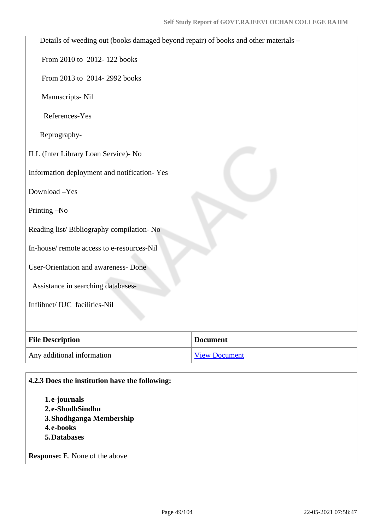Details of weeding out (books damaged beyond repair) of books and other materials –

From 2010 to 2012- 122 books

From 2013 to 2014- 2992 books

Manuscripts- Nil

References-Yes

Reprography-

ILL (Inter Library Loan Service)- No

Information deployment and notification- Yes

Download –Yes

Printing –No

Reading list/ Bibliography compilation- No

In-house/ remote access to e-resources-Nil

User-Orientation and awareness- Done

Assistance in searching databases-

Inflibnet/ IUC facilities-Nil

| <b>File Description</b>    | <b>Document</b>      |
|----------------------------|----------------------|
| Any additional information | <b>View Document</b> |

**4.2.3 Does the institution have the following:**

**1.e-journals 2.e-ShodhSindhu 3.Shodhganga Membership 4.e-books 5.Databases**

**Response:** E. None of the above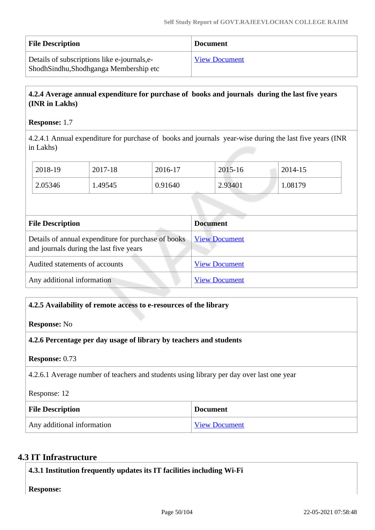| <b>File Description</b>                                                               | <b>Document</b>      |
|---------------------------------------------------------------------------------------|----------------------|
| Details of subscriptions like e-journals, e-<br>ShodhSindhu,Shodhganga Membership etc | <b>View Document</b> |

# **4.2.4 Average annual expenditure for purchase of books and journals during the last five years (INR in Lakhs)**

#### **Response:** 1.7

4.2.4.1 Annual expenditure for purchase of books and journals year-wise during the last five years (INR in Lakhs)

| 2018-19 | 2017-18 | 2016-17 | 2015-16 | 2014-15 |
|---------|---------|---------|---------|---------|
| 2.05346 | .49545  | 0.91640 | 2.93401 | 1.08179 |

| <b>File Description</b>                                                                        | <b>Document</b>      |
|------------------------------------------------------------------------------------------------|----------------------|
| Details of annual expenditure for purchase of books<br>and journals during the last five years | <b>View Document</b> |
| Audited statements of accounts                                                                 | <b>View Document</b> |
| Any additional information                                                                     | <b>View Document</b> |

### **4.2.5 Availability of remote access to e-resources of the library**

**Response:** No

### **4.2.6 Percentage per day usage of library by teachers and students**

#### **Response:** 0.73

4.2.6.1 Average number of teachers and students using library per day over last one year

#### Response: 12

| <b>File Description</b>    | <b>Document</b>      |
|----------------------------|----------------------|
| Any additional information | <b>View Document</b> |

### **4.3 IT Infrastructure**

**4.3.1 Institution frequently updates its IT facilities including Wi-Fi**

**Response:**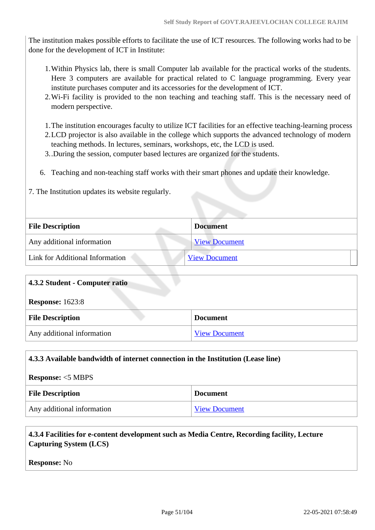The institution makes possible efforts to facilitate the use of ICT resources. The following works had to be done for the development of ICT in Institute:

- 1.Within Physics lab, there is small Computer lab available for the practical works of the students. Here 3 computers are available for practical related to C language programming. Every year institute purchases computer and its accessories for the development of ICT.
- 2.Wi-Fi facility is provided to the non teaching and teaching staff. This is the necessary need of modern perspective.
- 1.The institution encourages faculty to utilize ICT facilities for an effective teaching-learning process
- 2.LCD projector is also available in the college which supports the advanced technology of modern teaching methods. In lectures, seminars, workshops, etc, the LCD is used.
- 3..During the session, computer based lectures are organized for the students.

6. Teaching and non-teaching staff works with their smart phones and update their knowledge.

7. The Institution updates its website regularly.

| <b>File Description</b>         | <b>Document</b>      |
|---------------------------------|----------------------|
| Any additional information      | <b>View Document</b> |
| Link for Additional Information | <b>View Document</b> |

| 4.3.2 Student - Computer ratio |                      |
|--------------------------------|----------------------|
| <b>Response:</b> 1623:8        |                      |
| <b>File Description</b>        | <b>Document</b>      |
| Any additional information     | <b>View Document</b> |

| 4.3.3 Available bandwidth of internet connection in the Institution (Lease line) |                      |
|----------------------------------------------------------------------------------|----------------------|
| <b>Response:</b> $<$ 5 MBPS                                                      |                      |
| <b>File Description</b><br><b>Document</b>                                       |                      |
| Any additional information                                                       | <b>View Document</b> |

### **4.3.4 Facilities for e-content development such as Media Centre, Recording facility, Lecture Capturing System (LCS)**

**Response:** No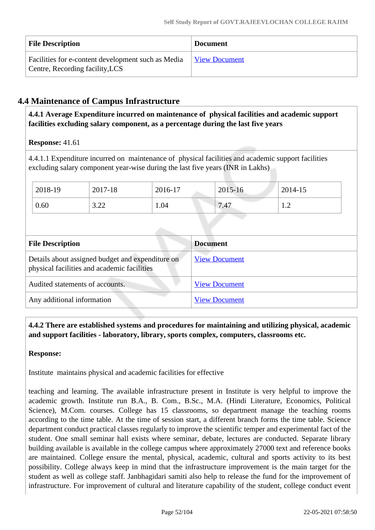| <b>File Description</b>                                                               | <b>Document</b>      |
|---------------------------------------------------------------------------------------|----------------------|
| Facilities for e-content development such as Media<br>Centre, Recording facility, LCS | <b>View Document</b> |

# **4.4 Maintenance of Campus Infrastructure**

 **4.4.1 Average Expenditure incurred on maintenance of physical facilities and academic support facilities excluding salary component, as a percentage during the last five years**

**Response:** 41.61

4.4.1.1 Expenditure incurred on maintenance of physical facilities and academic support facilities excluding salary component year-wise during the last five years (INR in Lakhs)

| 2018-19 | 2017-18              | 2016-17 | 2015-16                | 2014-15                                       |
|---------|----------------------|---------|------------------------|-----------------------------------------------|
| 0.60    | റ ററ<br>J. <i>ll</i> | 1.04    | $\overline{a}$<br>1.47 | $\sqrt{ }$<br>$\overline{1}$ . $\overline{2}$ |

| <b>File Description</b>                                                                         | <b>Document</b>      |
|-------------------------------------------------------------------------------------------------|----------------------|
| Details about assigned budget and expenditure on<br>physical facilities and academic facilities | <b>View Document</b> |
| Audited statements of accounts.                                                                 | <b>View Document</b> |
| Any additional information                                                                      | <b>View Document</b> |

 **4.4.2 There are established systems and procedures for maintaining and utilizing physical, academic and support facilities - laboratory, library, sports complex, computers, classrooms etc.**

# **Response:**

Institute maintains physical and academic facilities for effective

teaching and learning. The available infrastructure present in Institute is very helpful to improve the academic growth. Institute run B.A., B. Com., B.Sc., M.A. (Hindi Literature, Economics, Political Science), M.Com. courses. College has 15 classrooms, so department manage the teaching rooms according to the time table. At the time of session start, a different branch forms the time table. Science department conduct practical classes regularly to improve the scientific temper and experimental fact of the student. One small seminar hall exists where seminar, debate, lectures are conducted. Separate library building available is available in the college campus where approximately 27000 text and reference books are maintained. College ensure the mental, physical, academic, cultural and sports activity to its best possibility. College always keep in mind that the infrastructure improvement is the main target for the student as well as college staff. Janbhagidari samiti also help to release the fund for the improvement of infrastructure. For improvement of cultural and literature capability of the student, college conduct event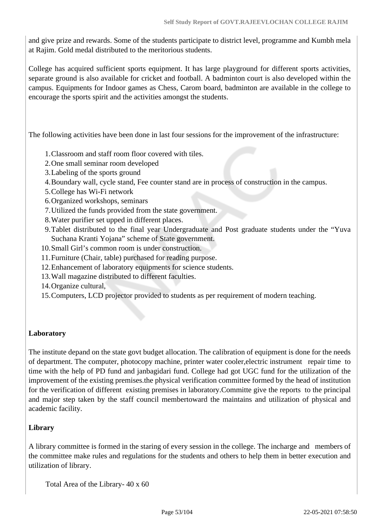and give prize and rewards. Some of the students participate to district level, programme and Kumbh mela at Rajim. Gold medal distributed to the meritorious students.

College has acquired sufficient sports equipment. It has large playground for different sports activities, separate ground is also available for cricket and football. A badminton court is also developed within the campus. Equipments for Indoor games as Chess, Carom board, badminton are available in the college to encourage the sports spirit and the activities amongst the students.

The following activities have been done in last four sessions for the improvement of the infrastructure:

- 1.Classroom and staff room floor covered with tiles.
- 2.One small seminar room developed
- 3.Labeling of the sports ground
- 4.Boundary wall, cycle stand, Fee counter stand are in process of construction in the campus.
- 5.College has Wi-Fi network
- 6.Organized workshops, seminars
- 7.Utilized the funds provided from the state government.
- 8.Water purifier set upped in different places.
- 9.Tablet distributed to the final year Undergraduate and Post graduate students under the "Yuva Suchana Kranti Yojana" scheme of State government.
- 10.Small Girl's common room is under construction.
- 11.Furniture (Chair, table) purchased for reading purpose.
- 12.Enhancement of laboratory equipments for science students.
- 13.Wall magazine distributed to different faculties.
- 14.Organize cultural,
- 15.Computers, LCD projector provided to students as per requirement of modern teaching.

### **Laboratory**

The institute depand on the state govt budget allocation. The calibration of equipment is done for the needs of department. The computer, photocopy machine, printer water cooler,electric instrument repair time to time with the help of PD fund and janbagidari fund. College had got UGC fund for the utilization of the improvement of the existing premises.the physical verification committee formed by the head of institution for the verification of different existing premises in laboratory.Committe give the reports to the principal and major step taken by the staff council membertoward the maintains and utilization of physical and academic facility.

# **Library**

A library committee is formed in the staring of every session in the college. The incharge and members of the committee make rules and regulations for the students and others to help them in better execution and utilization of library.

Total Area of the Library- 40 x 60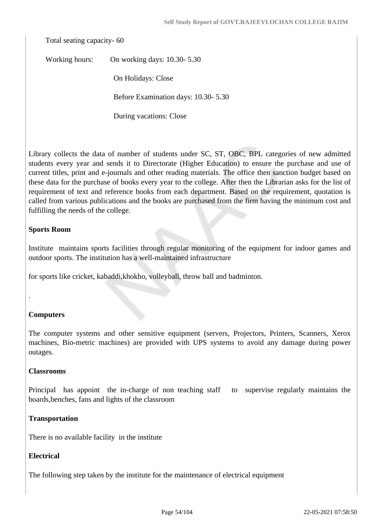Total seating capacity- 60

Working hours: On working days: 10.30- 5.30

On Holidays: Close

Before Examination days: 10.30- 5.30

During vacations: Close

Library collects the data of number of students under SC, ST, OBC, BPL categories of new admitted students every year and sends it to Directorate (Higher Education) to ensure the purchase and use of current titles, print and e-journals and other reading materials. The office then sanction budget based on these data for the purchase of books every year to the college. After then the Librarian asks for the list of requirement of text and reference books from each department. Based on the requirement, quotation is called from various publications and the books are purchased from the firm having the minimum cost and fulfilling the needs of the college.

#### **Sports Room**

Institute maintains sports facilities through regular monitoring of the equipment for indoor games and outdoor sports. The institution has a well-maintained infrastructure

for sports like cricket, kabaddi,khokho, volleyball, throw ball and badminton.

### **Computers**

.

The computer systems and other sensitive equipment (servers, Projectors, Printers, Scanners, Xerox machines, Bio-metric machines) are provided with UPS systems to avoid any damage during power outages.

#### **Classrooms**

Principal has appoint the in-charge of non teaching staff to supervise regularly maintains the boards,benches, fans and lights of the classroom

#### **Transportation**

There is no available facility in the institute

#### **Electrical**

The following step taken by the institute for the maintenance of electrical equipment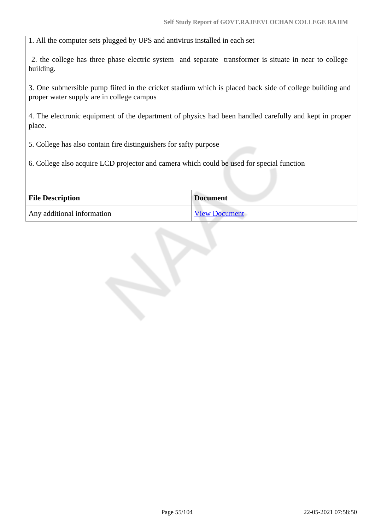1. All the computer sets plugged by UPS and antivirus installed in each set

 2. the college has three phase electric system and separate transformer is situate in near to college building.

3. One submersible pump fiited in the cricket stadium which is placed back side of college building and proper water supply are in college campus

4. The electronic equipment of the department of physics had been handled carefully and kept in proper place.

5. College has also contain fire distinguishers for safty purpose

6. College also acquire LCD projector and camera which could be used for special function

| <b>File Description</b>    | <b>Document</b>      |
|----------------------------|----------------------|
| Any additional information | <b>View Document</b> |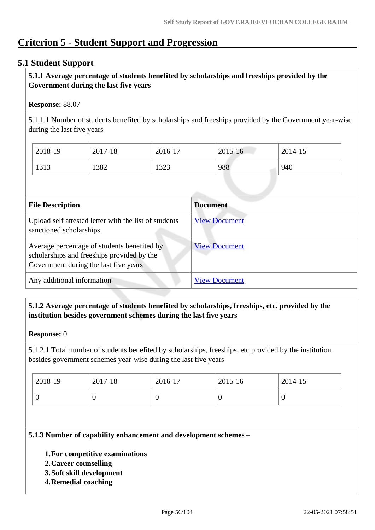# **Criterion 5 - Student Support and Progression**

# **5.1 Student Support**

### **5.1.1 Average percentage of students benefited by scholarships and freeships provided by the Government during the last five years**

### **Response:** 88.07

5.1.1.1 Number of students benefited by scholarships and freeships provided by the Government year-wise during the last five years

| 2018-19 | 2017-18 | 2016-17 | $2015 - 16$ | 2014-15 |
|---------|---------|---------|-------------|---------|
| 1313    | 1382    | 1323    | 988         | 940     |

| <b>File Description</b>                                                                                                            | <b>Document</b>      |
|------------------------------------------------------------------------------------------------------------------------------------|----------------------|
| Upload self attested letter with the list of students<br>sanctioned scholarships                                                   | <b>View Document</b> |
| Average percentage of students benefited by<br>scholarships and freeships provided by the<br>Government during the last five years | <b>View Document</b> |
| Any additional information                                                                                                         | <b>View Document</b> |

# **5.1.2 Average percentage of students benefited by scholarships, freeships, etc. provided by the institution besides government schemes during the last five years**

### **Response:** 0

5.1.2.1 Total number of students benefited by scholarships, freeships, etc provided by the institution besides government schemes year-wise during the last five years

| 2018-19 | 2017-18 | 2016-17 | 2015-16 | 2014-15 |
|---------|---------|---------|---------|---------|
|         | ິ       | ν       |         | ◡       |

### **5.1.3 Number of capability enhancement and development schemes –**

- **1.For competitive examinations**
- **2.Career counselling**
- **3.Soft skill development**
- **4.Remedial coaching**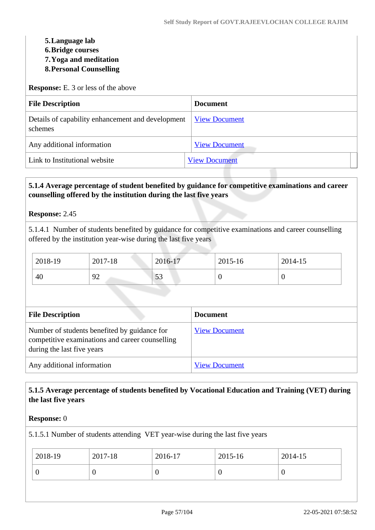### **5.Language lab**

- **6.Bridge courses**
- **7.Yoga and meditation**
- **8.Personal Counselling**

**Response:** E. 3 or less of the above

| <b>File Description</b>                                      | <b>Document</b>      |
|--------------------------------------------------------------|----------------------|
| Details of capability enhancement and development<br>schemes | <b>View Document</b> |
| Any additional information                                   | <b>View Document</b> |
| Link to Institutional website                                | <b>View Document</b> |

# **5.1.4 Average percentage of student benefited by guidance for competitive examinations and career counselling offered by the institution during the last five years**

#### **Response:** 2.45

5.1.4.1 Number of students benefited by guidance for competitive examinations and career counselling offered by the institution year-wise during the last five years

| 2018-19 | 2017-18 | 2016-17  | 2015-16 | 2014-15 |
|---------|---------|----------|---------|---------|
| 40      | 92      | ⊏∩<br>ЭJ | ν       | v       |

| <b>File Description</b>                                                                                                       | <b>Document</b>      |
|-------------------------------------------------------------------------------------------------------------------------------|----------------------|
| Number of students benefited by guidance for<br>competitive examinations and career counselling<br>during the last five years | <b>View Document</b> |
| Any additional information                                                                                                    | <b>View Document</b> |

### **5.1.5 Average percentage of students benefited by Vocational Education and Training (VET) during the last five years**

#### **Response:** 0

5.1.5.1 Number of students attending VET year-wise during the last five years

| 2018-19 | 2016-17<br>2017-18 | 2015-16 | 2014-15 |  |
|---------|--------------------|---------|---------|--|
| U       | v                  |         | ν       |  |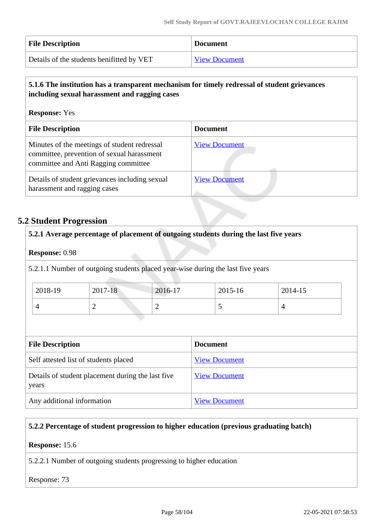| <b>File Description</b>                   | <b>Document</b>      |
|-------------------------------------------|----------------------|
| Details of the students benifitted by VET | <b>View Document</b> |

# **5.1.6 The institution has a transparent mechanism for timely redressal of student grievances including sexual harassment and ragging cases**

### **Response:** Yes

| <b>File Description</b>                                                                                                            | <b>Document</b>      |
|------------------------------------------------------------------------------------------------------------------------------------|----------------------|
| Minutes of the meetings of student redressal<br>committee, prevention of sexual harassment<br>committee and Anti Ragging committee | <b>View Document</b> |
| Details of student grievances including sexual<br>harassment and ragging cases                                                     | <b>View Document</b> |

# **5.2 Student Progression**

# **5.2.1 Average percentage of placement of outgoing students during the last five years**

### **Response:** 0.98

5.2.1.1 Number of outgoing students placed year-wise during the last five years

| 2018-19 | 2017-18 | 2016-17 | $2015 - 16$ | 2014-15 |
|---------|---------|---------|-------------|---------|
|         | ∼       | ∽       | ັ           |         |

| <b>File Description</b>                                    | <b>Document</b>      |
|------------------------------------------------------------|----------------------|
| Self attested list of students placed                      | <b>View Document</b> |
| Details of student placement during the last five<br>years | <b>View Document</b> |
| Any additional information                                 | <b>View Document</b> |

# **5.2.2 Percentage of student progression to higher education (previous graduating batch)**

### **Response:** 15.6

5.2.2.1 Number of outgoing students progressing to higher education

#### Response: 73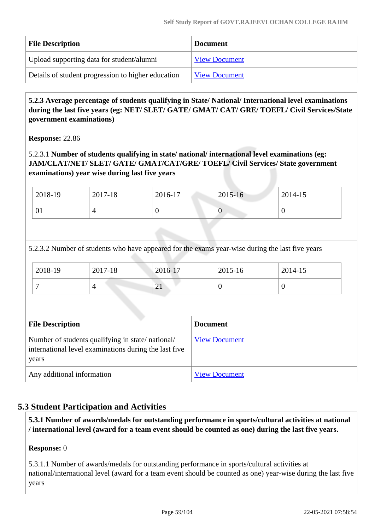| <b>File Description</b>                            | <b>Document</b>      |
|----------------------------------------------------|----------------------|
| Upload supporting data for student/alumni          | <b>View Document</b> |
| Details of student progression to higher education | <b>View Document</b> |

# **5.2.3 Average percentage of students qualifying in State/ National/ International level examinations during the last five years (eg: NET/ SLET/ GATE/ GMAT/ CAT/ GRE/ TOEFL/ Civil Services/State government examinations)**

**Response:** 22.86

# 5.2.3.1 **Number of students qualifying in state/ national/ international level examinations (eg: JAM/CLAT/NET/ SLET/ GATE/ GMAT/CAT/GRE/ TOEFL/ Civil Services/ State government examinations) year wise during last five years**

| 2018-19 | 2017-18 | 2016-17 | 2015-16 | 2014-15 |
|---------|---------|---------|---------|---------|
| U I     |         | U       |         |         |

### 5.2.3.2 Number of students who have appeared for the exams year-wise during the last five years

| 2018-19 | 2017-18 | $2016 - 17$ | 2015-16 | 2014-15 |
|---------|---------|-------------|---------|---------|
|         |         | $\sim$ 1    |         |         |

| <b>File Description</b>                                                                                            | <b>Document</b>      |
|--------------------------------------------------------------------------------------------------------------------|----------------------|
| Number of students qualifying in state/national/<br>international level examinations during the last five<br>years | <b>View Document</b> |
| Any additional information                                                                                         | <b>View Document</b> |

# **5.3 Student Participation and Activities**

 **5.3.1 Number of awards/medals for outstanding performance in sports/cultural activities at national / international level (award for a team event should be counted as one) during the last five years.**

### **Response:** 0

5.3.1.1 Number of awards/medals for outstanding performance in sports/cultural activities at national/international level (award for a team event should be counted as one) year-wise during the last five years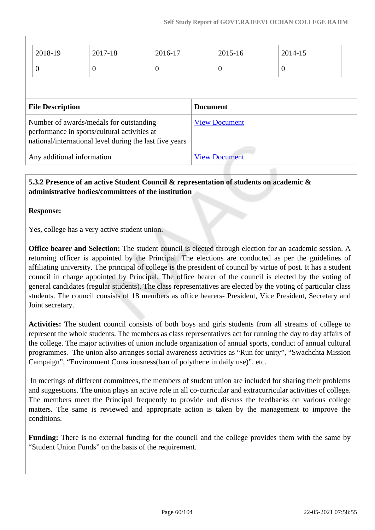|                                                                                                                                                    | 2018-19        | 2017-18         | 2016-17              |                      | 2015-16  | 2014-15        |  |
|----------------------------------------------------------------------------------------------------------------------------------------------------|----------------|-----------------|----------------------|----------------------|----------|----------------|--|
|                                                                                                                                                    | $\overline{0}$ | $\theta$        | $\overline{0}$       |                      | $\theta$ | $\overline{0}$ |  |
|                                                                                                                                                    |                |                 |                      |                      |          |                |  |
| <b>File Description</b>                                                                                                                            |                | <b>Document</b> |                      |                      |          |                |  |
| Number of awards/medals for outstanding<br>performance in sports/cultural activities at<br>national/international level during the last five years |                |                 | <b>View Document</b> |                      |          |                |  |
| Any additional information                                                                                                                         |                |                 |                      | <b>View Document</b> |          |                |  |

# **5.3.2 Presence of an active Student Council & representation of students on academic & administrative bodies/committees of the institution**

### **Response:**

Yes, college has a very active student union.

**Office bearer and Selection:** The student council is elected through election for an academic session. A returning officer is appointed by the Principal. The elections are conducted as per the guidelines of affiliating university. The principal of college is the president of council by virtue of post. It has a student council in charge appointed by Principal. The office bearer of the council is elected by the voting of general candidates (regular students). The class representatives are elected by the voting of particular class students. The council consists of 18 members as office bearers- President, Vice President, Secretary and Joint secretary.

**Activities:** The student council consists of both boys and girls students from all streams of college to represent the whole students. The members as class representatives act for running the day to day affairs of the college. The major activities of union include organization of annual sports, conduct of annual cultural programmes. The union also arranges social awareness activities as "Run for unity", "Swachchta Mission Campaign", "Environment Consciousness(ban of polythene in daily use)", etc.

 In meetings of different committees, the members of student union are included for sharing their problems and suggestions. The union plays an active role in all co-curricular and extracurricular activities of college. The members meet the Principal frequently to provide and discuss the feedbacks on various college matters. The same is reviewed and appropriate action is taken by the management to improve the conditions.

**Funding:** There is no external funding for the council and the college provides them with the same by "Student Union Funds" on the basis of the requirement.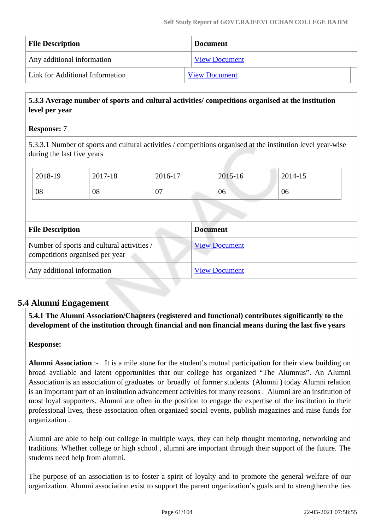| <b>File Description</b>         | <b>Document</b>      |
|---------------------------------|----------------------|
| Any additional information      | <b>View Document</b> |
| Link for Additional Information | <b>View Document</b> |

### **5.3.3 Average number of sports and cultural activities/ competitions organised at the institution level per year**

#### **Response:** 7

5.3.3.1 Number of sports and cultural activities / competitions organised at the institution level year-wise during the last five years

| 2018-19 | 2017-18 | 2016-17 | 2015-16 | 2014-15 |
|---------|---------|---------|---------|---------|
| 08      | 08      | 07      | 06      | 06      |

| <b>File Description</b>                                                       | <b>Document</b>      |
|-------------------------------------------------------------------------------|----------------------|
| Number of sports and cultural activities /<br>competitions organised per year | <b>View Document</b> |
| Any additional information                                                    | <b>View Document</b> |

# **5.4 Alumni Engagement**

 **5.4.1 The Alumni Association/Chapters (registered and functional) contributes significantly to the development of the institution through financial and non financial means during the last five years**

### **Response:**

**Alumni Association** :- It is a mile stone for the student's mutual participation for their view building on broad available and latent opportunities that our college has organized "The Alumnus". An Alumni Association is an association of graduates or broadly of former students (Alumni ) today Alumni relation is an important part of an institution advancement activities for many reasons . Alumni are an institution of most loyal supporters. Alumni are often in the position to engage the expertise of the institution in their professional lives, these association often organized social events, publish magazines and raise funds for organization .

Alumni are able to help out college in multiple ways, they can help thought mentoring, networking and traditions. Whether college or high school , alumni are important through their support of the future. The students need help from alumni.

The purpose of an association is to foster a spirit of loyalty and to promote the general welfare of our organization. Alumni association exist to support the parent organization's goals and to strengthen the ties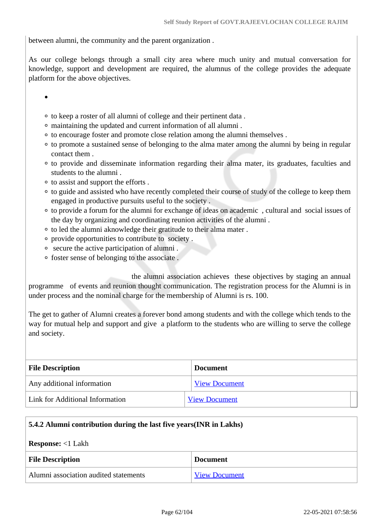between alumni, the community and the parent organization .

As our college belongs through a small city area where much unity and mutual conversation for knowledge, support and development are required, the alumnus of the college provides the adequate platform for the above objectives.

- to keep a roster of all alumni of college and their pertinent data.
- maintaining the updated and current information of all alumni .
- to encourage foster and promote close relation among the alumni themselves .
- to promote a sustained sense of belonging to the alma mater among the alumni by being in regular contact them .
- to provide and disseminate information regarding their alma mater, its graduates, faculties and students to the alumni .
- to assist and support the efforts.
- to guide and assisted who have recently completed their course of study of the college to keep them engaged in productive pursuits useful to the society .
- to provide a forum for the alumni for exchange of ideas on academic , cultural and social issues of the day by organizing and coordinating reunion activities of the alumni .
- to led the alumni aknowledge their gratitude to their alma mater .
- provide opportunities to contribute to society .
- secure the active participation of alumni .
- foster sense of belonging to the associate .

 the alumni association achieves these objectives by staging an annual programme of events and reunion thought communication. The registration process for the Alumni is in under process and the nominal charge for the membership of Alumni is rs. 100.

The get to gather of Alumni creates a forever bond among students and with the college which tends to the way for mutual help and support and give a platform to the students who are willing to serve the college and society.

| <b>File Description</b>         | <b>Document</b>      |  |
|---------------------------------|----------------------|--|
| Any additional information      | <b>View Document</b> |  |
| Link for Additional Information | <b>View Document</b> |  |

#### **5.4.2 Alumni contribution during the last five years(INR in Lakhs)**

#### **Response:** <1 Lakh

| <b>File Description</b>               | <b>Document</b>      |
|---------------------------------------|----------------------|
| Alumni association audited statements | <b>View Document</b> |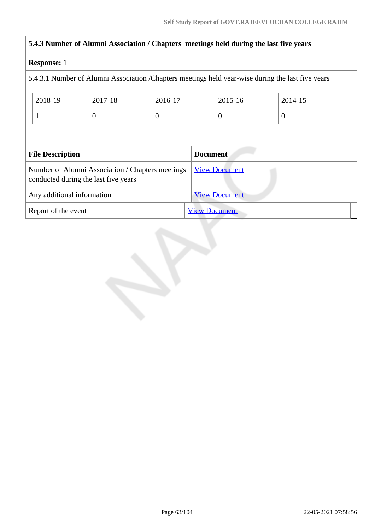|                            |                                                                                          |                | 5.4.3 Number of Alumni Association / Chapters meetings held during the last five years             |          |
|----------------------------|------------------------------------------------------------------------------------------|----------------|----------------------------------------------------------------------------------------------------|----------|
| <b>Response:</b> 1         |                                                                                          |                |                                                                                                    |          |
|                            |                                                                                          |                | 5.4.3.1 Number of Alumni Association / Chapters meetings held year-wise during the last five years |          |
| 2018-19                    | 2017-18                                                                                  | 2016-17        | $2015 - 16$                                                                                        | 2014-15  |
|                            | $\theta$                                                                                 | $\overline{0}$ | $\theta$                                                                                           | $\theta$ |
| <b>File Description</b>    |                                                                                          |                | <b>Document</b>                                                                                    |          |
|                            | Number of Alumni Association / Chapters meetings<br>conducted during the last five years |                | <b>View Document</b>                                                                               |          |
| Any additional information |                                                                                          |                | <b>View Document</b>                                                                               |          |
| Report of the event        |                                                                                          |                | <b>View Document</b>                                                                               |          |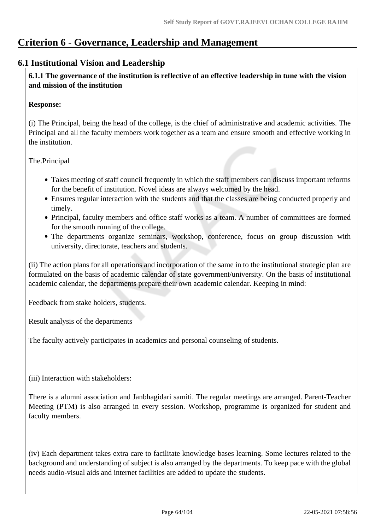# **Criterion 6 - Governance, Leadership and Management**

# **6.1 Institutional Vision and Leadership**

 **6.1.1 The governance of the institution is reflective of an effective leadership in tune with the vision and mission of the institution**

### **Response:**

(i) The Principal, being the head of the college, is the chief of administrative and academic activities. The Principal and all the faculty members work together as a team and ensure smooth and effective working in the institution.

The.Principal

- Takes meeting of staff council frequently in which the staff members can discuss important reforms for the benefit of institution. Novel ideas are always welcomed by the head.
- Ensures regular interaction with the students and that the classes are being conducted properly and timely.
- Principal, faculty members and office staff works as a team. A number of committees are formed for the smooth running of the college.
- The departments organize seminars, workshop, conference, focus on group discussion with university, directorate, teachers and students.

(ii) The action plans for all operations and incorporation of the same in to the institutional strategic plan are formulated on the basis of academic calendar of state government/university. On the basis of institutional academic calendar, the departments prepare their own academic calendar. Keeping in mind:

Feedback from stake holders, students.

Result analysis of the departments

The faculty actively participates in academics and personal counseling of students.

(iii) Interaction with stakeholders:

There is a alumni association and Janbhagidari samiti. The regular meetings are arranged. Parent-Teacher Meeting (PTM) is also arranged in every session. Workshop, programme is organized for student and faculty members.

(iv) Each department takes extra care to facilitate knowledge bases learning. Some lectures related to the background and understanding of subject is also arranged by the departments. To keep pace with the global needs audio-visual aids and internet facilities are added to update the students.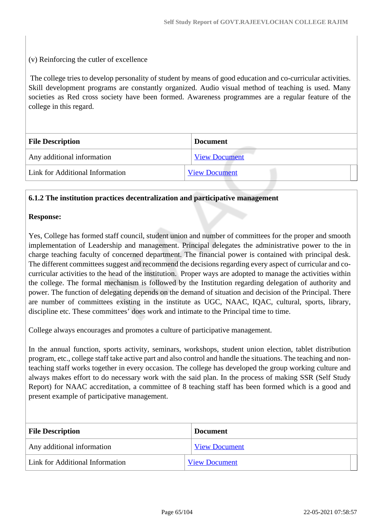### (v) Reinforcing the cutler of excellence

 The college tries to develop personality of student by means of good education and co-curricular activities. Skill development programs are constantly organized. Audio visual method of teaching is used. Many societies as Red cross society have been formed. Awareness programmes are a regular feature of the college in this regard.

| <b>File Description</b>         | <b>Document</b>      |
|---------------------------------|----------------------|
| Any additional information      | <b>View Document</b> |
| Link for Additional Information | <b>View Document</b> |

#### **6.1.2 The institution practices decentralization and participative management**

#### **Response:**

Yes, College has formed staff council, student union and number of committees for the proper and smooth implementation of Leadership and management. Principal delegates the administrative power to the in charge teaching faculty of concerned department. The financial power is contained with principal desk. The different committees suggest and recommend the decisions regarding every aspect of curricular and cocurricular activities to the head of the institution. Proper ways are adopted to manage the activities within the college. The formal mechanism is followed by the Institution regarding delegation of authority and power. The function of delegating depends on the demand of situation and decision of the Principal. There are number of committees existing in the institute as UGC, NAAC, IQAC, cultural, sports, library, discipline etc. These committees' does work and intimate to the Principal time to time.

College always encourages and promotes a culture of participative management.

In the annual function, sports activity, seminars, workshops, student union election, tablet distribution program, etc., college staff take active part and also control and handle the situations. The teaching and nonteaching staff works together in every occasion. The college has developed the group working culture and always makes effort to do necessary work with the said plan. In the process of making SSR (Self Study Report) for NAAC accreditation, a committee of 8 teaching staff has been formed which is a good and present example of participative management.

| <b>File Description</b>         | <b>Document</b>      |
|---------------------------------|----------------------|
| Any additional information      | <b>View Document</b> |
| Link for Additional Information | <b>View Document</b> |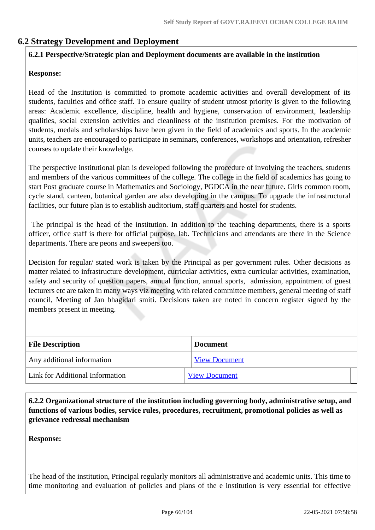# **6.2 Strategy Development and Deployment**

### **6.2.1 Perspective/Strategic plan and Deployment documents are available in the institution**

#### **Response:**

Head of the Institution is committed to promote academic activities and overall development of its students, faculties and office staff. To ensure quality of student utmost priority is given to the following areas: Academic excellence, discipline, health and hygiene, conservation of environment, leadership qualities, social extension activities and cleanliness of the institution premises. For the motivation of students, medals and scholarships have been given in the field of academics and sports. In the academic units, teachers are encouraged to participate in seminars, conferences, workshops and orientation, refresher courses to update their knowledge.

The perspective institutional plan is developed following the procedure of involving the teachers, students and members of the various committees of the college. The college in the field of academics has going to start Post graduate course in Mathematics and Sociology, PGDCA in the near future. Girls common room, cycle stand, canteen, botanical garden are also developing in the campus. To upgrade the infrastructural facilities, our future plan is to establish auditorium, staff quarters and hostel for students.

 The principal is the head of the institution. In addition to the teaching departments, there is a sports officer, office staff is there for official purpose, lab. Technicians and attendants are there in the Science departments. There are peons and sweepers too.

Decision for regular/ stated work is taken by the Principal as per government rules. Other decisions as matter related to infrastructure development, curricular activities, extra curricular activities, examination, safety and security of question papers, annual function, annual sports, admission, appointment of guest lecturers etc are taken in many ways viz meeting with related committee members, general meeting of staff council, Meeting of Jan bhagidari smiti. Decisions taken are noted in concern register signed by the members present in meeting.

| <b>File Description</b>         | <b>Document</b>      |  |
|---------------------------------|----------------------|--|
| Any additional information      | <b>View Document</b> |  |
| Link for Additional Information | <b>View Document</b> |  |

 **6.2.2 Organizational structure of the institution including governing body, administrative setup, and functions of various bodies, service rules, procedures, recruitment, promotional policies as well as grievance redressal mechanism**

**Response:** 

The head of the institution, Principal regularly monitors all administrative and academic units. This time to time monitoring and evaluation of policies and plans of the e institution is very essential for effective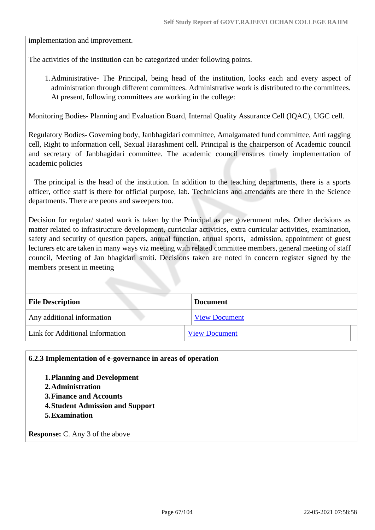implementation and improvement.

The activities of the institution can be categorized under following points.

1.Administrative- The Principal, being head of the institution, looks each and every aspect of administration through different committees. Administrative work is distributed to the committees. At present, following committees are working in the college:

Monitoring Bodies- Planning and Evaluation Board, Internal Quality Assurance Cell (IQAC), UGC cell.

Regulatory Bodies- Governing body, Janbhagidari committee, Amalgamated fund committee, Anti ragging cell, Right to information cell, Sexual Harashment cell. Principal is the chairperson of Academic council and secretary of Janbhagidari committee. The academic council ensures timely implementation of academic policies

 The principal is the head of the institution. In addition to the teaching departments, there is a sports officer, office staff is there for official purpose, lab. Technicians and attendants are there in the Science departments. There are peons and sweepers too.

Decision for regular/ stated work is taken by the Principal as per government rules. Other decisions as matter related to infrastructure development, curricular activities, extra curricular activities, examination, safety and security of question papers, annual function, annual sports, admission, appointment of guest lecturers etc are taken in many ways viz meeting with related committee members, general meeting of staff council, Meeting of Jan bhagidari smiti. Decisions taken are noted in concern register signed by the members present in meeting

| <b>File Description</b>         | <b>Document</b>      |
|---------------------------------|----------------------|
| Any additional information      | <b>View Document</b> |
| Link for Additional Information | <b>View Document</b> |

#### **6.2.3 Implementation of e-governance in areas of operation**

**1.Planning and Development 2.Administration 3.Finance and Accounts 4.Student Admission and Support 5.Examination**

**Response:** C. Any 3 of the above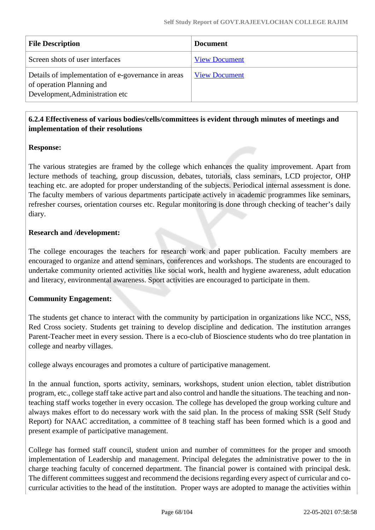| <b>File Description</b>                                                                                            | <b>Document</b>      |
|--------------------------------------------------------------------------------------------------------------------|----------------------|
| Screen shots of user interfaces                                                                                    | <b>View Document</b> |
| Details of implementation of e-governance in areas<br>of operation Planning and<br>Development, Administration etc | <b>View Document</b> |

### **6.2.4 Effectiveness of various bodies/cells/committees is evident through minutes of meetings and implementation of their resolutions**

### **Response:**

The various strategies are framed by the college which enhances the quality improvement. Apart from lecture methods of teaching, group discussion, debates, tutorials, class seminars, LCD projector, OHP teaching etc. are adopted for proper understanding of the subjects. Periodical internal assessment is done. The faculty members of various departments participate actively in academic programmes like seminars, refresher courses, orientation courses etc. Regular monitoring is done through checking of teacher's daily diary.

### **Research and /development:**

The college encourages the teachers for research work and paper publication. Faculty members are encouraged to organize and attend seminars, conferences and workshops. The students are encouraged to undertake community oriented activities like social work, health and hygiene awareness, adult education and literacy, environmental awareness. Sport activities are encouraged to participate in them.

### **Community Engagement:**

The students get chance to interact with the community by participation in organizations like NCC, NSS, Red Cross society. Students get training to develop discipline and dedication. The institution arranges Parent-Teacher meet in every session. There is a eco-club of Bioscience students who do tree plantation in college and nearby villages.

college always encourages and promotes a culture of participative management.

In the annual function, sports activity, seminars, workshops, student union election, tablet distribution program, etc., college staff take active part and also control and handle the situations. The teaching and nonteaching staff works together in every occasion. The college has developed the group working culture and always makes effort to do necessary work with the said plan. In the process of making SSR (Self Study Report) for NAAC accreditation, a committee of 8 teaching staff has been formed which is a good and present example of participative management.

College has formed staff council, student union and number of committees for the proper and smooth implementation of Leadership and management. Principal delegates the administrative power to the in charge teaching faculty of concerned department. The financial power is contained with principal desk. The different committees suggest and recommend the decisions regarding every aspect of curricular and cocurricular activities to the head of the institution. Proper ways are adopted to manage the activities within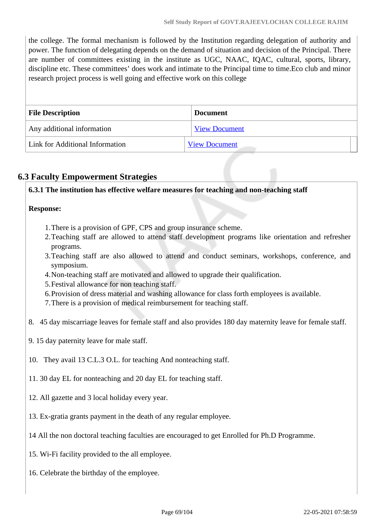the college. The formal mechanism is followed by the Institution regarding delegation of authority and power. The function of delegating depends on the demand of situation and decision of the Principal. There are number of committees existing in the institute as UGC, NAAC, IQAC, cultural, sports, library, discipline etc. These committees' does work and intimate to the Principal time to time.Eco club and minor research project process is well going and effective work on this college

| <b>File Description</b>         | <b>Document</b>      |
|---------------------------------|----------------------|
| Any additional information      | <b>View Document</b> |
| Link for Additional Information | <b>View Document</b> |

# **6.3 Faculty Empowerment Strategies**

**6.3.1 The institution has effective welfare measures for teaching and non-teaching staff**

### **Response:**

- 1.There is a provision of GPF, CPS and group insurance scheme.
- 2.Teaching staff are allowed to attend staff development programs like orientation and refresher programs.
- 3.Teaching staff are also allowed to attend and conduct seminars, workshops, conference, and symposium.
- 4.Non-teaching staff are motivated and allowed to upgrade their qualification.
- 5.Festival allowance for non teaching staff.
- 6.Provision of dress material and washing allowance for class forth employees is available.
- 7.There is a provision of medical reimbursement for teaching staff.
- 8. 45 day miscarriage leaves for female staff and also provides 180 day maternity leave for female staff.
- 9. 15 day paternity leave for male staff.
- 10. They avail 13 C.L.3 O.L. for teaching And nonteaching staff.
- 11. 30 day EL for nonteaching and 20 day EL for teaching staff.
- 12. All gazette and 3 local holiday every year.
- 13. Ex-gratia grants payment in the death of any regular employee.
- 14 All the non doctoral teaching faculties are encouraged to get Enrolled for Ph.D Programme.
- 15. Wi-Fi facility provided to the all employee.
- 16. Celebrate the birthday of the employee.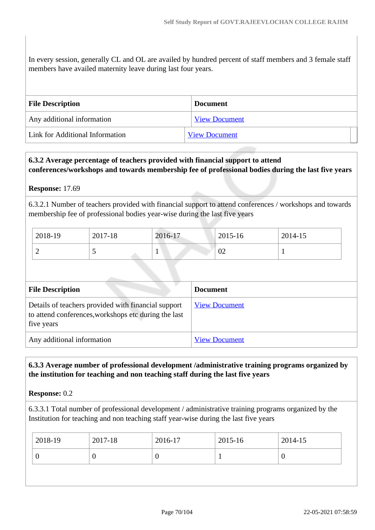In every session, generally CL and OL are availed by hundred percent of staff members and 3 female staff members have availed maternity leave during last four years.

| <b>File Description</b>         | <b>Document</b>      |
|---------------------------------|----------------------|
| Any additional information      | <b>View Document</b> |
| Link for Additional Information | <b>View Document</b> |

# **6.3.2 Average percentage of teachers provided with financial support to attend conferences/workshops and towards membership fee of professional bodies during the last five years**

**Response:** 17.69

6.3.2.1 Number of teachers provided with financial support to attend conferences / workshops and towards membership fee of professional bodies year-wise during the last five years

| 2018-19 | 2017-18 | 2016-17 | 2015-16 | 2014-15 |
|---------|---------|---------|---------|---------|
| ∼       | ັ       |         | 02      |         |

| <b>File Description</b>                                                                                                   | <b>Document</b>      |
|---------------------------------------------------------------------------------------------------------------------------|----------------------|
| Details of teachers provided with financial support<br>to attend conferences, workshops etc during the last<br>five years | <b>View Document</b> |
| Any additional information                                                                                                | <b>View Document</b> |

### **6.3.3 Average number of professional development /administrative training programs organized by the institution for teaching and non teaching staff during the last five years**

**Response:** 0.2

6.3.3.1 Total number of professional development / administrative training programs organized by the Institution for teaching and non teaching staff year-wise during the last five years

| $2018-19$ | 2017-18 | $12016 - 17$ | 2015-16 | 2014-15 |
|-----------|---------|--------------|---------|---------|
|           | ν       |              |         |         |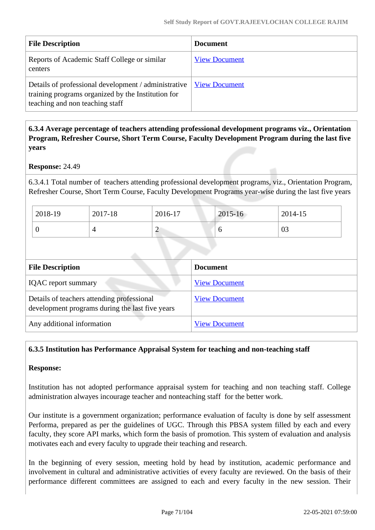| <b>File Description</b>                                                                                                                       | <b>Document</b>      |
|-----------------------------------------------------------------------------------------------------------------------------------------------|----------------------|
| Reports of Academic Staff College or similar<br>centers                                                                                       | <b>View Document</b> |
| Details of professional development / administrative<br>training programs organized by the Institution for<br>teaching and non teaching staff | <b>View Document</b> |

# **6.3.4 Average percentage of teachers attending professional development programs viz., Orientation Program, Refresher Course, Short Term Course, Faculty Development Program during the last five years**

### **Response:** 24.49

6.3.4.1 Total number of teachers attending professional development programs, viz., Orientation Program, Refresher Course, Short Term Course, Faculty Development Programs year-wise during the last five years

| 2018-19 | 2017-18 | 2016-17 | 2015-16 | 2014-15         |
|---------|---------|---------|---------|-----------------|
|         |         | C<br>∼  |         | $\Omega$<br>UJ. |

| <b>File Description</b>                                                                       | <b>Document</b>      |
|-----------------------------------------------------------------------------------------------|----------------------|
| <b>IQAC</b> report summary                                                                    | <b>View Document</b> |
| Details of teachers attending professional<br>development programs during the last five years | <b>View Document</b> |
| Any additional information                                                                    | <b>View Document</b> |

# **6.3.5 Institution has Performance Appraisal System for teaching and non-teaching staff**

### **Response:**

Institution has not adopted performance appraisal system for teaching and non teaching staff. College administration alwayes incourage teacher and nonteaching staff for the better work.

Our institute is a government organization; performance evaluation of faculty is done by self assessment Performa, prepared as per the guidelines of UGC. Through this PBSA system filled by each and every faculty, they score API marks, which form the basis of promotion. This system of evaluation and analysis motivates each and every faculty to upgrade their teaching and research.

In the beginning of every session, meeting hold by head by institution, academic performance and involvement in cultural and administrative activities of every faculty are reviewed. On the basis of their performance different committees are assigned to each and every faculty in the new session. Their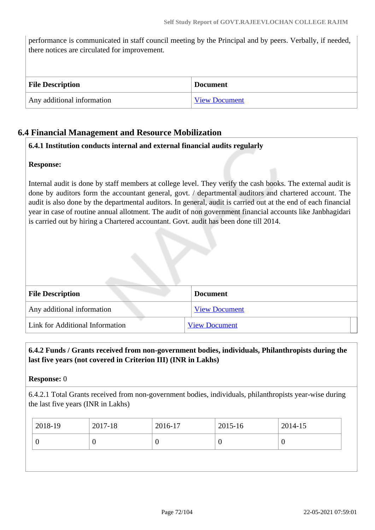performance is communicated in staff council meeting by the Principal and by peers. Verbally, if needed, there notices are circulated for improvement.

| <b>File Description</b>    | <b>Document</b>      |
|----------------------------|----------------------|
| Any additional information | <b>View Document</b> |

# **6.4 Financial Management and Resource Mobilization**

### **6.4.1 Institution conducts internal and external financial audits regularly**

#### **Response:**

Internal audit is done by staff members at college level. They verify the cash books. The external audit is done by auditors form the accountant general, govt. / departmental auditors and chartered account. The audit is also done by the departmental auditors. In general, audit is carried out at the end of each financial year in case of routine annual allotment. The audit of non government financial accounts like Janbhagidari is carried out by hiring a Chartered accountant. Govt. audit has been done till 2014.

| <b>File Description</b>         | <b>Document</b>      |
|---------------------------------|----------------------|
| Any additional information      | <b>View Document</b> |
| Link for Additional Information | <b>View Document</b> |

### **6.4.2 Funds / Grants received from non-government bodies, individuals, Philanthropists during the last five years (not covered in Criterion III) (INR in Lakhs)**

#### **Response:** 0

6.4.2.1 Total Grants received from non-government bodies, individuals, philanthropists year-wise during the last five years (INR in Lakhs)

| 2018-19<br>2016-17<br>2017-18 | 2015-16 | 2014-15 |
|-------------------------------|---------|---------|
| υ<br>U                        | U       |         |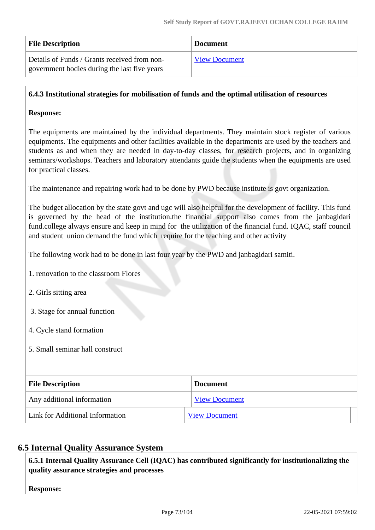| <b>File Description</b>                      | <b>Document</b>      |
|----------------------------------------------|----------------------|
| Details of Funds / Grants received from non- | <b>View Document</b> |
| government bodies during the last five years |                      |

#### **6.4.3 Institutional strategies for mobilisation of funds and the optimal utilisation of resources**

#### **Response:**

The equipments are maintained by the individual departments. They maintain stock register of various equipments. The equipments and other facilities available in the departments are used by the teachers and students as and when they are needed in day-to-day classes, for research projects, and in organizing seminars/workshops. Teachers and laboratory attendants guide the students when the equipments are used for practical classes.

The maintenance and repairing work had to be done by PWD because institute is govt organization.

The budget allocation by the state govt and ugc will also helpful for the development of facility. This fund is governed by the head of the institution.the financial support also comes from the janbagidari fund.college always ensure and keep in mind for the utilization of the financial fund. IQAC, staff council and student union demand the fund which require for the teaching and other activity

The following work had to be done in last four year by the PWD and janbagidari samiti.

- 1. renovation to the classroom Flores
- 2. Girls sitting area
- 3. Stage for annual function
- 4. Cycle stand formation
- 5. Small seminar hall construct

| <b>File Description</b>         | <b>Document</b>      |
|---------------------------------|----------------------|
| Any additional information      | <b>View Document</b> |
| Link for Additional Information | <b>View Document</b> |

#### **6.5 Internal Quality Assurance System**

 **6.5.1 Internal Quality Assurance Cell (IQAC) has contributed significantly for institutionalizing the quality assurance strategies and processes**

**Response:**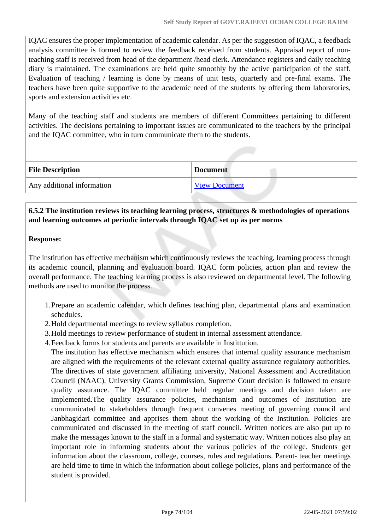IQAC ensures the proper implementation of academic calendar. As per the suggestion of IQAC, a feedback analysis committee is formed to review the feedback received from students. Appraisal report of nonteaching staff is received from head of the department /head clerk. Attendance registers and daily teaching diary is maintained. The examinations are held quite smoothly by the active participation of the staff. Evaluation of teaching / learning is done by means of unit tests, quarterly and pre-final exams. The teachers have been quite supportive to the academic need of the students by offering them laboratories, sports and extension activities etc.

Many of the teaching staff and students are members of different Committees pertaining to different activities. The decisions pertaining to important issues are communicated to the teachers by the principal and the IQAC committee, who in turn communicate them to the students.

| <b>File Description</b>    | <b>Document</b>      |
|----------------------------|----------------------|
| Any additional information | <b>View Document</b> |

#### **6.5.2 The institution reviews its teaching learning process, structures & methodologies of operations and learning outcomes at periodic intervals through IQAC set up as per norms**

#### **Response:**

The institution has effective mechanism which continuously reviews the teaching, learning process through its academic council, planning and evaluation board. IQAC form policies, action plan and review the overall performance. The teaching learning process is also reviewed on departmental level. The following methods are used to monitor the process.

- 1.Prepare an academic calendar, which defines teaching plan, departmental plans and examination schedules.
- 2.Hold departmental meetings to review syllabus completion.
- 3.Hold meetings to review performance of student in internal assessment attendance.
- 4.Feedback forms for students and parents are available in Instittution.

The institution has effective mechanism which ensures that internal quality assurance mechanism are aligned with the requirements of the relevant external quality assurance regulatory authorities. The directives of state government affiliating university, National Assessment and Accreditation Council (NAAC), University Grants Commission, Supreme Court decision is followed to ensure quality assurance. The IQAC committee held regular meetings and decision taken are implemented.The quality assurance policies, mechanism and outcomes of Institution are communicated to stakeholders through frequent convenes meeting of governing council and Janbhagidari committee and apprises them about the working of the Institution. Policies are communicated and discussed in the meeting of staff council. Written notices are also put up to make the messages known to the staff in a formal and systematic way. Written notices also play an important role in informing students about the various policies of the college. Students get information about the classroom, college, courses, rules and regulations. Parent- teacher meetings are held time to time in which the information about college policies, plans and performance of the student is provided.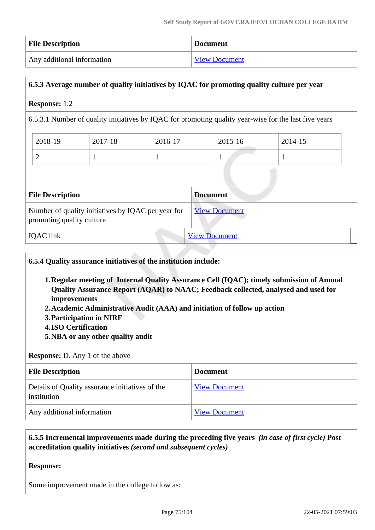| <b>File Description</b>    | <b>Document</b>      |
|----------------------------|----------------------|
| Any additional information | <b>View Document</b> |

#### **6.5.3 Average number of quality initiatives by IQAC for promoting quality culture per year**

#### **Response:** 1.2

6.5.3.1 Number of quality initiatives by IQAC for promoting quality year-wise for the last five years

| 2018-19 | 2017-18 | 2016-17 | 2015-16 | 2014-15 |
|---------|---------|---------|---------|---------|
| ∼       |         |         | л.      |         |

| <b>File Description</b>                                                         | <b>Document</b>      |
|---------------------------------------------------------------------------------|----------------------|
| Number of quality initiatives by IQAC per year for<br>promoting quality culture | <b>View Document</b> |
| IQAC link                                                                       | <b>View Document</b> |

#### **6.5.4 Quality assurance initiatives of the institution include:**

- **1.Regular meeting of Internal Quality Assurance Cell (IQAC); timely submission of Annual Quality Assurance Report (AQAR) to NAAC; Feedback collected, analysed and used for improvements**
- **2.Academic Administrative Audit (AAA) and initiation of follow up action**
- **3.Participation in NIRF**
- **4.ISO Certification**
- **5.NBA or any other quality audit**

#### **Response:** D. Any 1 of the above

| <b>File Description</b>                                        | <b>Document</b>      |
|----------------------------------------------------------------|----------------------|
| Details of Quality assurance initiatives of the<br>institution | <b>View Document</b> |
| Any additional information                                     | <b>View Document</b> |

#### **6.5.5 Incremental improvements made during the preceding five years** *(in case of first cycle)* **Post accreditation quality initiatives** *(second and subsequent cycles)*

#### **Response:**

Some improvement made in the college follow as: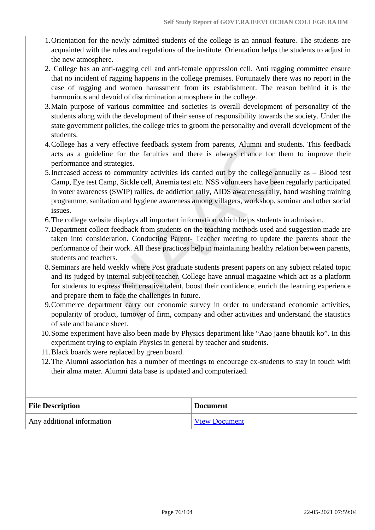- 1.Orientation for the newly admitted students of the college is an annual feature. The students are acquainted with the rules and regulations of the institute. Orientation helps the students to adjust in the new atmosphere.
- 2. College has an anti-ragging cell and anti-female oppression cell. Anti ragging committee ensure that no incident of ragging happens in the college premises. Fortunately there was no report in the case of ragging and women harassment from its establishment. The reason behind it is the harmonious and devoid of discrimination atmosphere in the college.
- 3.Main purpose of various committee and societies is overall development of personality of the students along with the development of their sense of responsibility towards the society. Under the state government policies, the college tries to groom the personality and overall development of the students.
- 4.College has a very effective feedback system from parents, Alumni and students. This feedback acts as a guideline for the faculties and there is always chance for them to improve their performance and strategies.
- 5.Increased access to community activities ids carried out by the college annually as Blood test Camp, Eye test Camp, Sickle cell, Anemia test etc. NSS volunteers have been regularly participated in voter awareness (SWIP) rallies, de addiction rally, AIDS awareness rally, hand washing training programme, sanitation and hygiene awareness among villagers, workshop, seminar and other social issues.
- 6.The college website displays all important information which helps students in admission.
- 7.Department collect feedback from students on the teaching methods used and suggestion made are taken into consideration. Conducting Parent- Teacher meeting to update the parents about the performance of their work. All these practices help in maintaining healthy relation between parents, students and teachers.
- 8.Seminars are held weekly where Post graduate students present papers on any subject related topic and its judged by internal subject teacher. College have annual magazine which act as a platform for students to express their creative talent, boost their confidence, enrich the learning experience and prepare them to face the challenges in future.
- 9.Commerce department carry out economic survey in order to understand economic activities, popularity of product, turnover of firm, company and other activities and understand the statistics of sale and balance sheet.
- 10.Some experiment have also been made by Physics department like "Aao jaane bhautik ko". In this experiment trying to explain Physics in general by teacher and students.
- 11.Black boards were replaced by green board.
- 12.The Alumni association has a number of meetings to encourage ex-students to stay in touch with their alma mater. Alumni data base is updated and computerized.

| <b>File Description</b>    | <b>Document</b>      |
|----------------------------|----------------------|
| Any additional information | <b>View Document</b> |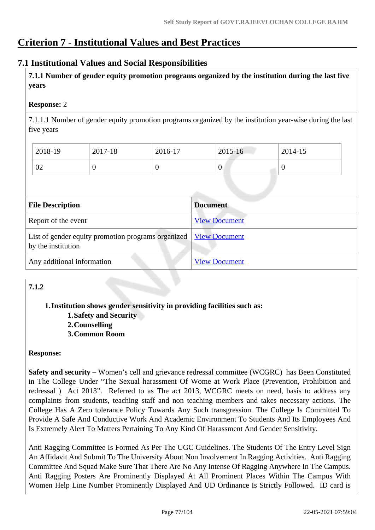## **Criterion 7 - Institutional Values and Best Practices**

#### **7.1 Institutional Values and Social Responsibilities**

 **7.1.1 Number of gender equity promotion programs organized by the institution during the last five years** 

#### **Response:** 2

7.1.1.1 Number of gender equity promotion programs organized by the institution year-wise during the last five years

| 2018-19 | 2017-18 | 2016-17 | $2015 - 16$ | 2014-15 |
|---------|---------|---------|-------------|---------|
| 02      |         | v       | ν           |         |

| <b>File Description</b>                                                                  | <b>Document</b>      |
|------------------------------------------------------------------------------------------|----------------------|
| Report of the event                                                                      | <b>View Document</b> |
| List of gender equity promotion programs organized   View Document<br>by the institution |                      |
| Any additional information                                                               | <b>View Document</b> |

#### **7.1.2**

**1.Institution shows gender sensitivity in providing facilities such as:**

- **1.Safety and Security**
- **2.Counselling**
- **3.Common Room**

#### **Response:**

**Safety and security –** Women's cell and grievance redressal committee (WCGRC) has Been Constituted in The College Under "The Sexual harassment Of Wome at Work Place (Prevention, Prohibition and redressal ) Act 2013". Referred to as The act 2013, WCGRC meets on need, basis to address any complaints from students, teaching staff and non teaching members and takes necessary actions. The College Has A Zero tolerance Policy Towards Any Such transgression. The College Is Committed To Provide A Safe And Conductive Work And Academic Environment To Students And Its Employees And Is Extremely Alert To Matters Pertaining To Any Kind Of Harassment And Gender Sensitivity.

Anti Ragging Committee Is Formed As Per The UGC Guidelines. The Students Of The Entry Level Sign An Affidavit And Submit To The University About Non Involvement In Ragging Activities. Anti Ragging Committee And Squad Make Sure That There Are No Any Intense Of Ragging Anywhere In The Campus. Anti Ragging Posters Are Prominently Displayed At All Prominent Places Within The Campus With Women Help Line Number Prominently Displayed And UD Ordinance Is Strictly Followed. ID card is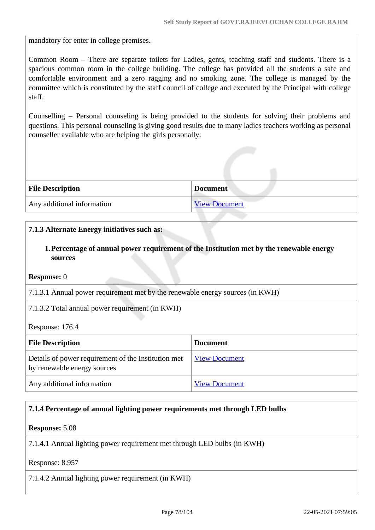mandatory for enter in college premises.

Common Room – There are separate toilets for Ladies, gents, teaching staff and students. There is a spacious common room in the college building. The college has provided all the students a safe and comfortable environment and a zero ragging and no smoking zone. The college is managed by the committee which is constituted by the staff council of college and executed by the Principal with college staff.

Counselling – Personal counseling is being provided to the students for solving their problems and questions. This personal counseling is giving good results due to many ladies teachers working as personal counseller available who are helping the girls personally.

| <b>File Description</b>    | <b>Document</b>      |
|----------------------------|----------------------|
| Any additional information | <b>View Document</b> |

#### **7.1.3 Alternate Energy initiatives such as:**

**1.Percentage of annual power requirement of the Institution met by the renewable energy sources**

**Response:** 0

7.1.3.1 Annual power requirement met by the renewable energy sources (in KWH)

#### 7.1.3.2 Total annual power requirement (in KWH)

Response: 176.4

| <b>File Description</b>                                                            | <b>Document</b>      |
|------------------------------------------------------------------------------------|----------------------|
| Details of power requirement of the Institution met<br>by renewable energy sources | <b>View Document</b> |
| Any additional information                                                         | <b>View Document</b> |

#### **7.1.4 Percentage of annual lighting power requirements met through LED bulbs**

**Response:** 5.08

7.1.4.1 Annual lighting power requirement met through LED bulbs (in KWH)

Response: 8.957

7.1.4.2 Annual lighting power requirement (in KWH)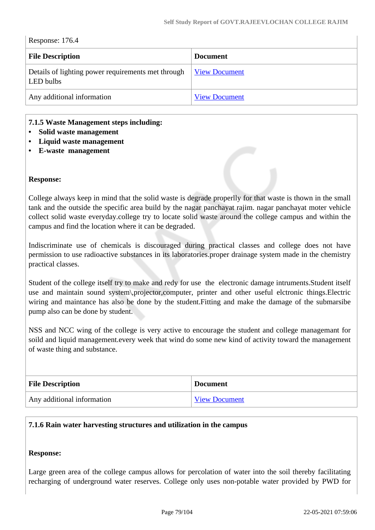| Response: 176.4                                                 |                      |  |
|-----------------------------------------------------------------|----------------------|--|
| <b>File Description</b>                                         | <b>Document</b>      |  |
| Details of lighting power requirements met through<br>LED bulbs | <b>View Document</b> |  |
| Any additional information                                      | <b>View Document</b> |  |

#### **7.1.5 Waste Management steps including:**

- **Solid waste management**
- **Liquid waste management**
- **E-waste management**

#### **Response:**

College always keep in mind that the solid waste is degrade properlly for that waste is thown in the small tank and the outside the specific area build by the nagar panchayat rajim. nagar panchayat moter vehicle collect solid waste everyday.college try to locate solid waste around the college campus and within the campus and find the location where it can be degraded.

Indiscriminate use of chemicals is discouraged during practical classes and college does not have permission to use radioactive substances in its laboratories.proper drainage system made in the chemistry practical classes.

Student of the college itself try to make and redy for use the electronic damage intruments.Student itself use and maintain sound system\,projector,computer, printer and other useful elctronic things.Electric wiring and maintance has also be done by the student.Fitting and make the damage of the submarsibe pump also can be done by student.

NSS and NCC wing of the college is very active to encourage the student and college managemant for soild and liquid management.every week that wind do some new kind of activity toward the management of waste thing and substance.

| <b>File Description</b>    | <b>Document</b>      |
|----------------------------|----------------------|
| Any additional information | <b>View Document</b> |

#### **7.1.6 Rain water harvesting structures and utilization in the campus**

#### **Response:**

Large green area of the college campus allows for percolation of water into the soil thereby facilitating recharging of underground water reserves. College only uses non-potable water provided by PWD for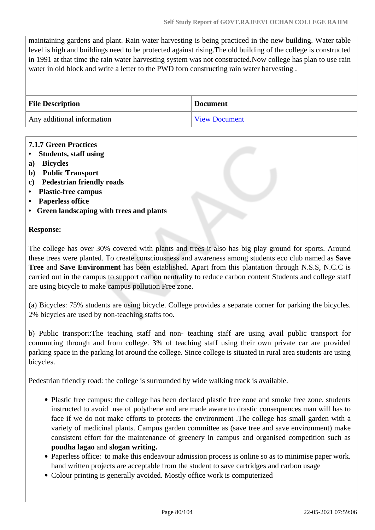maintaining gardens and plant. Rain water harvesting is being practiced in the new building. Water table level is high and buildings need to be protected against rising.The old building of the college is constructed in 1991 at that time the rain water harvesting system was not constructed.Now college has plan to use rain water in old block and write a letter to the PWD forn constructing rain water harvesting .

| <b>File Description</b>    | <b>Document</b>      |
|----------------------------|----------------------|
| Any additional information | <b>View Document</b> |

#### **7.1.7 Green Practices**

- **Students, staff using**
- **a) Bicycles**
- **b) Public Transport**
- **c) Pedestrian friendly roads**
- **Plastic-free campus**
- **Paperless office**
- **Green landscaping with trees and plants**

#### **Response:**

The college has over 30% covered with plants and trees it also has big play ground for sports. Around these trees were planted. To create consciousness and awareness among students eco club named as **Save Tree** and **Save Environment** has been established. Apart from this plantation through N.S.S, N.C.C is carried out in the campus to support carbon neutrality to reduce carbon content Students and college staff are using bicycle to make campus pollution Free zone.

(a) Bicycles: 75% students are using bicycle. College provides a separate corner for parking the bicycles. 2% bicycles are used by non-teaching staffs too.

b) Public transport:The teaching staff and non- teaching staff are using avail public transport for commuting through and from college. 3% of teaching staff using their own private car are provided parking space in the parking lot around the college. Since college is situated in rural area students are using bicycles.

Pedestrian friendly road: the college is surrounded by wide walking track is available.

- Plastic free campus: the college has been declared plastic free zone and smoke free zone. students instructed to avoid use of polythene and are made aware to drastic consequences man will has to face if we do not make efforts to protects the environment .The college has small garden with a variety of medicinal plants. Campus garden committee as (save tree and save environment) make consistent effort for the maintenance of greenery in campus and organised competition such as **poudha lagao** and **slogan writing.**
- Paperless office: to make this endeavour admission process is online so as to minimise paper work. hand written projects are acceptable from the student to save cartridges and carbon usage
- Colour printing is generally avoided. Mostly office work is computerized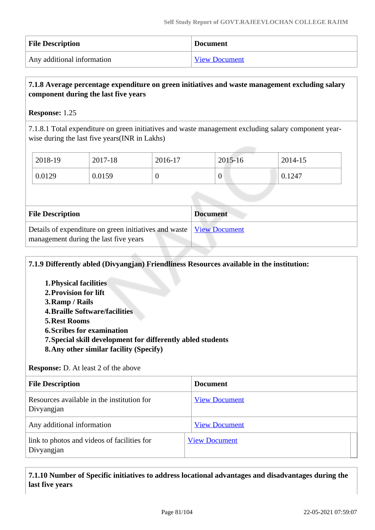| <b>File Description</b>    | <b>Document</b>      |
|----------------------------|----------------------|
| Any additional information | <b>View Document</b> |

#### **7.1.8 Average percentage expenditure on green initiatives and waste management excluding salary component during the last five years**

**Response:** 1.25

7.1.8.1 Total expenditure on green initiatives and waste management excluding salary component yearwise during the last five years(INR in Lakhs)

| 2018-19 | 2017-18 | 2016-17 | 2015-16          | 2014-15 |
|---------|---------|---------|------------------|---------|
| 0.0129  | 0.0159  | ັ       | $\boldsymbol{0}$ | 0.1247  |

| <b>File Description</b>                                                                                        | <b>Document</b> |
|----------------------------------------------------------------------------------------------------------------|-----------------|
| Details of expenditure on green initiatives and waste   View Document<br>management during the last five years |                 |

| 7.1.9 Differently abled (Divyangjan) Friendliness Resources available in the institution: |
|-------------------------------------------------------------------------------------------|

- **1.Physical facilities**
- **2.Provision for lift**
- **3.Ramp / Rails**
- **4.Braille Software/facilities**
- **5.Rest Rooms**
- **6.Scribes for examination**
- **7.Special skill development for differently abled students**
- **8.Any other similar facility (Specify)**

**Response:** D. At least 2 of the above

| <b>File Description</b>                                   | <b>Document</b>      |
|-----------------------------------------------------------|----------------------|
| Resources available in the institution for<br>Divyangjan  | <b>View Document</b> |
| Any additional information                                | <b>View Document</b> |
| link to photos and videos of facilities for<br>Divyangjan | <b>View Document</b> |

 **7.1.10 Number of Specific initiatives to address locational advantages and disadvantages during the last five years**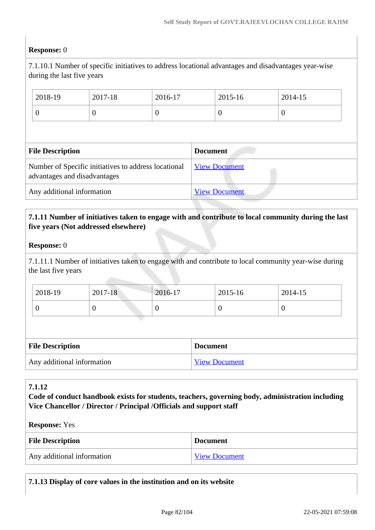#### **Response:** 0

7.1.10.1 Number of specific initiatives to address locational advantages and disadvantages year-wise during the last five years

| 2018-19                                    | 2017-18                      | 2016-17                                              |  | 2015-16              | 2014-15  |
|--------------------------------------------|------------------------------|------------------------------------------------------|--|----------------------|----------|
| $\overline{0}$                             | $\theta$                     | $\theta$                                             |  | $\theta$             | $\theta$ |
|                                            |                              |                                                      |  |                      |          |
| <b>Document</b><br><b>File Description</b> |                              |                                                      |  |                      |          |
|                                            |                              |                                                      |  |                      |          |
|                                            | advantages and disadvantages | Number of Specific initiatives to address locational |  | <b>View Document</b> |          |

#### **7.1.11 Number of initiatives taken to engage with and contribute to local community during the last five years (Not addressed elsewhere)**

#### **Response:** 0

7.1.11.1 Number of initiatives taken to engage with and contribute to local community year-wise during the last five years

| 2018-19 | 2017-18 | 2016-17 | 2015-16 | 2014-15 |
|---------|---------|---------|---------|---------|
|         | ν       | ິ       |         |         |

| <b>File Description</b>    | <b>Document</b>      |
|----------------------------|----------------------|
| Any additional information | <b>View Document</b> |

#### **7.1.12**

**Code of conduct handbook exists for students, teachers, governing body, administration including Vice Chancellor / Director / Principal /Officials and support staff**

**Response:** Yes

| <b>File Description</b>    | <b>Document</b>      |
|----------------------------|----------------------|
| Any additional information | <b>View Document</b> |

**7.1.13 Display of core values in the institution and on its website**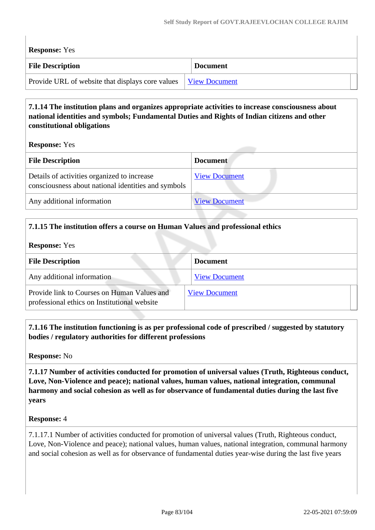| <b>Response:</b> Yes                             |                      |  |  |  |  |
|--------------------------------------------------|----------------------|--|--|--|--|
| <b>File Description</b>                          | <b>Document</b>      |  |  |  |  |
| Provide URL of website that displays core values | <b>View Document</b> |  |  |  |  |

#### **7.1.14 The institution plans and organizes appropriate activities to increase consciousness about national identities and symbols; Fundamental Duties and Rights of Indian citizens and other constitutional obligations**

**Response:** Yes

| <b>File Description</b>                                                                            | <b>Document</b>      |
|----------------------------------------------------------------------------------------------------|----------------------|
| Details of activities organized to increase<br>consciousness about national identities and symbols | <b>View Document</b> |
| Any additional information                                                                         | <b>View Document</b> |

# **7.1.15 The institution offers a course on Human Values and professional ethics Response:** Yes

| <b>File Description</b>                                                                     | <b>Document</b>      |  |  |  |
|---------------------------------------------------------------------------------------------|----------------------|--|--|--|
| Any additional information                                                                  | <b>View Document</b> |  |  |  |
| Provide link to Courses on Human Values and<br>professional ethics on Institutional website | <b>View Document</b> |  |  |  |

#### **7.1.16 The institution functioning is as per professional code of prescribed / suggested by statutory bodies / regulatory authorities for different professions**

**Response:** No

 **7.1.17 Number of activities conducted for promotion of universal values (Truth, Righteous conduct, Love, Non-Violence and peace); national values, human values, national integration, communal harmony and social cohesion as well as for observance of fundamental duties during the last five years**

#### **Response:** 4

7.1.17.1 Number of activities conducted for promotion of universal values (Truth, Righteous conduct, Love, Non-Violence and peace); national values, human values, national integration, communal harmony and social cohesion as well as for observance of fundamental duties year-wise during the last five years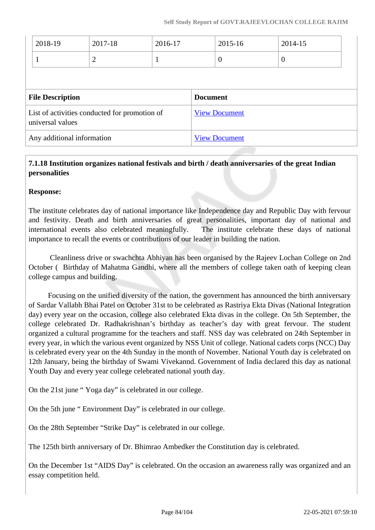| 2018-19                                                           | 2017-18        | 2016-17 |                      |  | 2014-15        |  |  |
|-------------------------------------------------------------------|----------------|---------|----------------------|--|----------------|--|--|
|                                                                   | $\overline{2}$ |         | $\boldsymbol{0}$     |  | $\overline{0}$ |  |  |
|                                                                   |                |         |                      |  |                |  |  |
| <b>File Description</b><br><b>Document</b>                        |                |         |                      |  |                |  |  |
| List of activities conducted for promotion of<br>universal values |                |         | <b>View Document</b> |  |                |  |  |
|                                                                   |                |         |                      |  |                |  |  |

#### **7.1.18 Institution organizes national festivals and birth / death anniversaries of the great Indian personalities**

#### **Response:**

The institute celebrates day of national importance like Independence day and Republic Day with fervour and festivity. Death and birth anniversaries of great personalities, important day of national and international events also celebrated meaningfully. The institute celebrate these days of national importance to recall the events or contributions of our leader in building the nation.

 Cleanliness drive or swachchta Abhiyan has been organised by the Rajeev Lochan College on 2nd October ( Birthday of Mahatma Gandhi, where all the members of college taken oath of keeping clean college campus and building.

 Focusing on the unified diversity of the nation, the government has announced the birth anniversary of Sardar Vallabh Bhai Patel on October 31st to be celebrated as Rastriya Ekta Divas (National Integration day) every year on the occasion, college also celebrated Ekta divas in the college. On 5th September, the college celebrated Dr. Radhakrishnan's birthday as teacher's day with great fervour. The student organized a cultural programme for the teachers and staff. NSS day was celebrated on 24th September in every year, in which the various event organized by NSS Unit of college. National cadets corps (NCC) Day is celebrated every year on the 4th Sunday in the month of November. National Youth day is celebrated on 12th January, being the birthday of Swami Vivekannd. Government of India declared this day as national Youth Day and every year college celebrated national youth day.

On the 21st june " Yoga day" is celebrated in our college.

On the 5th june " Environment Day" is celebrated in our college.

On the 28th September "Strike Day" is celebrated in our college.

The 125th birth anniversary of Dr. Bhimrao Ambedker the Constitution day is celebrated.

On the December 1st "AIDS Day" is celebrated. On the occasion an awareness rally was organized and an essay competition held.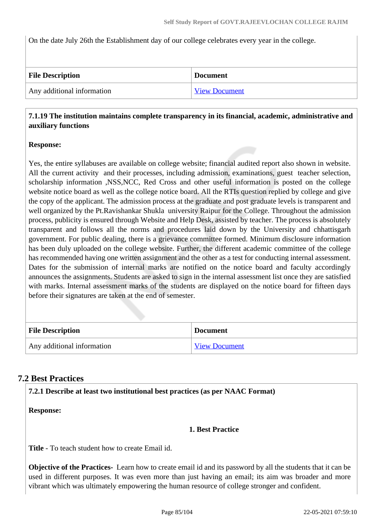On the date July 26th the Establishment day of our college celebrates every year in the college.

| <b>File Description</b>    | <b>Document</b>             |
|----------------------------|-----------------------------|
| Any additional information | <u><b>View Document</b></u> |

#### **7.1.19 The institution maintains complete transparency in its financial, academic, administrative and auxiliary functions**

#### **Response:**

Yes, the entire syllabuses are available on college website; financial audited report also shown in website. All the current activity and their processes, including admission, examinations, guest teacher selection, scholarship information ,NSS,NCC, Red Cross and other useful information is posted on the college website notice board as well as the college notice board. All the RTIs question replied by college and give the copy of the applicant. The admission process at the graduate and post graduate levels is transparent and well organized by the Pt.Ravishankar Shukla university Raipur for the College. Throughout the admission process, publicity is ensured through Website and Help Desk, assisted by teacher. The process is absolutely transparent and follows all the norms and procedures laid down by the University and chhattisgarh government. For public dealing, there is a grievance committee formed. Minimum disclosure information has been duly uploaded on the college website. Further, the different academic committee of the college has recommended having one written assignment and the other as a test for conducting internal assessment. Dates for the submission of internal marks are notified on the notice board and faculty accordingly announces the assignments. Students are asked to sign in the internal assessment list once they are satisfied with marks. Internal assessment marks of the students are displayed on the notice board for fifteen days before their signatures are taken at the end of semester.

| <b>File Description</b>    | <b>Document</b>      |
|----------------------------|----------------------|
| Any additional information | <b>View Document</b> |

#### **7.2 Best Practices**

**7.2.1 Describe at least two institutional best practices (as per NAAC Format)**

**Response:** 

#### **1. Best Practice**

**Title** - To teach student how to create Email id.

**Objective of the Practices-** Learn how to create email id and its password by all the students that it can be used in different purposes. It was even more than just having an email; its aim was broader and more vibrant which was ultimately empowering the human resource of college stronger and confident.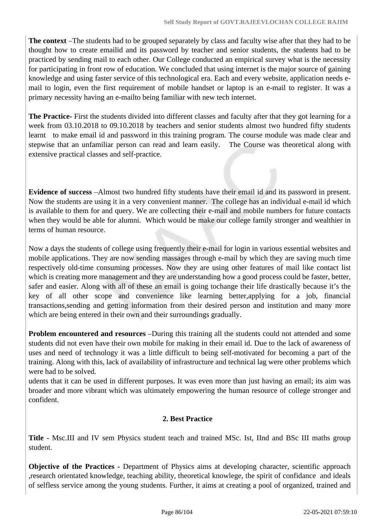**The context** –The students had to be grouped separately by class and faculty wise after that they had to be thought how to create emailid and its password by teacher and senior students, the students had to be practiced by sending mail to each other. Our College conducted an empirical survey what is the necessity for participating in front row of education. We concluded that using internet is the major source of gaining knowledge and using faster service of this technological era. Each and every website, application needs email to login, even the first requirement of mobile handset or laptop is an e-mail to register. It was a primary necessity having an e-mailto being familiar with new tech internet.

**The Practice-** First the students divided into different classes and faculty after that they got learning for a week from 03.10.2018 to 09.10.2018 by teachers and senior students almost two hundred fifty students learnt to make email id and password in this training program. The course module was made clear and stepwise that an unfamiliar person can read and learn easily. The Course was theoretical along with extensive practical classes and self-practice.

**Evidence of success** –Almost two hundred fifty students have their email id and its password in present. Now the students are using it in a very convenient manner. The college has an individual e-mail id which is available to them for and query. We are collecting their e-mail and mobile numbers for future contacts when they would be able for alumni. Which would be make our college family stronger and wealthier in terms of human resource.

Now a days the students of college using frequently their e-mail for login in various essential websites and mobile applications. They are now sending massages through e-mail by which they are saving much time respectively old-time consuming processes. Now they are using other features of mail like contact list which is creating more management and they are understanding how a good process could be faster, better, safer and easier. Along with all of these an email is going tochange their life drastically because it's the key of all other scope and convenience like learning better,applying for a job, financial transactions,sending and getting information from their desired person and institution and many more which are being entered in their own and their surroundings gradually.

**Problem encountered and resources** –During this training all the students could not attended and some students did not even have their own mobile for making in their email id. Due to the lack of awareness of uses and need of technology it was a little difficult to being self-motivated for becoming a part of the training. Along with this, lack of availability of infrastructure and technical lag were other problems which were had to be solved.

udents that it can be used in different purposes. It was even more than just having an email; its aim was broader and more vibrant which was ultimately empowering the human resource of college stronger and confident.

#### **2. Best Practice**

**Title** - Msc.III and IV sem Physics student teach and trained MSc. Ist, IInd and BSc III maths group student.

**Objective of the Practices -** Department of Physics aims at developing character, scientific approach ,research orientated knowledge, teaching ability, theoretical knowlege, the spirit of confidance and ideals of selfless service among the young students. Further, it aims at creating a pool of organized, trained and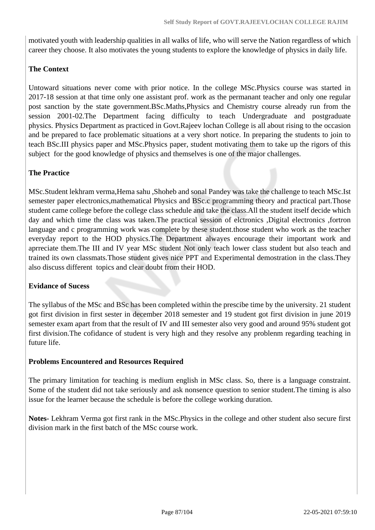motivated youth with leadership qualities in all walks of life, who will serve the Nation regardless of which career they choose. It also motivates the young students to explore the knowledge of physics in daily life.

#### **The Context**

Untoward situations never come with prior notice. In the college MSc.Physics course was started in 2017-18 session at that time only one assistant prof. work as the permanant teacher and only one regular post sanction by the state government.BSc.Maths,Physics and Chemistry course already run from the session 2001-02.The Department facing difficulty to teach Undergraduate and postgraduate physics. Physics Department as practiced in Govt.Rajeev lochan College is all about rising to the occasion and be prepared to face problematic situations at a very short notice. In preparing the students to join to teach BSc.III physics paper and MSc.Physics paper, student motivating them to take up the rigors of this subject for the good knowledge of physics and themselves is one of the major challenges.

#### **The Practice**

MSc.Student lekhram verma,Hema sahu ,Shoheb and sonal Pandey was take the challenge to teach MSc.Ist semester paper electronics,mathematical Physics and BSc.c programming theory and practical part.Those student came college before the college class schedule and take the class.All the student itself decide which day and which time the class was taken.The practical session of elctronics ,Digital electronics ,fortron language and c programming work was complete by these student.those student who work as the teacher everyday report to the HOD physics.The Department alwayes encourage their important work and aprreciate them.The III and IV year MSc student Not only teach lower class student but also teach and trained its own classmats.Those student gives nice PPT and Experimental demostration in the class.They also discuss different topics and clear doubt from their HOD.

#### **Evidance of Sucess**

The syllabus of the MSc and BSc has been completed within the prescibe time by the university. 21 student got first division in first sester in december 2018 semester and 19 student got first division in june 2019 semester exam apart from that the result of IV and III semester also very good and around 95% student got first division.The cofidance of student is very high and they resolve any problenm regarding teaching in future life.

#### **Problems Encountered and Resources Required**

The primary limitation for teaching is medium english in MSc class. So, there is a language constraint. Some of the student did not take seriously and ask nonsence question to senior student.The timing is also issue for the learner because the schedule is before the college working duration.

**Notes**- Lekhram Verma got first rank in the MSc.Physics in the college and other student also secure first division mark in the first batch of the MSc course work.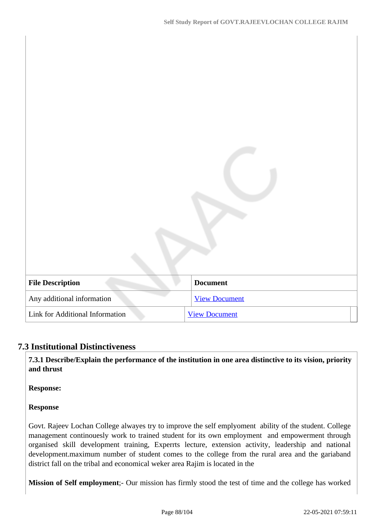| <b>File Description</b>         | <b>Document</b>      |
|---------------------------------|----------------------|
| Any additional information      | <b>View Document</b> |
| Link for Additional Information | <b>View Document</b> |

#### **7.3 Institutional Distinctiveness**

 **7.3.1 Describe/Explain the performance of the institution in one area distinctive to its vision, priority and thrust**

**Response:** 

#### **Response**

Govt. Rajeev Lochan College alwayes try to improve the self emplyoment ability of the student. College management continouesly work to trained student for its own employment and empowerment through organised skill development training, Experrts lecture, extension activity, leadership and national development.maximum number of student comes to the college from the rural area and the gariaband district fall on the tribal and economical weker area Rajim is located in the

**Mission of Self employment**;- Our mission has firmly stood the test of time and the college has worked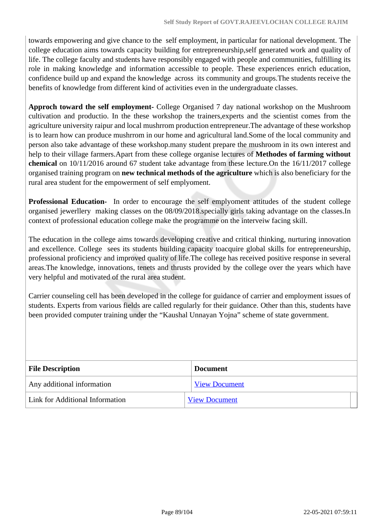towards empowering and give chance to the self employment, in particular for national development. The college education aims towards capacity building for entrepreneurship,self generated work and quality of life. The college faculty and students have responsibly engaged with people and communities, fulfilling its role in making knowledge and information accessible to people. These experiences enrich education, confidence build up and expand the knowledge across its community and groups.The students receive the benefits of knowledge from different kind of activities even in the undergraduate classes.

**Approch toward the self employment-** College Organised 7 day national workshop on the Mushroom cultivation and productio. In the these workshop the trainers,experts and the scientist comes from the agriculture university raipur and local mushrrom production entrepreneur.The advantage of these workshop is to learn how can produce mushrrom in our home and agricultural land.Some of the local community and person also take advantage of these workshop.many student prepare the mushroom in its own interest and help to their village farmers.Apart from these college organise lectures of **Methodes of farming without chemical** on 10/11/2016 around 67 student take advantage from these lecture.On the 16/11/2017 college organised training program on **new technical methods of the agriculture** which is also beneficiary for the rural area student for the empowerment of self emplyoment.

**Professional Education-** In order to encourage the self emplyoment attitudes of the student college organised jewerllery making classes on the 08/09/2018.specially girls taking advantage on the classes.In context of professional education college make the programme on the interveiw facing skill.

The education in the college aims towards developing creative and critical thinking, nurturing innovation and excellence. College sees its students building capacity toacquire global skills for entrepreneurship, professional proficiency and improved quality of life.The college has received positive response in several areas.The knowledge, innovations, tenets and thrusts provided by the college over the years which have very helpful and motivated of the rural area student.

Carrier counseling cell has been developed in the college for guidance of carrier and employment issues of students. Experts from various fields are called regularly for their guidance. Other than this, students have been provided computer training under the "Kaushal Unnayan Yojna" scheme of state government.

| <b>File Description</b>         | <b>Document</b>      |  |  |  |
|---------------------------------|----------------------|--|--|--|
| Any additional information      | <b>View Document</b> |  |  |  |
| Link for Additional Information | <b>View Document</b> |  |  |  |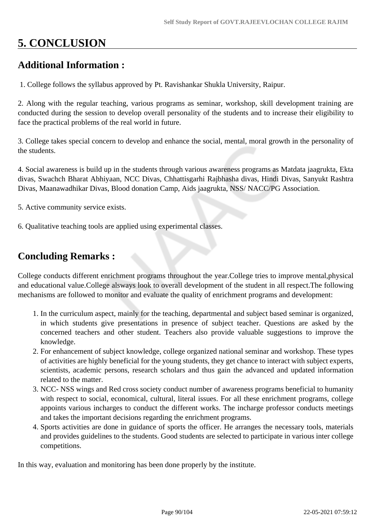# **5. CONCLUSION**

### **Additional Information :**

1. College follows the syllabus approved by Pt. Ravishankar Shukla University, Raipur.

2. Along with the regular teaching, various programs as seminar, workshop, skill development training are conducted during the session to develop overall personality of the students and to increase their eligibility to face the practical problems of the real world in future.

3. College takes special concern to develop and enhance the social, mental, moral growth in the personality of the students.

4. Social awareness is build up in the students through various awareness programs as Matdata jaagrukta, Ekta divas, Swachch Bharat Abhiyaan, NCC Divas, Chhattisgarhi Rajbhasha divas, Hindi Divas, Sanyukt Rashtra Divas, Maanawadhikar Divas, Blood donation Camp, Aids jaagrukta, NSS/ NACC/PG Association.

5. Active community service exists.

6. Qualitative teaching tools are applied using experimental classes.

# **Concluding Remarks :**

College conducts different enrichment programs throughout the year.College tries to improve mental,physical and educational value.College alsways look to overall development of the student in all respect.The following mechanisms are followed to monitor and evaluate the quality of enrichment programs and development:

- 1. In the curriculum aspect, mainly for the teaching, departmental and subject based seminar is organized, in which students give presentations in presence of subject teacher. Questions are asked by the concerned teachers and other student. Teachers also provide valuable suggestions to improve the knowledge.
- 2. For enhancement of subject knowledge, college organized national seminar and workshop. These types of activities are highly beneficial for the young students, they get chance to interact with subject experts, scientists, academic persons, research scholars and thus gain the advanced and updated information related to the matter.
- 3. NCC- NSS wings and Red cross society conduct number of awareness programs beneficial to humanity with respect to social, economical, cultural, literal issues. For all these enrichment programs, college appoints various incharges to conduct the different works. The incharge professor conducts meetings and takes the important decisions regarding the enrichment programs.
- 4. Sports activities are done in guidance of sports the officer. He arranges the necessary tools, materials and provides guidelines to the students. Good students are selected to participate in various inter college competitions.

In this way, evaluation and monitoring has been done properly by the institute.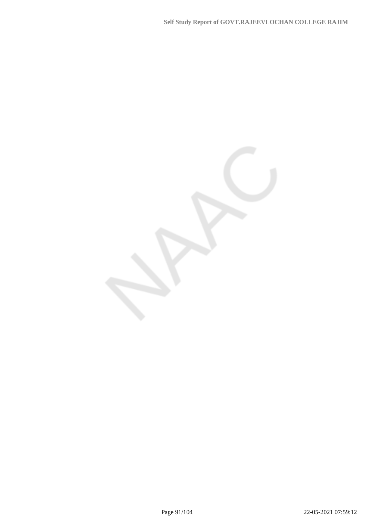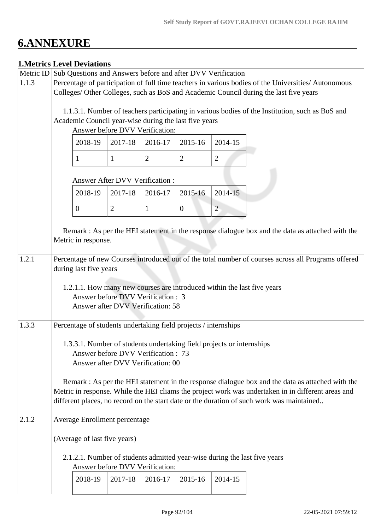# **6.ANNEXURE**

#### **1.Metrics Level Deviations**

|       |                                                                                                                                                                                                                                                       | Metric ID Sub Questions and Answers before and after DVV Verification |                |                |                  |                |                                                                                                                                                                                                 |  |  |
|-------|-------------------------------------------------------------------------------------------------------------------------------------------------------------------------------------------------------------------------------------------------------|-----------------------------------------------------------------------|----------------|----------------|------------------|----------------|-------------------------------------------------------------------------------------------------------------------------------------------------------------------------------------------------|--|--|
| 1.1.3 | Percentage of participation of full time teachers in various bodies of the Universities/ Autonomous                                                                                                                                                   |                                                                       |                |                |                  |                |                                                                                                                                                                                                 |  |  |
|       | Colleges/ Other Colleges, such as BoS and Academic Council during the last five years                                                                                                                                                                 |                                                                       |                |                |                  |                |                                                                                                                                                                                                 |  |  |
|       | 1.1.3.1. Number of teachers participating in various bodies of the Institution, such as BoS and<br>Academic Council year-wise during the last five years<br>Answer before DVV Verification:                                                           |                                                                       |                |                |                  |                |                                                                                                                                                                                                 |  |  |
|       |                                                                                                                                                                                                                                                       | 2018-19                                                               | 2017-18        | 2016-17        | 2015-16          | 2014-15        |                                                                                                                                                                                                 |  |  |
|       |                                                                                                                                                                                                                                                       | 1                                                                     | $\mathbf{1}$   | $\overline{2}$ | $\overline{2}$   | $\overline{2}$ |                                                                                                                                                                                                 |  |  |
|       |                                                                                                                                                                                                                                                       | <b>Answer After DVV Verification:</b>                                 |                |                |                  |                |                                                                                                                                                                                                 |  |  |
|       |                                                                                                                                                                                                                                                       | 2018-19                                                               | 2017-18        | 2016-17        | 2015-16          | 2014-15        |                                                                                                                                                                                                 |  |  |
|       |                                                                                                                                                                                                                                                       | $\boldsymbol{0}$                                                      | $\overline{2}$ | $\mathbf{1}$   | $\boldsymbol{0}$ | $\overline{2}$ |                                                                                                                                                                                                 |  |  |
|       |                                                                                                                                                                                                                                                       | Metric in response.                                                   |                |                |                  |                | Remark : As per the HEI statement in the response dialogue box and the data as attached with the                                                                                                |  |  |
| 1.2.1 |                                                                                                                                                                                                                                                       |                                                                       |                |                |                  |                | Percentage of new Courses introduced out of the total number of courses across all Programs offered                                                                                             |  |  |
|       | during last five years<br>1.2.1.1. How many new courses are introduced within the last five years<br>Answer before DVV Verification : 3<br>Answer after DVV Verification: 58                                                                          |                                                                       |                |                |                  |                |                                                                                                                                                                                                 |  |  |
| 1.3.3 | Percentage of students undertaking field projects / internships                                                                                                                                                                                       |                                                                       |                |                |                  |                |                                                                                                                                                                                                 |  |  |
|       | 1.3.3.1. Number of students undertaking field projects or internships<br>Answer before DVV Verification : 73<br>Answer after DVV Verification: 00<br>Remark : As per the HEI statement in the response dialogue box and the data as attached with the |                                                                       |                |                |                  |                |                                                                                                                                                                                                 |  |  |
|       |                                                                                                                                                                                                                                                       |                                                                       |                |                |                  |                | Metric in response. While the HEI cliams the project work was undertaken in in different areas and<br>different places, no record on the start date or the duration of such work was maintained |  |  |
| 2.1.2 |                                                                                                                                                                                                                                                       | Average Enrollment percentage                                         |                |                |                  |                |                                                                                                                                                                                                 |  |  |
|       |                                                                                                                                                                                                                                                       | (Average of last five years)                                          |                |                |                  |                |                                                                                                                                                                                                 |  |  |
|       |                                                                                                                                                                                                                                                       |                                                                       |                |                |                  |                | 2.1.2.1. Number of students admitted year-wise during the last five years                                                                                                                       |  |  |
|       | Answer before DVV Verification:<br>2014-15<br>2018-19<br>2017-18<br>2016-17<br>2015-16                                                                                                                                                                |                                                                       |                |                |                  |                |                                                                                                                                                                                                 |  |  |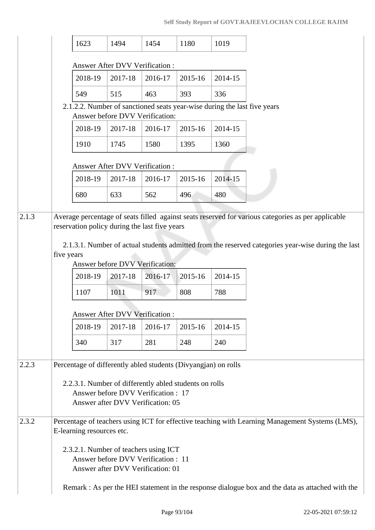|       |            | 1623                                                                     | 1494                                                                     | 1454    | 1180    | 1019    |                                                                                                    |
|-------|------------|--------------------------------------------------------------------------|--------------------------------------------------------------------------|---------|---------|---------|----------------------------------------------------------------------------------------------------|
|       |            |                                                                          | Answer After DVV Verification:                                           |         |         |         |                                                                                                    |
|       |            | 2018-19                                                                  | 2017-18                                                                  | 2016-17 | 2015-16 | 2014-15 |                                                                                                    |
|       |            | 549                                                                      | 515                                                                      | 463     | 393     | 336     |                                                                                                    |
|       |            | 2.1.2.2. Number of sanctioned seats year-wise during the last five years |                                                                          |         |         |         |                                                                                                    |
|       |            | 2018-19                                                                  | Answer before DVV Verification:<br>2017-18                               | 2016-17 | 2015-16 | 2014-15 |                                                                                                    |
|       |            | 1910                                                                     | 1745                                                                     | 1580    | 1395    | 1360    |                                                                                                    |
|       |            |                                                                          |                                                                          |         |         |         |                                                                                                    |
|       |            |                                                                          | <b>Answer After DVV Verification:</b>                                    |         |         |         |                                                                                                    |
|       |            | 2018-19                                                                  | 2017-18                                                                  | 2016-17 | 2015-16 | 2014-15 |                                                                                                    |
|       |            | 680                                                                      | 633                                                                      | 562     | 496     | 480     |                                                                                                    |
|       | five years |                                                                          | Answer before DVV Verification:                                          |         |         |         | 2.1.3.1. Number of actual students admitted from the reserved categories year-wise during the last |
|       |            | 2018-19                                                                  | 2017-18                                                                  | 2016-17 | 2015-16 | 2014-15 |                                                                                                    |
|       |            | 1107                                                                     | 1011                                                                     | 917     | 808     | 788     |                                                                                                    |
|       |            |                                                                          | <b>Answer After DVV Verification:</b>                                    |         |         |         |                                                                                                    |
|       |            | 2018-19                                                                  | 2017-18                                                                  | 2016-17 | 2015-16 | 2014-15 |                                                                                                    |
|       |            | 340                                                                      | 317                                                                      | 281     | 248     | 240     |                                                                                                    |
| 2.2.3 |            | Percentage of differently abled students (Divyangjan) on rolls           |                                                                          |         |         |         |                                                                                                    |
|       |            | 2.2.3.1. Number of differently abled students on rolls                   | Answer before DVV Verification : 17<br>Answer after DVV Verification: 05 |         |         |         |                                                                                                    |
| 2.3.2 |            | E-learning resources etc.                                                |                                                                          |         |         |         | Percentage of teachers using ICT for effective teaching with Learning Management Systems (LMS),    |
|       |            | 2.3.2.1. Number of teachers using ICT                                    | Answer before DVV Verification: 11<br>Answer after DVV Verification: 01  |         |         |         |                                                                                                    |
|       |            |                                                                          |                                                                          |         |         |         | Remark : As per the HEI statement in the response dialogue box and the data as attached with the   |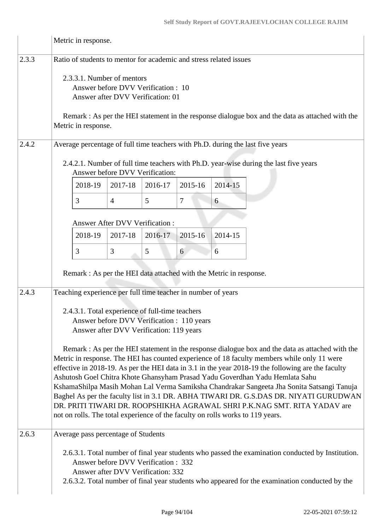|       | Metric in response.                                                                                                                                                                                                                                                                                                                                                                   |                |         |         |         |                                                                                                                                                                                                     |  |  |
|-------|---------------------------------------------------------------------------------------------------------------------------------------------------------------------------------------------------------------------------------------------------------------------------------------------------------------------------------------------------------------------------------------|----------------|---------|---------|---------|-----------------------------------------------------------------------------------------------------------------------------------------------------------------------------------------------------|--|--|
| 2.3.3 | Ratio of students to mentor for academic and stress related issues<br>2.3.3.1. Number of mentors                                                                                                                                                                                                                                                                                      |                |         |         |         |                                                                                                                                                                                                     |  |  |
|       | Answer before DVV Verification : 10<br>Answer after DVV Verification: 01                                                                                                                                                                                                                                                                                                              |                |         |         |         |                                                                                                                                                                                                     |  |  |
|       | Metric in response.                                                                                                                                                                                                                                                                                                                                                                   |                |         |         |         | Remark : As per the HEI statement in the response dialogue box and the data as attached with the                                                                                                    |  |  |
| 2.4.2 | Average percentage of full time teachers with Ph.D. during the last five years                                                                                                                                                                                                                                                                                                        |                |         |         |         |                                                                                                                                                                                                     |  |  |
|       | Answer before DVV Verification:                                                                                                                                                                                                                                                                                                                                                       |                |         |         |         | 2.4.2.1. Number of full time teachers with Ph.D. year-wise during the last five years                                                                                                               |  |  |
|       | 2018-19                                                                                                                                                                                                                                                                                                                                                                               | 2017-18        | 2016-17 | 2015-16 | 2014-15 |                                                                                                                                                                                                     |  |  |
|       | 3                                                                                                                                                                                                                                                                                                                                                                                     | $\overline{4}$ | 5       | $\tau$  | 6       |                                                                                                                                                                                                     |  |  |
|       | <b>Answer After DVV Verification:</b>                                                                                                                                                                                                                                                                                                                                                 |                |         |         |         |                                                                                                                                                                                                     |  |  |
|       | 2018-19                                                                                                                                                                                                                                                                                                                                                                               | 2017-18        | 2016-17 | 2015-16 | 2014-15 |                                                                                                                                                                                                     |  |  |
|       | 3                                                                                                                                                                                                                                                                                                                                                                                     | 3              | 5       | 6       | 6       |                                                                                                                                                                                                     |  |  |
|       | Remark: As per the HEI data attached with the Metric in response.                                                                                                                                                                                                                                                                                                                     |                |         |         |         |                                                                                                                                                                                                     |  |  |
| 2.4.3 | Teaching experience per full time teacher in number of years                                                                                                                                                                                                                                                                                                                          |                |         |         |         |                                                                                                                                                                                                     |  |  |
|       | 2.4.3.1. Total experience of full-time teachers                                                                                                                                                                                                                                                                                                                                       |                |         |         |         |                                                                                                                                                                                                     |  |  |
|       | Answer before DVV Verification : 110 years<br>Answer after DVV Verification: 119 years                                                                                                                                                                                                                                                                                                |                |         |         |         |                                                                                                                                                                                                     |  |  |
|       | Remark : As per the HEI statement in the response dialogue box and the data as attached with the<br>Metric in response. The HEI has counted experience of 18 faculty members while only 11 were<br>effective in 2018-19. As per the HEI data in 3.1 in the year 2018-19 the following are the faculty<br>Ashutosh Goel Chitra Khote Ghansyham Prasad Yadu Goverdhan Yadu Hemlata Sahu |                |         |         |         |                                                                                                                                                                                                     |  |  |
|       | KshamaShilpa Masih Mohan Lal Verma Samiksha Chandrakar Sangeeta Jha Sonita Satsangi Tanuja<br>Baghel As per the faculty list in 3.1 DR. ABHA TIWARI DR. G.S.DAS DR. NIYATI GURUDWAN<br>DR. PRITI TIWARI DR. ROOPSHIKHA AGRAWAL SHRI P.K.NAG SMT. RITA YADAV are<br>not on rolls. The total experience of the faculty on rolls works to 119 years.                                     |                |         |         |         |                                                                                                                                                                                                     |  |  |
| 2.6.3 | Average pass percentage of Students                                                                                                                                                                                                                                                                                                                                                   |                |         |         |         |                                                                                                                                                                                                     |  |  |
|       | Answer before DVV Verification: 332<br>Answer after DVV Verification: 332                                                                                                                                                                                                                                                                                                             |                |         |         |         | 2.6.3.1. Total number of final year students who passed the examination conducted by Institution.<br>2.6.3.2. Total number of final year students who appeared for the examination conducted by the |  |  |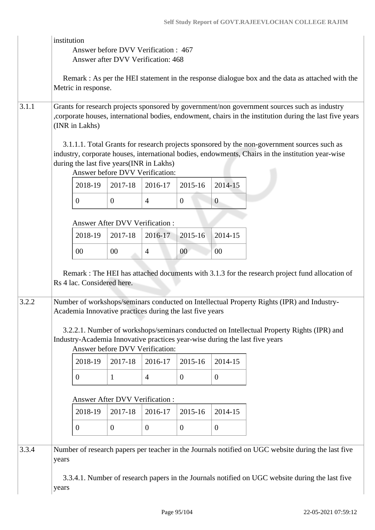|       | institution |                                                          |              | Answer before DVV Verification: 467<br>Answer after DVV Verification: 468 |                  |                |                                                                                                                                                                                                           |
|-------|-------------|----------------------------------------------------------|--------------|---------------------------------------------------------------------------|------------------|----------------|-----------------------------------------------------------------------------------------------------------------------------------------------------------------------------------------------------------|
|       |             | Metric in response.                                      |              |                                                                           |                  |                | Remark : As per the HEI statement in the response dialogue box and the data as attached with the                                                                                                          |
| 3.1.1 |             | (INR in Lakhs)                                           |              |                                                                           |                  |                | Grants for research projects sponsored by government/non government sources such as industry<br>, corporate houses, international bodies, endowment, chairs in the institution during the last five years |
|       |             | during the last five years(INR in Lakhs)                 |              | Answer before DVV Verification:                                           |                  |                | 3.1.1.1. Total Grants for research projects sponsored by the non-government sources such as<br>industry, corporate houses, international bodies, endowments, Chairs in the institution year-wise          |
|       |             | 2018-19                                                  | 2017-18      | 2016-17                                                                   | 2015-16          | 2014-15        |                                                                                                                                                                                                           |
|       |             | $\overline{0}$                                           | $\mathbf{0}$ | $\overline{4}$                                                            | $\mathbf{0}$     | $\overline{0}$ |                                                                                                                                                                                                           |
|       |             |                                                          |              | <b>Answer After DVV Verification:</b>                                     |                  |                |                                                                                                                                                                                                           |
|       |             | 2018-19                                                  | 2017-18      | 2016-17                                                                   | 2015-16          | 2014-15        |                                                                                                                                                                                                           |
|       |             | $00\,$                                                   | 00           | $\overline{4}$                                                            | $00\,$           | 00             |                                                                                                                                                                                                           |
|       |             | Rs 4 lac. Considered here.                               |              |                                                                           |                  |                | Remark : The HEI has attached documents with 3.1.3 for the research project fund allocation of                                                                                                            |
| 3.2.2 |             | Academia Innovative practices during the last five years |              |                                                                           |                  |                | Number of workshops/seminars conducted on Intellectual Property Rights (IPR) and Industry-                                                                                                                |
|       |             |                                                          |              | Answer before DVV Verification:                                           |                  |                | 3.2.2.1. Number of workshops/seminars conducted on Intellectual Property Rights (IPR) and<br>Industry-Academia Innovative practices year-wise during the last five years                                  |
|       |             | 2018-19                                                  | 2017-18      | 2016-17                                                                   | 2015-16          | 2014-15        |                                                                                                                                                                                                           |
|       |             | $\mathbf{0}$                                             | 1            | $\overline{4}$                                                            | $\theta$         | $\overline{0}$ |                                                                                                                                                                                                           |
|       |             |                                                          |              | Answer After DVV Verification:                                            |                  |                |                                                                                                                                                                                                           |
|       |             | 2018-19                                                  | 2017-18      | 2016-17                                                                   | 2015-16          | 2014-15        |                                                                                                                                                                                                           |
|       |             | $\overline{0}$                                           | $\mathbf{0}$ | $\boldsymbol{0}$                                                          | $\boldsymbol{0}$ | $\mathbf{0}$   |                                                                                                                                                                                                           |
| 3.3.4 | years       |                                                          |              |                                                                           |                  |                | Number of research papers per teacher in the Journals notified on UGC website during the last five                                                                                                        |
|       | years       |                                                          |              |                                                                           |                  |                | 3.3.4.1. Number of research papers in the Journals notified on UGC website during the last five                                                                                                           |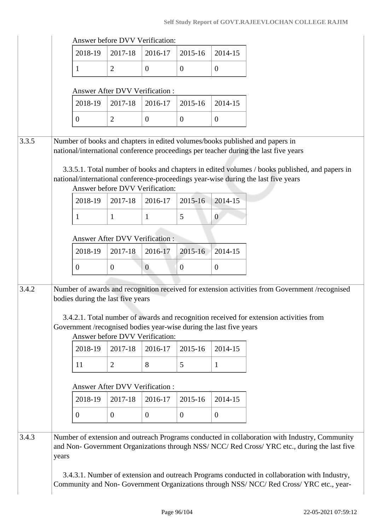#### **Self Study Report of GOVT.RAJEEVLOCHAN COLLEGE RAJIM**

|       |       |                                                                                                                                                                                                                                                                                                                                                              | Answer before DVV Verification:            |                |                  |                |
|-------|-------|--------------------------------------------------------------------------------------------------------------------------------------------------------------------------------------------------------------------------------------------------------------------------------------------------------------------------------------------------------------|--------------------------------------------|----------------|------------------|----------------|
|       |       | 2018-19                                                                                                                                                                                                                                                                                                                                                      | 2017-18                                    | 2016-17        | 2015-16          | 2014-15        |
|       |       | 1                                                                                                                                                                                                                                                                                                                                                            | 2                                          | $\overline{0}$ | $\theta$         | $\overline{0}$ |
|       |       |                                                                                                                                                                                                                                                                                                                                                              | <b>Answer After DVV Verification:</b>      |                |                  |                |
|       |       | 2018-19                                                                                                                                                                                                                                                                                                                                                      | 2017-18                                    | 2016-17        | 2015-16          | 2014-15        |
|       |       | $\boldsymbol{0}$                                                                                                                                                                                                                                                                                                                                             | 2                                          | $\overline{0}$ | $\theta$         | $\overline{0}$ |
| 3.3.5 |       | Number of books and chapters in edited volumes/books published and papers in<br>national/international conference proceedings per teacher during the last five years<br>3.3.5.1. Total number of books and chapters in edited volumes / books published, and papers in<br>national/international conference-proceedings year-wise during the last five years | Answer before DVV Verification:            |                |                  |                |
|       |       | 2018-19                                                                                                                                                                                                                                                                                                                                                      | 2017-18                                    | 2016-17        | 2015-16          | 2014-15        |
|       |       | $\mathbf{1}$                                                                                                                                                                                                                                                                                                                                                 | $\mathbf{1}$                               | $\mathbf{1}$   | 5                | $\overline{0}$ |
|       |       |                                                                                                                                                                                                                                                                                                                                                              | <b>Answer After DVV Verification:</b>      |                |                  |                |
|       |       | 2018-19                                                                                                                                                                                                                                                                                                                                                      | 2017-18                                    | 2016-17        | 2015-16          | 2014-15        |
|       |       | 0                                                                                                                                                                                                                                                                                                                                                            | $\overline{0}$                             | $\mathbf{0}$   | $\overline{0}$   | $\overline{0}$ |
| 3.4.2 |       | Number of awards and recognition received for extension activities from Government /recognised<br>bodies during the last five years<br>3.4.2.1. Total number of awards and recognition received for extension activities from<br>Government /recognised bodies year-wise during the last five years<br>2018-19                                               | Answer before DVV Verification:<br>2017-18 | 2016-17        | 2015-16          | 2014-15        |
|       |       | 11                                                                                                                                                                                                                                                                                                                                                           | $\overline{2}$                             | 8              | 5                | $\mathbf{1}$   |
|       |       |                                                                                                                                                                                                                                                                                                                                                              | Answer After DVV Verification:             |                |                  |                |
|       |       | 2018-19                                                                                                                                                                                                                                                                                                                                                      | 2017-18                                    | 2016-17        | 2015-16          | 2014-15        |
|       |       | 0                                                                                                                                                                                                                                                                                                                                                            | $\overline{0}$                             | $\mathbf{0}$   | $\boldsymbol{0}$ | $\overline{0}$ |
| 3.4.3 | years | Number of extension and outreach Programs conducted in collaboration with Industry, Community<br>and Non- Government Organizations through NSS/ NCC/ Red Cross/ YRC etc., during the last five                                                                                                                                                               |                                            |                |                  |                |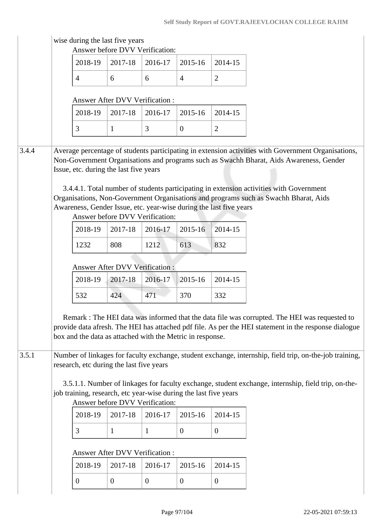|       | wise during the last five years                                                                                                                                                                                                                                                                                                                                                                                                                                                                                                                                                                      | Answer before DVV Verification:       |                |                  |                  |
|-------|------------------------------------------------------------------------------------------------------------------------------------------------------------------------------------------------------------------------------------------------------------------------------------------------------------------------------------------------------------------------------------------------------------------------------------------------------------------------------------------------------------------------------------------------------------------------------------------------------|---------------------------------------|----------------|------------------|------------------|
|       | 2018-19                                                                                                                                                                                                                                                                                                                                                                                                                                                                                                                                                                                              | 2017-18                               | 2016-17        | 2015-16          | 2014-15          |
|       | $\overline{4}$                                                                                                                                                                                                                                                                                                                                                                                                                                                                                                                                                                                       | 6                                     | 6              | $\overline{4}$   | 2                |
|       |                                                                                                                                                                                                                                                                                                                                                                                                                                                                                                                                                                                                      | Answer After DVV Verification:        |                |                  |                  |
|       | 2018-19                                                                                                                                                                                                                                                                                                                                                                                                                                                                                                                                                                                              | 2017-18                               | 2016-17        | 2015-16          | 2014-15          |
|       | 3                                                                                                                                                                                                                                                                                                                                                                                                                                                                                                                                                                                                    | $\mathbf{1}$                          | 3              | $\overline{0}$   | $\mathbf{2}$     |
| 3.4.4 | Average percentage of students participating in extension activities with Government Organisations,<br>Non-Government Organisations and programs such as Swachh Bharat, Aids Awareness, Gender<br>Issue, etc. during the last five years<br>3.4.4.1. Total number of students participating in extension activities with Government<br>Organisations, Non-Government Organisations and programs such as Swachh Bharat, Aids<br>Awareness, Gender Issue, etc. year-wise during the last five years                                                                                                    | Answer before DVV Verification:       |                |                  |                  |
|       | 2018-19                                                                                                                                                                                                                                                                                                                                                                                                                                                                                                                                                                                              | 2017-18                               | 2016-17        | 2015-16          | 2014-15          |
|       | 1232                                                                                                                                                                                                                                                                                                                                                                                                                                                                                                                                                                                                 | 808                                   | 1212           | 613              | 832              |
|       |                                                                                                                                                                                                                                                                                                                                                                                                                                                                                                                                                                                                      | <b>Answer After DVV Verification:</b> |                |                  |                  |
|       | 2018-19                                                                                                                                                                                                                                                                                                                                                                                                                                                                                                                                                                                              | 2017-18                               | 2016-17        | 2015-16          | 2014-15          |
|       | 532                                                                                                                                                                                                                                                                                                                                                                                                                                                                                                                                                                                                  | 424                                   | 471            | 370              | 332              |
| 3.5.1 | Remark: The HEI data was informed that the data file was corrupted. The HEI was requested to<br>provide data afresh. The HEI has attached pdf file. As per the HEI statement in the response dialogue<br>box and the data as attached with the Metric in response.<br>Number of linkages for faculty exchange, student exchange, internship, field trip, on-the-job training,<br>research, etc during the last five years<br>3.5.1.1. Number of linkages for faculty exchange, student exchange, internship, field trip, on-the-<br>job training, research, etc year-wise during the last five years | Answer before DVV Verification:       |                |                  |                  |
|       | 2018-19                                                                                                                                                                                                                                                                                                                                                                                                                                                                                                                                                                                              | 2017-18                               | 2016-17        | 2015-16          | 2014-15          |
|       | 3                                                                                                                                                                                                                                                                                                                                                                                                                                                                                                                                                                                                    | $\mathbf{1}$                          | $\mathbf{1}$   | $\boldsymbol{0}$ | $\boldsymbol{0}$ |
|       |                                                                                                                                                                                                                                                                                                                                                                                                                                                                                                                                                                                                      | Answer After DVV Verification :       |                |                  |                  |
|       | 2018-19                                                                                                                                                                                                                                                                                                                                                                                                                                                                                                                                                                                              | 2017-18                               | 2016-17        | 2015-16          | 2014-15          |
|       | $\overline{0}$                                                                                                                                                                                                                                                                                                                                                                                                                                                                                                                                                                                       | $\boldsymbol{0}$                      | $\overline{0}$ | $\overline{0}$   | $\boldsymbol{0}$ |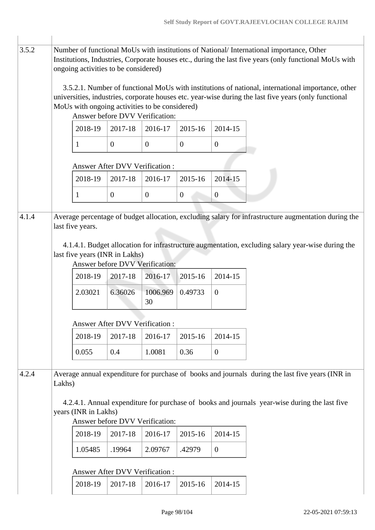| 3.5.2 |        | ongoing activities to be considered)       |                |                                                                                   |              |                | Number of functional MoUs with institutions of National/International importance, Other<br>Institutions, Industries, Corporate houses etc., during the last five years (only functional MoUs with          |
|-------|--------|--------------------------------------------|----------------|-----------------------------------------------------------------------------------|--------------|----------------|------------------------------------------------------------------------------------------------------------------------------------------------------------------------------------------------------------|
|       |        |                                            |                | MoUs with ongoing activities to be considered)<br>Answer before DVV Verification: |              |                | 3.5.2.1. Number of functional MoUs with institutions of national, international importance, other<br>universities, industries, corporate houses etc. year-wise during the last five years (only functional |
|       |        | 2018-19                                    | 2017-18        | 2016-17                                                                           | 2015-16      | 2014-15        |                                                                                                                                                                                                            |
|       |        | 1                                          | $\overline{0}$ | $\overline{0}$                                                                    | $\mathbf{0}$ | $\overline{0}$ |                                                                                                                                                                                                            |
|       |        |                                            |                |                                                                                   |              |                |                                                                                                                                                                                                            |
|       |        | Answer After DVV Verification :<br>2018-19 | 2017-18        | 2016-17                                                                           | 2015-16      | 2014-15        |                                                                                                                                                                                                            |
|       |        | 1                                          | $\theta$       | $\overline{0}$                                                                    | $\theta$     | $\overline{0}$ |                                                                                                                                                                                                            |
|       |        |                                            |                |                                                                                   |              |                |                                                                                                                                                                                                            |
| 4.1.4 |        | last five years.                           |                |                                                                                   |              |                | Average percentage of budget allocation, excluding salary for infrastructure augmentation during the                                                                                                       |
|       |        | last five years (INR in Lakhs)             |                | Answer before DVV Verification:                                                   |              |                | 4.1.4.1. Budget allocation for infrastructure augmentation, excluding salary year-wise during the                                                                                                          |
|       |        | 2018-19                                    | 2017-18        | 2016-17                                                                           | 2015-16      | 2014-15        |                                                                                                                                                                                                            |
|       |        | 2.03021                                    | 6.36026        | 1006.969<br>30                                                                    | 0.49733      | $\overline{0}$ |                                                                                                                                                                                                            |
|       |        | <b>Answer After DVV Verification:</b>      |                |                                                                                   |              |                |                                                                                                                                                                                                            |
|       |        | 2018-19                                    | 2017-18        | 2016-17                                                                           | 2015-16      | 2014-15        |                                                                                                                                                                                                            |
|       |        | 0.055                                      | 0.4            | 1.0081                                                                            | 0.36         | $\overline{0}$ |                                                                                                                                                                                                            |
| 4.2.4 | Lakhs) |                                            |                |                                                                                   |              |                | Average annual expenditure for purchase of books and journals during the last five years (INR in                                                                                                           |
|       |        | years (INR in Lakhs)                       |                | Answer before DVV Verification:                                                   |              |                | 4.2.4.1. Annual expenditure for purchase of books and journals year-wise during the last five                                                                                                              |
|       |        | 2018-19                                    | 2017-18        | 2016-17                                                                           | 2015-16      | 2014-15        |                                                                                                                                                                                                            |
|       |        | 1.05485                                    | .19964         | 2.09767                                                                           | .42979       | $\overline{0}$ |                                                                                                                                                                                                            |
|       |        | Answer After DVV Verification :            |                |                                                                                   |              |                |                                                                                                                                                                                                            |
|       |        | 2018-19                                    | 2017-18        | 2016-17                                                                           | 2015-16      | 2014-15        |                                                                                                                                                                                                            |
|       |        |                                            |                |                                                                                   |              |                |                                                                                                                                                                                                            |

 $\begin{array}{c} \hline \end{array}$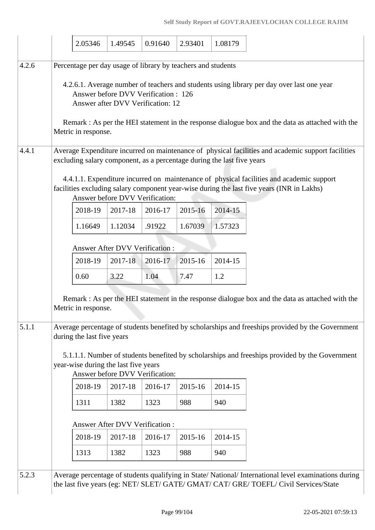|       | 2.05346                                                                                   | 1.49545                               | 0.91640                                                                   | 2.93401 | 1.08179                                                                |                                                                                                                                                                                                                                                                                                         |
|-------|-------------------------------------------------------------------------------------------|---------------------------------------|---------------------------------------------------------------------------|---------|------------------------------------------------------------------------|---------------------------------------------------------------------------------------------------------------------------------------------------------------------------------------------------------------------------------------------------------------------------------------------------------|
|       |                                                                                           |                                       |                                                                           |         |                                                                        |                                                                                                                                                                                                                                                                                                         |
| 4.2.6 | Percentage per day usage of library by teachers and students                              |                                       |                                                                           |         |                                                                        |                                                                                                                                                                                                                                                                                                         |
|       |                                                                                           |                                       | Answer before DVV Verification : 126<br>Answer after DVV Verification: 12 |         |                                                                        | 4.2.6.1. Average number of teachers and students using library per day over last one year                                                                                                                                                                                                               |
|       | Metric in response.                                                                       |                                       |                                                                           |         |                                                                        | Remark : As per the HEI statement in the response dialogue box and the data as attached with the                                                                                                                                                                                                        |
| 4.4.1 |                                                                                           |                                       |                                                                           |         | excluding salary component, as a percentage during the last five years | Average Expenditure incurred on maintenance of physical facilities and academic support facilities                                                                                                                                                                                                      |
|       |                                                                                           |                                       | Answer before DVV Verification:                                           |         |                                                                        | 4.4.1.1. Expenditure incurred on maintenance of physical facilities and academic support<br>facilities excluding salary component year-wise during the last five years (INR in Lakhs)                                                                                                                   |
|       | 2018-19                                                                                   | 2017-18                               | 2016-17                                                                   | 2015-16 | 2014-15                                                                |                                                                                                                                                                                                                                                                                                         |
|       | 1.16649                                                                                   | 1.12034                               | .91922                                                                    | 1.67039 | 1.57323                                                                |                                                                                                                                                                                                                                                                                                         |
|       |                                                                                           | <b>Answer After DVV Verification:</b> |                                                                           |         |                                                                        |                                                                                                                                                                                                                                                                                                         |
|       | 2018-19                                                                                   | 2017-18                               | 2016-17                                                                   | 2015-16 | 2014-15                                                                |                                                                                                                                                                                                                                                                                                         |
|       | 0.60                                                                                      | 3.22                                  | 1.04                                                                      | 7.47    | 1.2                                                                    |                                                                                                                                                                                                                                                                                                         |
|       |                                                                                           |                                       |                                                                           |         |                                                                        |                                                                                                                                                                                                                                                                                                         |
|       | Metric in response.<br>during the last five years<br>year-wise during the last five years |                                       |                                                                           |         |                                                                        | Remark : As per the HEI statement in the response dialogue box and the data as attached with the<br>Average percentage of students benefited by scholarships and freeships provided by the Government<br>5.1.1.1. Number of students benefited by scholarships and freeships provided by the Government |
|       |                                                                                           |                                       | Answer before DVV Verification:                                           |         |                                                                        |                                                                                                                                                                                                                                                                                                         |
|       | 2018-19                                                                                   | 2017-18                               | 2016-17                                                                   | 2015-16 | 2014-15                                                                |                                                                                                                                                                                                                                                                                                         |
|       | 1311                                                                                      | 1382                                  | 1323                                                                      | 988     | 940                                                                    |                                                                                                                                                                                                                                                                                                         |
|       |                                                                                           | Answer After DVV Verification:        |                                                                           |         |                                                                        |                                                                                                                                                                                                                                                                                                         |
|       | 2018-19                                                                                   | 2017-18                               | 2016-17                                                                   | 2015-16 | 2014-15                                                                |                                                                                                                                                                                                                                                                                                         |
| 5.1.1 | 1313                                                                                      | 1382                                  | 1323                                                                      | 988     | 940                                                                    |                                                                                                                                                                                                                                                                                                         |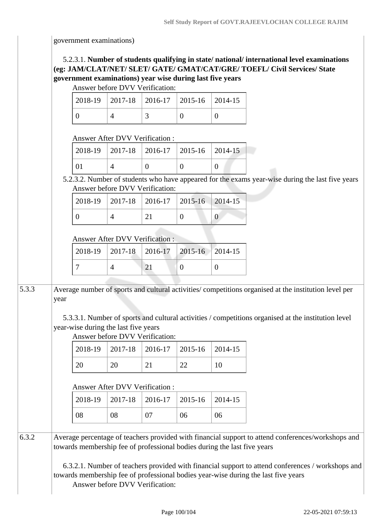government examinations)

#### 5.2.3.1. **Number of students qualifying in state/ national/ international level examinations (eg: JAM/CLAT/NET/ SLET/ GATE/ GMAT/CAT/GRE/ TOEFL/ Civil Services/ State government examinations) year wise during last five years**

|       |      |                                                                          | Answer before DVV Verification:       |              |                  |                |                                                                                                                                                                                                              |
|-------|------|--------------------------------------------------------------------------|---------------------------------------|--------------|------------------|----------------|--------------------------------------------------------------------------------------------------------------------------------------------------------------------------------------------------------------|
|       |      | 2018-19                                                                  | 2017-18                               | 2016-17      | 2015-16          | 2014-15        |                                                                                                                                                                                                              |
|       |      | $\overline{0}$                                                           | $\overline{4}$                        | 3            | $\theta$         | $\overline{0}$ |                                                                                                                                                                                                              |
|       |      |                                                                          | <b>Answer After DVV Verification:</b> |              |                  |                |                                                                                                                                                                                                              |
|       |      | 2018-19                                                                  | 2017-18                               | 2016-17      | 2015-16          | 2014-15        |                                                                                                                                                                                                              |
|       |      | 01                                                                       | $\overline{4}$                        | $\mathbf{0}$ | $\overline{0}$   | $\overline{0}$ |                                                                                                                                                                                                              |
|       |      |                                                                          | Answer before DVV Verification:       |              |                  |                | 5.2.3.2. Number of students who have appeared for the exams year-wise during the last five years                                                                                                             |
|       |      | 2018-19                                                                  | 2017-18                               | 2016-17      | $2015 - 16$      | 2014-15        |                                                                                                                                                                                                              |
|       |      | $\overline{0}$                                                           | $\overline{4}$                        | 21           | $\boldsymbol{0}$ | $\overline{0}$ |                                                                                                                                                                                                              |
|       |      |                                                                          | <b>Answer After DVV Verification:</b> |              |                  |                |                                                                                                                                                                                                              |
|       |      | 2018-19                                                                  | 2017-18                               | 2016-17      | 2015-16          | 2014-15        |                                                                                                                                                                                                              |
|       |      | 7                                                                        | $\overline{4}$                        | 21           | $\overline{0}$   | $\overline{0}$ |                                                                                                                                                                                                              |
|       | year | year-wise during the last five years                                     | Answer before DVV Verification:       |              |                  |                | Average number of sports and cultural activities/ competitions organised at the institution level per<br>5.3.3.1. Number of sports and cultural activities / competitions organised at the institution level |
|       |      | 2018-19                                                                  | 2017-18                               | 2016-17      | 2015-16          | 2014-15        |                                                                                                                                                                                                              |
|       |      | 20                                                                       | 20                                    | 21           | 22               | 10             |                                                                                                                                                                                                              |
|       |      |                                                                          | Answer After DVV Verification:        |              |                  |                |                                                                                                                                                                                                              |
|       |      | 2018-19                                                                  | 2017-18                               | 2016-17      | 2015-16          | 2014-15        |                                                                                                                                                                                                              |
|       |      | 08                                                                       | 08                                    | 07           | 06               | 06             |                                                                                                                                                                                                              |
| 6.3.2 |      | towards membership fee of professional bodies during the last five years |                                       |              |                  |                | Average percentage of teachers provided with financial support to attend conferences/workshops and<br>6.3.2.1. Number of teachers provided with financial support to attend conferences / workshops and      |
|       |      |                                                                          | Answer before DVV Verification:       |              |                  |                | towards membership fee of professional bodies year-wise during the last five years                                                                                                                           |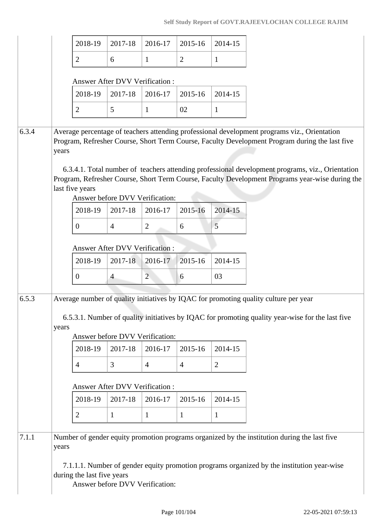|       |       | 2018-19                    | 2017-18                                                                                                                                                                                                                                                                                                                                                                                               | 2016-17        | 2015-16        | 2014-15        |
|-------|-------|----------------------------|-------------------------------------------------------------------------------------------------------------------------------------------------------------------------------------------------------------------------------------------------------------------------------------------------------------------------------------------------------------------------------------------------------|----------------|----------------|----------------|
|       |       | $\overline{2}$             | 6                                                                                                                                                                                                                                                                                                                                                                                                     | $\mathbf{1}$   | $\overline{2}$ | $\mathbf{1}$   |
|       |       |                            |                                                                                                                                                                                                                                                                                                                                                                                                       |                |                |                |
|       |       |                            | Answer After DVV Verification:                                                                                                                                                                                                                                                                                                                                                                        |                |                |                |
|       |       | 2018-19                    | 2017-18                                                                                                                                                                                                                                                                                                                                                                                               | 2016-17        | 2015-16        | 2014-15        |
|       |       | $\overline{2}$             | 5                                                                                                                                                                                                                                                                                                                                                                                                     | $\mathbf{1}$   | 02             | $\mathbf{1}$   |
| 6.3.4 | years | last five years            | Average percentage of teachers attending professional development programs viz., Orientation<br>Program, Refresher Course, Short Term Course, Faculty Development Program during the last five<br>6.3.4.1. Total number of teachers attending professional development programs, viz., Orientation<br>Program, Refresher Course, Short Term Course, Faculty Development Programs year-wise during the |                |                |                |
|       |       |                            | Answer before DVV Verification:                                                                                                                                                                                                                                                                                                                                                                       |                |                |                |
|       |       | 2018-19                    | 2017-18                                                                                                                                                                                                                                                                                                                                                                                               | 2016-17        | 2015-16        | 2014-15        |
|       |       | $\overline{0}$             | $\overline{4}$                                                                                                                                                                                                                                                                                                                                                                                        | 2              | 6              | 5              |
|       |       |                            | Answer After DVV Verification :                                                                                                                                                                                                                                                                                                                                                                       |                |                |                |
|       |       | 2018-19                    | 2017-18                                                                                                                                                                                                                                                                                                                                                                                               | 2016-17        | 2015-16        | 2014-15        |
|       |       | 0                          | $\overline{4}$                                                                                                                                                                                                                                                                                                                                                                                        | $\overline{2}$ | 6              | 03             |
| 6.5.3 | years |                            | Average number of quality initiatives by IQAC for promoting quality culture per year<br>6.5.3.1. Number of quality initiatives by IQAC for promoting quality year-wise for the last five<br>Answer before DVV Verification:                                                                                                                                                                           |                |                |                |
|       |       | 2018-19                    | 2017-18                                                                                                                                                                                                                                                                                                                                                                                               | 2016-17        | 2015-16        | 2014-15        |
|       |       | $\overline{4}$             | 3                                                                                                                                                                                                                                                                                                                                                                                                     | $\overline{4}$ | $\overline{4}$ | $\overline{2}$ |
|       |       |                            | Answer After DVV Verification:                                                                                                                                                                                                                                                                                                                                                                        |                |                |                |
|       |       | 2018-19                    | 2017-18                                                                                                                                                                                                                                                                                                                                                                                               | 2016-17        | 2015-16        | 2014-15        |
|       |       | 2                          | $\mathbf{1}$                                                                                                                                                                                                                                                                                                                                                                                          | $\mathbf{1}$   | $\mathbf{1}$   | $\mathbf{1}$   |
|       |       |                            |                                                                                                                                                                                                                                                                                                                                                                                                       |                |                |                |
| 7.1.1 | years |                            | Number of gender equity promotion programs organized by the institution during the last five                                                                                                                                                                                                                                                                                                          |                |                |                |
|       |       | during the last five years | 7.1.1.1. Number of gender equity promotion programs organized by the institution year-wise<br>Answer before DVV Verification:                                                                                                                                                                                                                                                                         |                |                |                |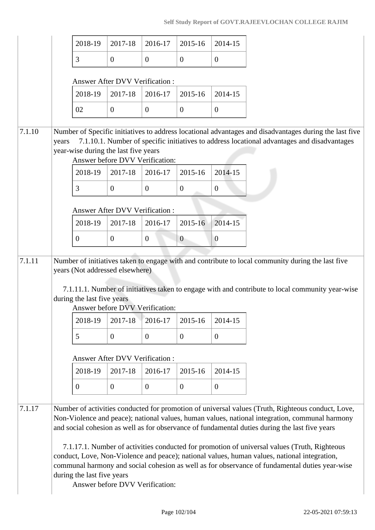|        |       | 2018-19                                                                                                                                                                                                                                                                | 2017-18                                                                                                                                                                                                                           | 2016-17                                                | 2015-16                                                  | 2014-15                                                |
|--------|-------|------------------------------------------------------------------------------------------------------------------------------------------------------------------------------------------------------------------------------------------------------------------------|-----------------------------------------------------------------------------------------------------------------------------------------------------------------------------------------------------------------------------------|--------------------------------------------------------|----------------------------------------------------------|--------------------------------------------------------|
|        |       | 3                                                                                                                                                                                                                                                                      | $\mathbf{0}$                                                                                                                                                                                                                      | $\overline{0}$                                         | $\overline{0}$                                           | $\overline{0}$                                         |
|        |       |                                                                                                                                                                                                                                                                        | Answer After DVV Verification:                                                                                                                                                                                                    |                                                        |                                                          |                                                        |
|        |       | 2018-19                                                                                                                                                                                                                                                                | 2017-18                                                                                                                                                                                                                           | 2016-17                                                | 2015-16                                                  | 2014-15                                                |
|        |       | 02                                                                                                                                                                                                                                                                     | $\overline{0}$                                                                                                                                                                                                                    | $\theta$                                               | $\mathbf{0}$                                             | $\overline{0}$                                         |
| 7.1.10 | years | Number of Specific initiatives to address locational advantages and disadvantages during the last five<br>year-wise during the last five years<br>2018-19<br>3<br>2018-19<br>0                                                                                         | 7.1.10.1. Number of specific initiatives to address locational advantages and disadvantages<br>Answer before DVV Verification:<br>2017-18<br>$\overline{0}$<br><b>Answer After DVV Verification:</b><br>2017-18<br>$\overline{0}$ | 2016-17<br>$\overline{0}$<br>2016-17<br>$\overline{0}$ | 2015-16<br>$\overline{0}$<br>2015-16<br>$\boldsymbol{0}$ | 2014-15<br>$\overline{0}$<br>2014-15<br>$\overline{0}$ |
| 7.1.11 |       | Number of initiatives taken to engage with and contribute to local community during the last five<br>years (Not addressed elsewhere)<br>7.1.11.1. Number of initiatives taken to engage with and contribute to local community year-wise<br>during the last five years |                                                                                                                                                                                                                                   |                                                        |                                                          |                                                        |
|        |       |                                                                                                                                                                                                                                                                        | Answer before DVV Verification:                                                                                                                                                                                                   |                                                        |                                                          |                                                        |
|        |       | 2018-19                                                                                                                                                                                                                                                                | 2017-18                                                                                                                                                                                                                           | 2016-17                                                | 2015-16                                                  | 2014-15                                                |
|        |       | 5                                                                                                                                                                                                                                                                      | $\overline{0}$                                                                                                                                                                                                                    | $\overline{0}$                                         | $\overline{0}$                                           | $\overline{0}$                                         |
|        |       |                                                                                                                                                                                                                                                                        | <b>Answer After DVV Verification:</b>                                                                                                                                                                                             |                                                        |                                                          |                                                        |
|        |       | 2018-19                                                                                                                                                                                                                                                                | 2017-18                                                                                                                                                                                                                           | 2016-17                                                | 2015-16                                                  | 2014-15                                                |
|        |       | $\overline{0}$                                                                                                                                                                                                                                                         | $\overline{0}$                                                                                                                                                                                                                    | $\overline{0}$                                         | $\overline{0}$                                           | $\overline{0}$                                         |
|        |       |                                                                                                                                                                                                                                                                        | Number of activities conducted for promotion of universal values (Truth, Righteous conduct, Love,                                                                                                                                 |                                                        |                                                          |                                                        |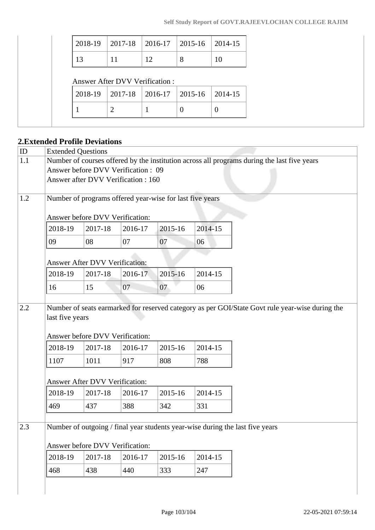| 2018-19 | 2017-18                               | 2016-17 | 2015-16 | 2014-15 |
|---------|---------------------------------------|---------|---------|---------|
| 13      | 11                                    | 12      | 8       | 10      |
|         | <b>Answer After DVV Verification:</b> |         |         |         |
| 2018-19 | 2017-18                               | 2016-17 | 2015-16 | 2014-15 |
|         |                                       |         |         |         |

### **2.Extended Profile Deviations**

| <b>Extended Questions</b> |                                       |                                                                          |                                                                                                 |         |
|---------------------------|---------------------------------------|--------------------------------------------------------------------------|-------------------------------------------------------------------------------------------------|---------|
|                           |                                       | Answer before DVV Verification: 09<br>Answer after DVV Verification: 160 | Number of courses offered by the institution across all programs during the last five years     |         |
|                           |                                       |                                                                          | Number of programs offered year-wise for last five years                                        |         |
|                           | Answer before DVV Verification:       |                                                                          |                                                                                                 |         |
| 2018-19                   | 2017-18                               | 2016-17                                                                  | 2015-16                                                                                         | 2014-15 |
| 09                        | 08                                    | 07                                                                       | 07                                                                                              | 06      |
|                           | <b>Answer After DVV Verification:</b> |                                                                          |                                                                                                 |         |
| 2018-19                   | 2017-18                               | 2016-17                                                                  | 2015-16                                                                                         | 2014-15 |
| 16                        | 15                                    | 07                                                                       | 07                                                                                              | 06      |
| last five years           | Answer before DVV Verification:       |                                                                          | Number of seats earmarked for reserved category as per GOI/State Govt rule year-wise during the |         |
| 2018-19                   | 2017-18                               | 2016-17                                                                  | 2015-16                                                                                         | 2014-15 |
| 1107                      | 1011                                  | 917                                                                      | 808                                                                                             | 788     |
|                           | <b>Answer After DVV Verification:</b> |                                                                          |                                                                                                 |         |
| 2018-19                   | 2017-18                               | 2016-17                                                                  | 2015-16                                                                                         | 2014-15 |
| 469                       | 437                                   | 388                                                                      | 342                                                                                             | 331     |